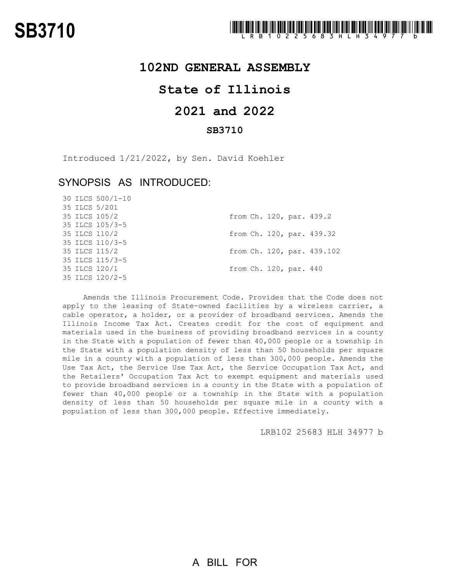

### **102ND GENERAL ASSEMBLY**

## **State of Illinois**

# **2021 and 2022**

### **SB3710**

Introduced 1/21/2022, by Sen. David Koehler

## SYNOPSIS AS INTRODUCED:

30 ILCS 500/1-10

|  | 35 ILCS 5/201   |  |                        |                            |
|--|-----------------|--|------------------------|----------------------------|
|  | 35 ILCS 105/2   |  |                        | from Ch. 120, par. 439.2   |
|  | 35 ILCS 105/3-5 |  |                        |                            |
|  | 35 ILCS 110/2   |  |                        | from Ch. 120, par. 439.32  |
|  | 35 ILCS 110/3-5 |  |                        |                            |
|  | 35 ILCS 115/2   |  |                        | from Ch. 120, par. 439.102 |
|  | 35 ILCS 115/3-5 |  |                        |                            |
|  | 35 ILCS 120/1   |  | from Ch. 120, par. 440 |                            |
|  | 35 ILCS 120/2-5 |  |                        |                            |
|  |                 |  |                        |                            |

Amends the Illinois Procurement Code. Provides that the Code does not apply to the leasing of State-owned facilities by a wireless carrier, a cable operator, a holder, or a provider of broadband services. Amends the Illinois Income Tax Act. Creates credit for the cost of equipment and materials used in the business of providing broadband services in a county in the State with a population of fewer than 40,000 people or a township in the State with a population density of less than 50 households per square mile in a county with a population of less than 300,000 people. Amends the Use Tax Act, the Service Use Tax Act, the Service Occupation Tax Act, and the Retailers' Occupation Tax Act to exempt equipment and materials used to provide broadband services in a county in the State with a population of fewer than 40,000 people or a township in the State with a population density of less than 50 households per square mile in a county with a population of less than 300,000 people. Effective immediately.

LRB102 25683 HLH 34977 b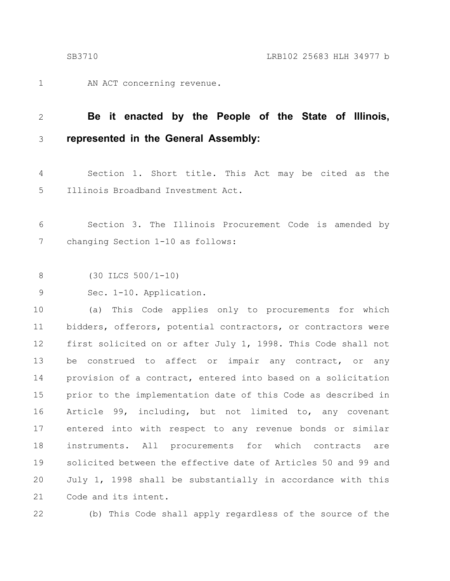AN ACT concerning revenue. 1

#### **Be it enacted by the People of the State of Illinois, represented in the General Assembly:** 2 3

Section 1. Short title. This Act may be cited as the Illinois Broadband Investment Act. 4 5

Section 3. The Illinois Procurement Code is amended by changing Section 1-10 as follows: 6 7

(30 ILCS 500/1-10) 8

Sec. 1-10. Application. 9

(a) This Code applies only to procurements for which bidders, offerors, potential contractors, or contractors were first solicited on or after July 1, 1998. This Code shall not be construed to affect or impair any contract, or any provision of a contract, entered into based on a solicitation prior to the implementation date of this Code as described in Article 99, including, but not limited to, any covenant entered into with respect to any revenue bonds or similar instruments. All procurements for which contracts are solicited between the effective date of Articles 50 and 99 and July 1, 1998 shall be substantially in accordance with this Code and its intent. 10 11 12 13 14 15 16 17 18 19 20 21

22

(b) This Code shall apply regardless of the source of the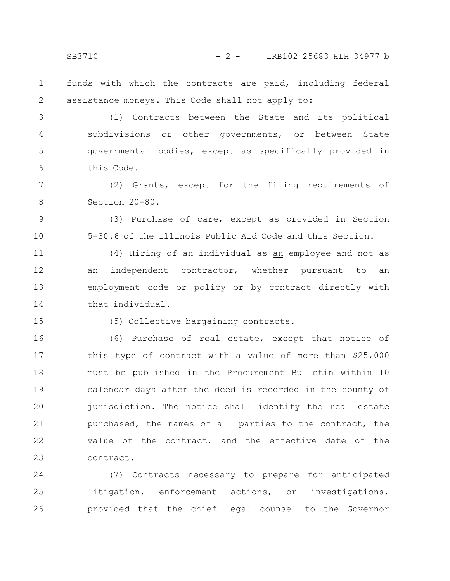SB3710 - 2 - LRB102 25683 HLH 34977 b

funds with which the contracts are paid, including federal assistance moneys. This Code shall not apply to: 1 2

(1) Contracts between the State and its political subdivisions or other governments, or between State governmental bodies, except as specifically provided in this Code. 3 4 5 6

(2) Grants, except for the filing requirements of Section 20-80. 7 8

(3) Purchase of care, except as provided in Section 5-30.6 of the Illinois Public Aid Code and this Section. 9 10

(4) Hiring of an individual as an employee and not as an independent contractor, whether pursuant to an employment code or policy or by contract directly with that individual. 11 12 13 14

15

(5) Collective bargaining contracts.

(6) Purchase of real estate, except that notice of this type of contract with a value of more than \$25,000 must be published in the Procurement Bulletin within 10 calendar days after the deed is recorded in the county of jurisdiction. The notice shall identify the real estate purchased, the names of all parties to the contract, the value of the contract, and the effective date of the contract. 16 17 18 19 20 21 22 23

(7) Contracts necessary to prepare for anticipated litigation, enforcement actions, or investigations, provided that the chief legal counsel to the Governor 24 25 26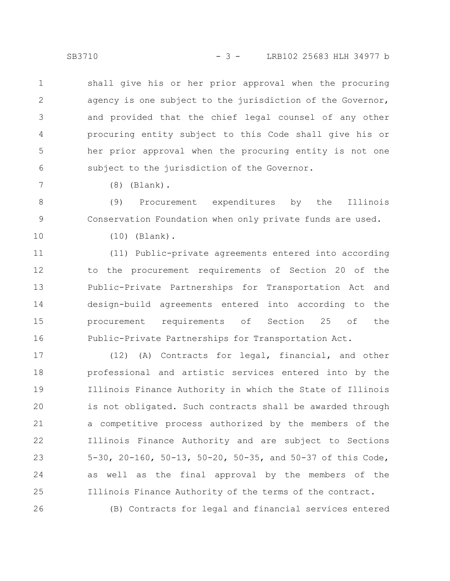SB3710 - 3 - LRB102 25683 HLH 34977 b

shall give his or her prior approval when the procuring agency is one subject to the jurisdiction of the Governor, and provided that the chief legal counsel of any other procuring entity subject to this Code shall give his or her prior approval when the procuring entity is not one subject to the jurisdiction of the Governor. 1 2 3 4 5 6

(8) (Blank).

(9) Procurement expenditures by the Illinois Conservation Foundation when only private funds are used. 8 9

10

26

7

(10) (Blank).

(11) Public-private agreements entered into according to the procurement requirements of Section 20 of the Public-Private Partnerships for Transportation Act and design-build agreements entered into according to the procurement requirements of Section 25 of the Public-Private Partnerships for Transportation Act. 11 12 13 14 15 16

(12) (A) Contracts for legal, financial, and other professional and artistic services entered into by the Illinois Finance Authority in which the State of Illinois is not obligated. Such contracts shall be awarded through a competitive process authorized by the members of the Illinois Finance Authority and are subject to Sections 5-30, 20-160, 50-13, 50-20, 50-35, and 50-37 of this Code, as well as the final approval by the members of the Illinois Finance Authority of the terms of the contract. 17 18 19 20 21 22 23 24 25

(B) Contracts for legal and financial services entered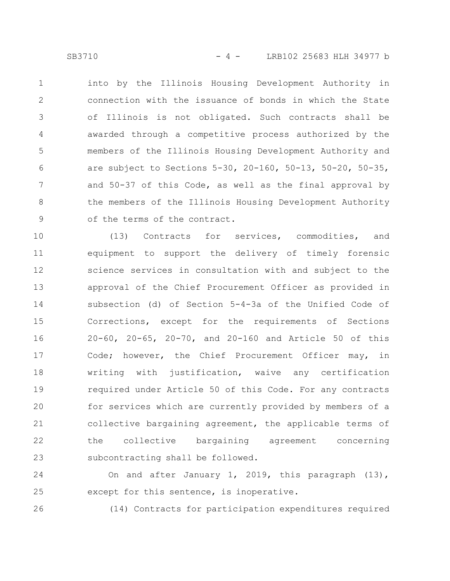into by the Illinois Housing Development Authority in connection with the issuance of bonds in which the State of Illinois is not obligated. Such contracts shall be awarded through a competitive process authorized by the members of the Illinois Housing Development Authority and are subject to Sections 5-30, 20-160, 50-13, 50-20, 50-35, and 50-37 of this Code, as well as the final approval by the members of the Illinois Housing Development Authority of the terms of the contract. 1 2 3 4 5 6 7 8 9

(13) Contracts for services, commodities, and equipment to support the delivery of timely forensic science services in consultation with and subject to the approval of the Chief Procurement Officer as provided in subsection (d) of Section 5-4-3a of the Unified Code of Corrections, except for the requirements of Sections 20-60, 20-65, 20-70, and 20-160 and Article 50 of this Code; however, the Chief Procurement Officer may, in writing with justification, waive any certification required under Article 50 of this Code. For any contracts for services which are currently provided by members of a collective bargaining agreement, the applicable terms of the collective bargaining agreement concerning subcontracting shall be followed. 10 11 12 13 14 15 16 17 18 19 20 21 22 23

On and after January 1, 2019, this paragraph (13), except for this sentence, is inoperative. 24 25

26

(14) Contracts for participation expenditures required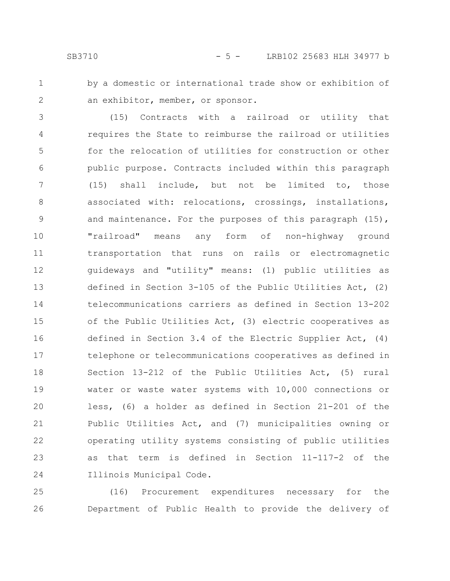1 2 by a domestic or international trade show or exhibition of an exhibitor, member, or sponsor.

(15) Contracts with a railroad or utility that requires the State to reimburse the railroad or utilities for the relocation of utilities for construction or other public purpose. Contracts included within this paragraph (15) shall include, but not be limited to, those associated with: relocations, crossings, installations, and maintenance. For the purposes of this paragraph (15), "railroad" means any form of non-highway ground transportation that runs on rails or electromagnetic guideways and "utility" means: (1) public utilities as defined in Section 3-105 of the Public Utilities Act, (2) telecommunications carriers as defined in Section 13-202 of the Public Utilities Act, (3) electric cooperatives as defined in Section 3.4 of the Electric Supplier Act, (4) telephone or telecommunications cooperatives as defined in Section 13-212 of the Public Utilities Act, (5) rural water or waste water systems with 10,000 connections or less, (6) a holder as defined in Section 21-201 of the Public Utilities Act, and (7) municipalities owning or operating utility systems consisting of public utilities as that term is defined in Section 11-117-2 of the Illinois Municipal Code. 3 4 5 6 7 8 9 10 11 12 13 14 15 16 17 18 19 20 21 22 23 24

(16) Procurement expenditures necessary for the Department of Public Health to provide the delivery of 25 26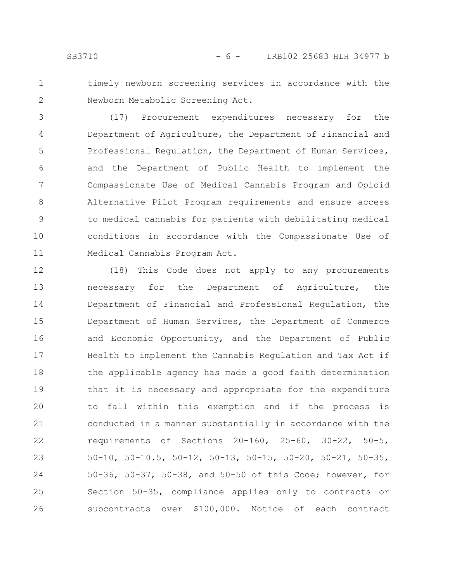1 2 timely newborn screening services in accordance with the Newborn Metabolic Screening Act.

(17) Procurement expenditures necessary for the Department of Agriculture, the Department of Financial and Professional Regulation, the Department of Human Services, and the Department of Public Health to implement the Compassionate Use of Medical Cannabis Program and Opioid Alternative Pilot Program requirements and ensure access to medical cannabis for patients with debilitating medical conditions in accordance with the Compassionate Use of Medical Cannabis Program Act. 3 4 5 6 7 8 9 10 11

(18) This Code does not apply to any procurements necessary for the Department of Agriculture, the Department of Financial and Professional Regulation, the Department of Human Services, the Department of Commerce and Economic Opportunity, and the Department of Public Health to implement the Cannabis Regulation and Tax Act if the applicable agency has made a good faith determination that it is necessary and appropriate for the expenditure to fall within this exemption and if the process is conducted in a manner substantially in accordance with the requirements of Sections 20-160, 25-60, 30-22, 50-5, 50-10, 50-10.5, 50-12, 50-13, 50-15, 50-20, 50-21, 50-35, 50-36, 50-37, 50-38, and 50-50 of this Code; however, for Section 50-35, compliance applies only to contracts or subcontracts over \$100,000. Notice of each contract 12 13 14 15 16 17 18 19 20 21 22 23 24 25 26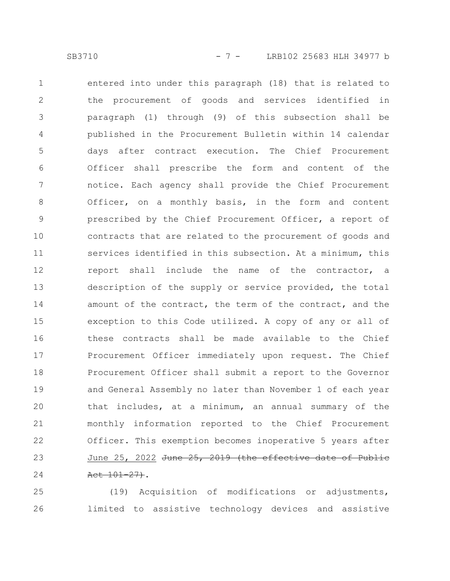entered into under this paragraph (18) that is related to the procurement of goods and services identified in paragraph (1) through (9) of this subsection shall be published in the Procurement Bulletin within 14 calendar days after contract execution. The Chief Procurement Officer shall prescribe the form and content of the notice. Each agency shall provide the Chief Procurement Officer, on a monthly basis, in the form and content prescribed by the Chief Procurement Officer, a report of contracts that are related to the procurement of goods and services identified in this subsection. At a minimum, this report shall include the name of the contractor, a description of the supply or service provided, the total amount of the contract, the term of the contract, and the exception to this Code utilized. A copy of any or all of these contracts shall be made available to the Chief Procurement Officer immediately upon request. The Chief Procurement Officer shall submit a report to the Governor and General Assembly no later than November 1 of each year that includes, at a minimum, an annual summary of the monthly information reported to the Chief Procurement Officer. This exemption becomes inoperative 5 years after June 25, 2022 June  $25$ , 2019 (the effective date Act 101-27). 1 2 3 4 5 6 7 8 9 10 11 12 13 14 15 16 17 18 19 20 21 22 23 24

(19) Acquisition of modifications or adjustments, limited to assistive technology devices and assistive 25 26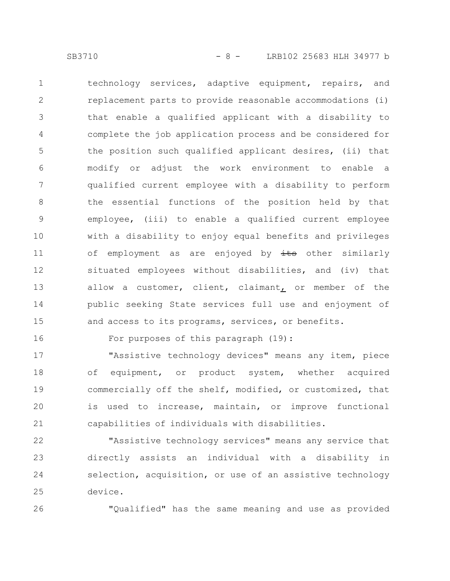technology services, adaptive equipment, repairs, and replacement parts to provide reasonable accommodations (i) that enable a qualified applicant with a disability to complete the job application process and be considered for the position such qualified applicant desires, (ii) that modify or adjust the work environment to enable a qualified current employee with a disability to perform the essential functions of the position held by that employee, (iii) to enable a qualified current employee with a disability to enjoy equal benefits and privileges of employment as are enjoyed by its other similarly situated employees without disabilities, and (iv) that allow a customer, client, claimant, or member of the public seeking State services full use and enjoyment of and access to its programs, services, or benefits. 1 2 3 4 5 6 7 8 9 10 11 12 13 14 15

16

For purposes of this paragraph (19):

"Assistive technology devices" means any item, piece of equipment, or product system, whether acquired commercially off the shelf, modified, or customized, that is used to increase, maintain, or improve functional capabilities of individuals with disabilities. 17 18 19 20 21

"Assistive technology services" means any service that directly assists an individual with a disability in selection, acquisition, or use of an assistive technology device. 22 23 24 25

26

"Qualified" has the same meaning and use as provided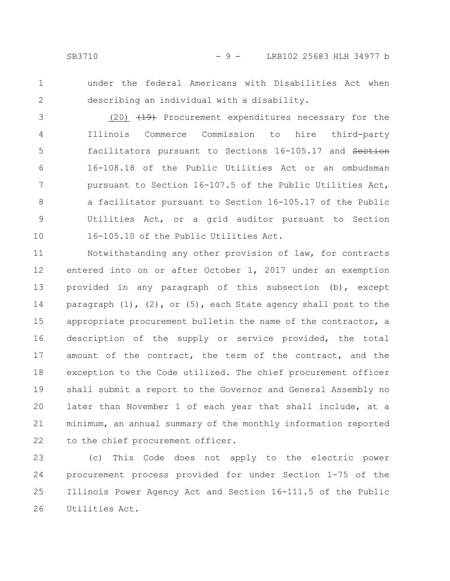1 2 under the federal Americans with Disabilities Act when describing an individual with a disability.

(20)  $(19)$  Procurement expenditures necessary for the Illinois Commerce Commission to hire third-party facilitators pursuant to Sections 16-105.17 and Section 16-108.18 of the Public Utilities Act or an ombudsman pursuant to Section 16-107.5 of the Public Utilities Act, a facilitator pursuant to Section 16-105.17 of the Public Utilities Act, or a grid auditor pursuant to Section 16-105.10 of the Public Utilities Act. 3 4 5 6 7 8 9 10

Notwithstanding any other provision of law, for contracts entered into on or after October 1, 2017 under an exemption provided in any paragraph of this subsection (b), except paragraph  $(1)$ ,  $(2)$ , or  $(5)$ , each State agency shall post to the appropriate procurement bulletin the name of the contractor, a description of the supply or service provided, the total amount of the contract, the term of the contract, and the exception to the Code utilized. The chief procurement officer shall submit a report to the Governor and General Assembly no later than November 1 of each year that shall include, at a minimum, an annual summary of the monthly information reported to the chief procurement officer. 11 12 13 14 15 16 17 18 19 20 21 22

(c) This Code does not apply to the electric power procurement process provided for under Section 1-75 of the Illinois Power Agency Act and Section 16-111.5 of the Public Utilities Act. 23 24 25 26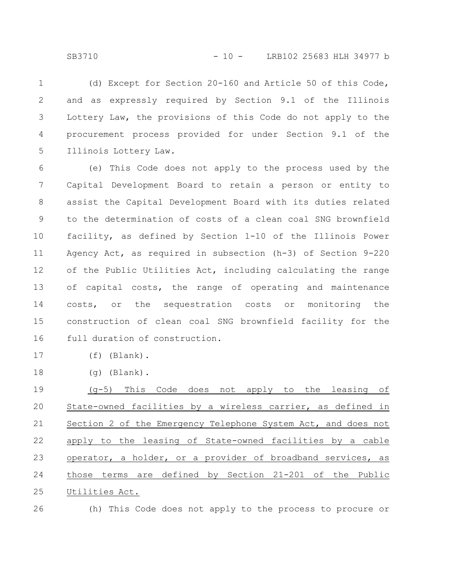(d) Except for Section 20-160 and Article 50 of this Code, and as expressly required by Section 9.1 of the Illinois Lottery Law, the provisions of this Code do not apply to the procurement process provided for under Section 9.1 of the Illinois Lottery Law. 1 2 3 4 5

(e) This Code does not apply to the process used by the Capital Development Board to retain a person or entity to assist the Capital Development Board with its duties related to the determination of costs of a clean coal SNG brownfield facility, as defined by Section 1-10 of the Illinois Power Agency Act, as required in subsection (h-3) of Section 9-220 of the Public Utilities Act, including calculating the range of capital costs, the range of operating and maintenance costs, or the sequestration costs or monitoring the construction of clean coal SNG brownfield facility for the full duration of construction. 6 7 8 9 10 11 12 13 14 15 16

- (f) (Blank). 17
- (g) (Blank). 18

(g-5) This Code does not apply to the leasing of State-owned facilities by a wireless carrier, as defined in Section 2 of the Emergency Telephone System Act, and does not apply to the leasing of State-owned facilities by a cable operator, a holder, or a provider of broadband services, as those terms are defined by Section 21-201 of the Public Utilities Act. 19 20 21 22 23 24 25

26

(h) This Code does not apply to the process to procure or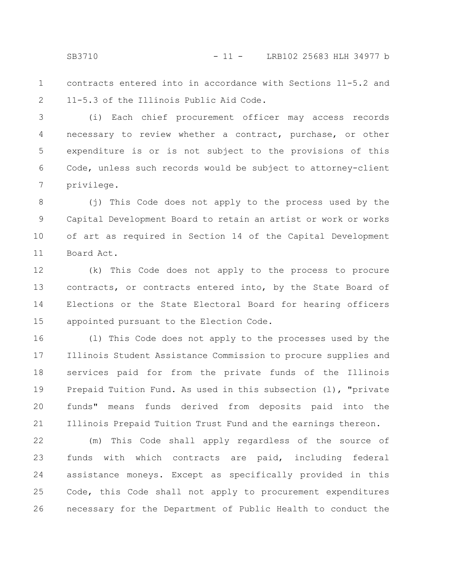SB3710 - 11 - LRB102 25683 HLH 34977 b

contracts entered into in accordance with Sections 11-5.2 and 11-5.3 of the Illinois Public Aid Code. 1 2

(i) Each chief procurement officer may access records necessary to review whether a contract, purchase, or other expenditure is or is not subject to the provisions of this Code, unless such records would be subject to attorney-client privilege. 3 4 5 6 7

(j) This Code does not apply to the process used by the Capital Development Board to retain an artist or work or works of art as required in Section 14 of the Capital Development Board Act. 8 9 10 11

(k) This Code does not apply to the process to procure contracts, or contracts entered into, by the State Board of Elections or the State Electoral Board for hearing officers appointed pursuant to the Election Code. 12 13 14 15

(l) This Code does not apply to the processes used by the Illinois Student Assistance Commission to procure supplies and services paid for from the private funds of the Illinois Prepaid Tuition Fund. As used in this subsection (l), "private funds" means funds derived from deposits paid into the Illinois Prepaid Tuition Trust Fund and the earnings thereon. 16 17 18 19 20 21

(m) This Code shall apply regardless of the source of funds with which contracts are paid, including federal assistance moneys. Except as specifically provided in this Code, this Code shall not apply to procurement expenditures necessary for the Department of Public Health to conduct the 22 23 24 25 26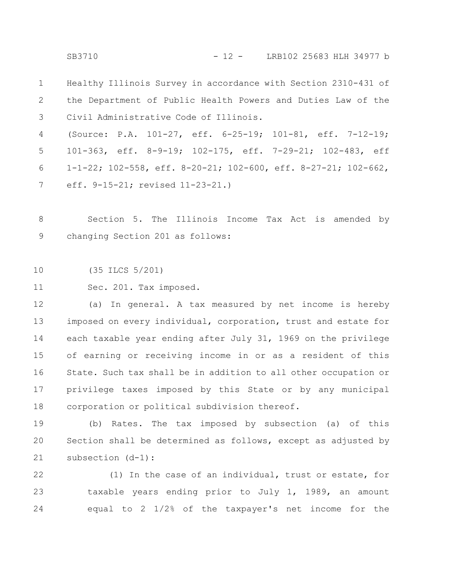SB3710 - 12 - LRB102 25683 HLH 34977 b

Healthy Illinois Survey in accordance with Section 2310-431 of the Department of Public Health Powers and Duties Law of the Civil Administrative Code of Illinois. 1 2 3

(Source: P.A. 101-27, eff. 6-25-19; 101-81, eff. 7-12-19; 101-363, eff. 8-9-19; 102-175, eff. 7-29-21; 102-483, eff 1-1-22; 102-558, eff. 8-20-21; 102-600, eff. 8-27-21; 102-662, eff. 9-15-21; revised 11-23-21.) 4 5 6 7

Section 5. The Illinois Income Tax Act is amended by changing Section 201 as follows: 8 9

(35 ILCS 5/201) 10

Sec. 201. Tax imposed. 11

(a) In general. A tax measured by net income is hereby imposed on every individual, corporation, trust and estate for each taxable year ending after July 31, 1969 on the privilege of earning or receiving income in or as a resident of this State. Such tax shall be in addition to all other occupation or privilege taxes imposed by this State or by any municipal corporation or political subdivision thereof. 12 13 14 15 16 17 18

(b) Rates. The tax imposed by subsection (a) of this Section shall be determined as follows, except as adjusted by subsection (d-1): 19 20 21

(1) In the case of an individual, trust or estate, for taxable years ending prior to July 1, 1989, an amount equal to 2 1/2% of the taxpayer's net income for the 22 23 24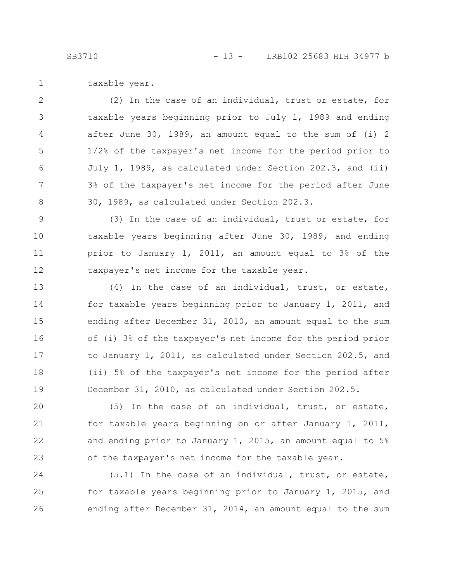taxable year. 1

(2) In the case of an individual, trust or estate, for taxable years beginning prior to July 1, 1989 and ending after June 30, 1989, an amount equal to the sum of (i) 2 1/2% of the taxpayer's net income for the period prior to July 1, 1989, as calculated under Section 202.3, and (ii) 3% of the taxpayer's net income for the period after June 30, 1989, as calculated under Section 202.3. 2 3 4 5 6 7 8

(3) In the case of an individual, trust or estate, for taxable years beginning after June 30, 1989, and ending prior to January 1, 2011, an amount equal to 3% of the taxpayer's net income for the taxable year. 9 10 11 12

(4) In the case of an individual, trust, or estate, for taxable years beginning prior to January 1, 2011, and ending after December 31, 2010, an amount equal to the sum of (i) 3% of the taxpayer's net income for the period prior to January 1, 2011, as calculated under Section 202.5, and (ii) 5% of the taxpayer's net income for the period after December 31, 2010, as calculated under Section 202.5. 13 14 15 16 17 18 19

(5) In the case of an individual, trust, or estate, for taxable years beginning on or after January 1, 2011, and ending prior to January 1, 2015, an amount equal to 5% of the taxpayer's net income for the taxable year. 20 21 22 23

(5.1) In the case of an individual, trust, or estate, for taxable years beginning prior to January 1, 2015, and ending after December 31, 2014, an amount equal to the sum 24 25 26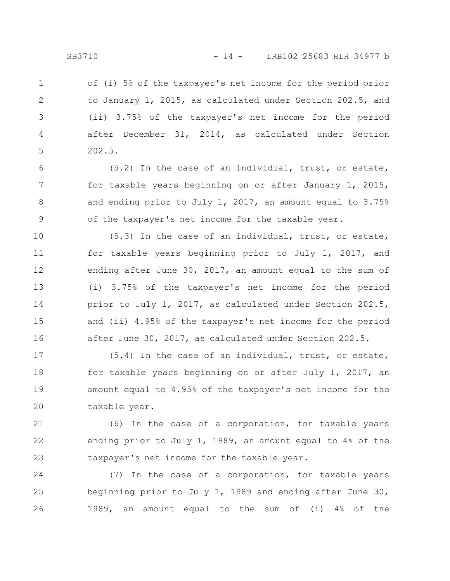of (i) 5% of the taxpayer's net income for the period prior to January 1, 2015, as calculated under Section 202.5, and (ii) 3.75% of the taxpayer's net income for the period after December 31, 2014, as calculated under Section 202.5. 1 2 3 4 5

(5.2) In the case of an individual, trust, or estate, for taxable years beginning on or after January 1, 2015, and ending prior to July 1, 2017, an amount equal to 3.75% of the taxpayer's net income for the taxable year. 6 7 8 9

(5.3) In the case of an individual, trust, or estate, for taxable years beginning prior to July 1, 2017, and ending after June 30, 2017, an amount equal to the sum of (i) 3.75% of the taxpayer's net income for the period prior to July 1, 2017, as calculated under Section 202.5, and (ii) 4.95% of the taxpayer's net income for the period after June 30, 2017, as calculated under Section 202.5. 10 11 12 13 14 15 16

(5.4) In the case of an individual, trust, or estate, for taxable years beginning on or after July 1, 2017, an amount equal to 4.95% of the taxpayer's net income for the taxable year. 17 18 19 20

(6) In the case of a corporation, for taxable years ending prior to July 1, 1989, an amount equal to 4% of the taxpayer's net income for the taxable year. 21 22 23

(7) In the case of a corporation, for taxable years beginning prior to July 1, 1989 and ending after June 30, 1989, an amount equal to the sum of (i) 4% of the 24 25 26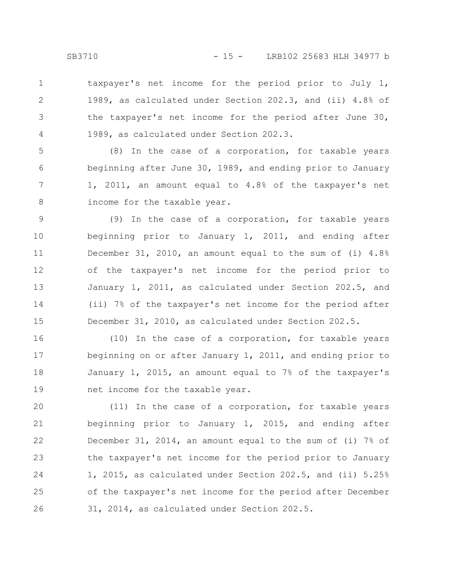taxpayer's net income for the period prior to July 1, 1989, as calculated under Section 202.3, and (ii) 4.8% of the taxpayer's net income for the period after June 30, 1989, as calculated under Section 202.3. 1 2 3 4

(8) In the case of a corporation, for taxable years beginning after June 30, 1989, and ending prior to January 1, 2011, an amount equal to 4.8% of the taxpayer's net income for the taxable year. 5 6 7 8

(9) In the case of a corporation, for taxable years beginning prior to January 1, 2011, and ending after December 31, 2010, an amount equal to the sum of (i) 4.8% of the taxpayer's net income for the period prior to January 1, 2011, as calculated under Section 202.5, and (ii) 7% of the taxpayer's net income for the period after December 31, 2010, as calculated under Section 202.5. 9 10 11 12 13 14 15

(10) In the case of a corporation, for taxable years beginning on or after January 1, 2011, and ending prior to January 1, 2015, an amount equal to 7% of the taxpayer's net income for the taxable year. 16 17 18 19

(11) In the case of a corporation, for taxable years beginning prior to January 1, 2015, and ending after December 31, 2014, an amount equal to the sum of (i) 7% of the taxpayer's net income for the period prior to January 1, 2015, as calculated under Section 202.5, and (ii) 5.25% of the taxpayer's net income for the period after December 31, 2014, as calculated under Section 202.5. 20 21 22 23 24 25 26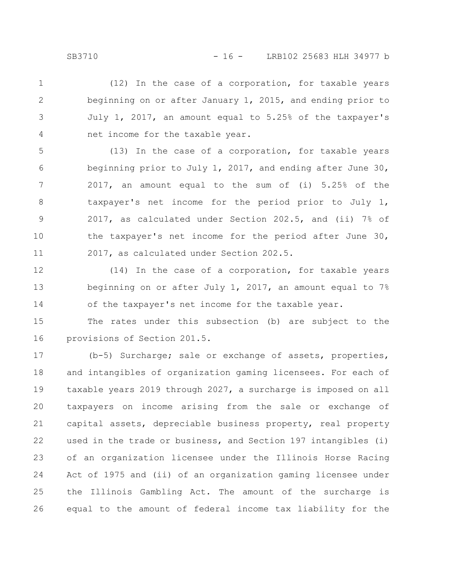(12) In the case of a corporation, for taxable years beginning on or after January 1, 2015, and ending prior to July 1, 2017, an amount equal to 5.25% of the taxpayer's net income for the taxable year. 1 2 3 4

(13) In the case of a corporation, for taxable years beginning prior to July 1, 2017, and ending after June 30, 2017, an amount equal to the sum of (i) 5.25% of the taxpayer's net income for the period prior to July 1, 2017, as calculated under Section 202.5, and (ii) 7% of the taxpayer's net income for the period after June 30, 2017, as calculated under Section 202.5. 5 6 7 8 9 10 11

(14) In the case of a corporation, for taxable years beginning on or after July 1, 2017, an amount equal to  $7\%$ of the taxpayer's net income for the taxable year. 12 13 14

The rates under this subsection (b) are subject to the provisions of Section 201.5. 15 16

(b-5) Surcharge; sale or exchange of assets, properties, and intangibles of organization gaming licensees. For each of taxable years 2019 through 2027, a surcharge is imposed on all taxpayers on income arising from the sale or exchange of capital assets, depreciable business property, real property used in the trade or business, and Section 197 intangibles (i) of an organization licensee under the Illinois Horse Racing Act of 1975 and (ii) of an organization gaming licensee under the Illinois Gambling Act. The amount of the surcharge is equal to the amount of federal income tax liability for the 17 18 19 20 21 22 23 24 25 26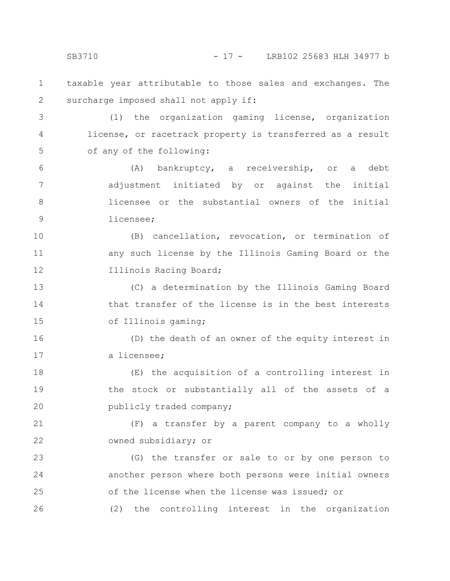SB3710 - 17 - LRB102 25683 HLH 34977 b

taxable year attributable to those sales and exchanges. The surcharge imposed shall not apply if: 1 2

(1) the organization gaming license, organization license, or racetrack property is transferred as a result of any of the following: 3 4 5

(A) bankruptcy, a receivership, or a debt adjustment initiated by or against the initial licensee or the substantial owners of the initial licensee; 6 7 8 9

(B) cancellation, revocation, or termination of any such license by the Illinois Gaming Board or the Illinois Racing Board; 10 11 12

(C) a determination by the Illinois Gaming Board that transfer of the license is in the best interests of Illinois gaming; 13 14 15

(D) the death of an owner of the equity interest in a licensee; 16 17

(E) the acquisition of a controlling interest in the stock or substantially all of the assets of a publicly traded company; 18 19 20

(F) a transfer by a parent company to a wholly owned subsidiary; or 21 22

(G) the transfer or sale to or by one person to another person where both persons were initial owners of the license when the license was issued; or (2) the controlling interest in the organization 23 24 25 26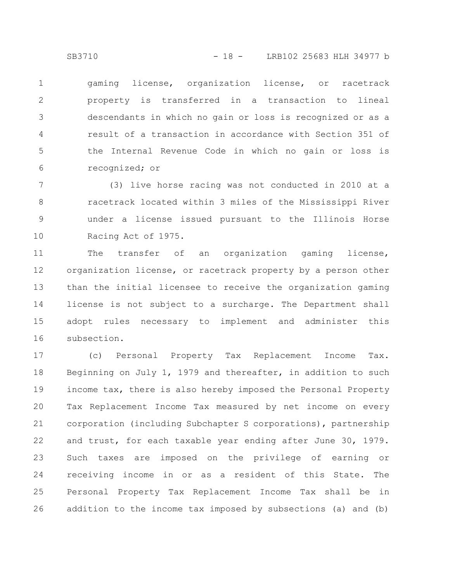gaming license, organization license, or racetrack property is transferred in a transaction to lineal descendants in which no gain or loss is recognized or as a result of a transaction in accordance with Section 351 of the Internal Revenue Code in which no gain or loss is recognized; or 1 2 3 4 5 6

(3) live horse racing was not conducted in 2010 at a racetrack located within 3 miles of the Mississippi River under a license issued pursuant to the Illinois Horse Racing Act of 1975. 7 8 9 10

The transfer of an organization gaming license, organization license, or racetrack property by a person other than the initial licensee to receive the organization gaming license is not subject to a surcharge. The Department shall adopt rules necessary to implement and administer this subsection. 11 12 13 14 15 16

(c) Personal Property Tax Replacement Income Tax. Beginning on July 1, 1979 and thereafter, in addition to such income tax, there is also hereby imposed the Personal Property Tax Replacement Income Tax measured by net income on every corporation (including Subchapter S corporations), partnership and trust, for each taxable year ending after June 30, 1979. Such taxes are imposed on the privilege of earning or receiving income in or as a resident of this State. The Personal Property Tax Replacement Income Tax shall be in addition to the income tax imposed by subsections (a) and (b) 17 18 19 20 21 22 23 24 25 26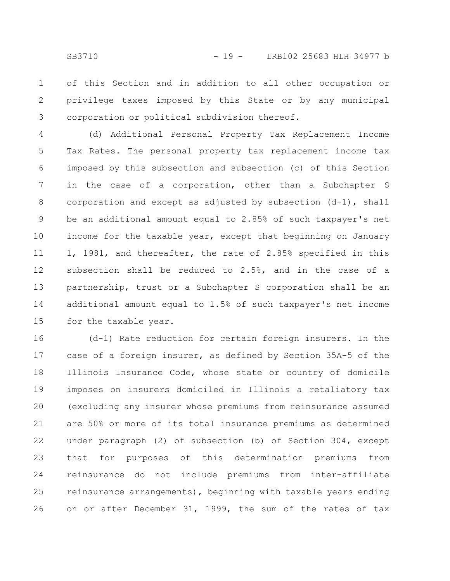of this Section and in addition to all other occupation or privilege taxes imposed by this State or by any municipal corporation or political subdivision thereof. 1 2 3

(d) Additional Personal Property Tax Replacement Income Tax Rates. The personal property tax replacement income tax imposed by this subsection and subsection (c) of this Section in the case of a corporation, other than a Subchapter S corporation and except as adjusted by subsection (d-1), shall be an additional amount equal to 2.85% of such taxpayer's net income for the taxable year, except that beginning on January 1, 1981, and thereafter, the rate of 2.85% specified in this subsection shall be reduced to 2.5%, and in the case of a partnership, trust or a Subchapter S corporation shall be an additional amount equal to 1.5% of such taxpayer's net income for the taxable year. 4 5 6 7 8 9 10 11 12 13 14 15

(d-1) Rate reduction for certain foreign insurers. In the case of a foreign insurer, as defined by Section 35A-5 of the Illinois Insurance Code, whose state or country of domicile imposes on insurers domiciled in Illinois a retaliatory tax (excluding any insurer whose premiums from reinsurance assumed are 50% or more of its total insurance premiums as determined under paragraph (2) of subsection (b) of Section 304, except that for purposes of this determination premiums from reinsurance do not include premiums from inter-affiliate reinsurance arrangements), beginning with taxable years ending on or after December 31, 1999, the sum of the rates of tax 16 17 18 19 20 21 22 23 24 25 26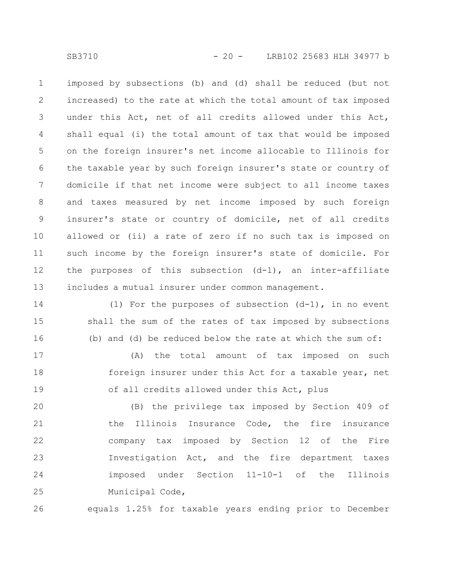imposed by subsections (b) and (d) shall be reduced (but not increased) to the rate at which the total amount of tax imposed under this Act, net of all credits allowed under this Act, shall equal (i) the total amount of tax that would be imposed on the foreign insurer's net income allocable to Illinois for the taxable year by such foreign insurer's state or country of domicile if that net income were subject to all income taxes and taxes measured by net income imposed by such foreign insurer's state or country of domicile, net of all credits allowed or (ii) a rate of zero if no such tax is imposed on such income by the foreign insurer's state of domicile. For the purposes of this subsection (d-1), an inter-affiliate includes a mutual insurer under common management. 1 2 3 4 5 6 7 8 9 10 11 12 13

(1) For the purposes of subsection  $(d-1)$ , in no event shall the sum of the rates of tax imposed by subsections (b) and (d) be reduced below the rate at which the sum of: 14 15 16

(A) the total amount of tax imposed on such foreign insurer under this Act for a taxable year, net of all credits allowed under this Act, plus 17 18 19

(B) the privilege tax imposed by Section 409 of the Illinois Insurance Code, the fire insurance company tax imposed by Section 12 of the Fire Investigation Act, and the fire department taxes imposed under Section 11-10-1 of the Illinois Municipal Code, 20 21 22 23 24 25

equals 1.25% for taxable years ending prior to December 26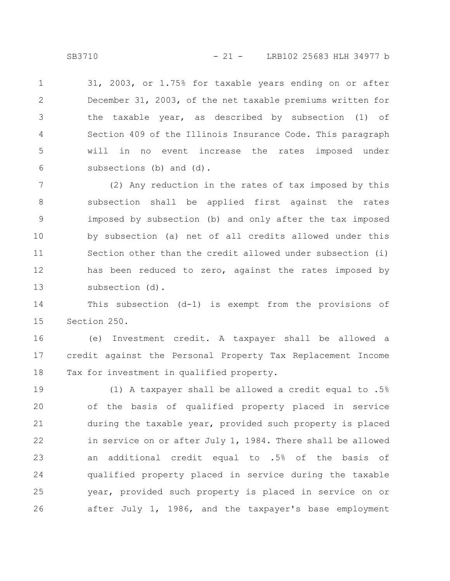31, 2003, or 1.75% for taxable years ending on or after December 31, 2003, of the net taxable premiums written for the taxable year, as described by subsection (1) of Section 409 of the Illinois Insurance Code. This paragraph will in no event increase the rates imposed under subsections (b) and (d). 1 2 3 4 5 6

(2) Any reduction in the rates of tax imposed by this subsection shall be applied first against the rates imposed by subsection (b) and only after the tax imposed by subsection (a) net of all credits allowed under this Section other than the credit allowed under subsection (i) has been reduced to zero, against the rates imposed by subsection (d). 7 8 9 10 11 12 13

This subsection (d-1) is exempt from the provisions of Section 250. 14 15

(e) Investment credit. A taxpayer shall be allowed a credit against the Personal Property Tax Replacement Income Tax for investment in qualified property. 16 17 18

(1) A taxpayer shall be allowed a credit equal to .5% of the basis of qualified property placed in service during the taxable year, provided such property is placed in service on or after July 1, 1984. There shall be allowed an additional credit equal to .5% of the basis of qualified property placed in service during the taxable year, provided such property is placed in service on or after July 1, 1986, and the taxpayer's base employment 19 20 21 22 23 24 25 26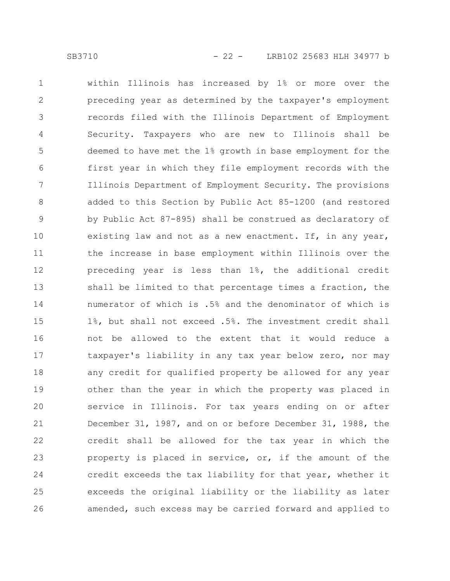within Illinois has increased by 1% or more over the preceding year as determined by the taxpayer's employment records filed with the Illinois Department of Employment Security. Taxpayers who are new to Illinois shall be deemed to have met the 1% growth in base employment for the first year in which they file employment records with the Illinois Department of Employment Security. The provisions added to this Section by Public Act 85-1200 (and restored by Public Act 87-895) shall be construed as declaratory of existing law and not as a new enactment. If, in any year, the increase in base employment within Illinois over the preceding year is less than 1%, the additional credit shall be limited to that percentage times a fraction, the numerator of which is .5% and the denominator of which is 1%, but shall not exceed .5%. The investment credit shall not be allowed to the extent that it would reduce a taxpayer's liability in any tax year below zero, nor may any credit for qualified property be allowed for any year other than the year in which the property was placed in service in Illinois. For tax years ending on or after December 31, 1987, and on or before December 31, 1988, the credit shall be allowed for the tax year in which the property is placed in service, or, if the amount of the credit exceeds the tax liability for that year, whether it exceeds the original liability or the liability as later amended, such excess may be carried forward and applied to 1 2 3 4 5 6 7 8 9 10 11 12 13 14 15 16 17 18 19 20 21 22 23 24 25 26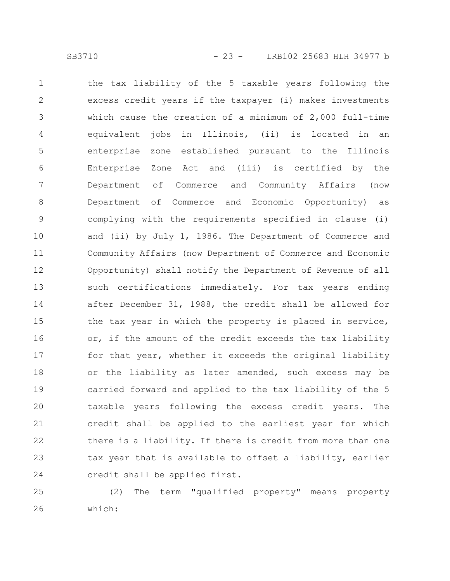the tax liability of the 5 taxable years following the excess credit years if the taxpayer (i) makes investments which cause the creation of a minimum of 2,000 full-time equivalent jobs in Illinois, (ii) is located in an enterprise zone established pursuant to the Illinois Enterprise Zone Act and (iii) is certified by the Department of Commerce and Community Affairs (now Department of Commerce and Economic Opportunity) as complying with the requirements specified in clause (i) and (ii) by July 1, 1986. The Department of Commerce and Community Affairs (now Department of Commerce and Economic Opportunity) shall notify the Department of Revenue of all such certifications immediately. For tax years ending after December 31, 1988, the credit shall be allowed for the tax year in which the property is placed in service, or, if the amount of the credit exceeds the tax liability for that year, whether it exceeds the original liability or the liability as later amended, such excess may be carried forward and applied to the tax liability of the 5 taxable years following the excess credit years. The credit shall be applied to the earliest year for which there is a liability. If there is credit from more than one tax year that is available to offset a liability, earlier credit shall be applied first. 1 2 3 4 5 6 7 8 9 10 11 12 13 14 15 16 17 18 19 20 21 22 23 24

(2) The term "qualified property" means property which: 25 26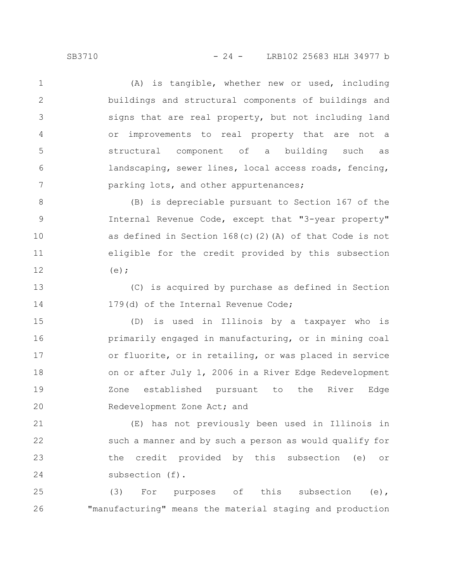(A) is tangible, whether new or used, including buildings and structural components of buildings and signs that are real property, but not including land or improvements to real property that are not a structural component of a building such as landscaping, sewer lines, local access roads, fencing, parking lots, and other appurtenances; 1 2 3 4 5 6 7

(B) is depreciable pursuant to Section 167 of the Internal Revenue Code, except that "3-year property" as defined in Section 168(c)(2)(A) of that Code is not eligible for the credit provided by this subsection  $(e)$ ; 8 9 10 11 12

(C) is acquired by purchase as defined in Section 179(d) of the Internal Revenue Code; 13 14

(D) is used in Illinois by a taxpayer who is primarily engaged in manufacturing, or in mining coal or fluorite, or in retailing, or was placed in service on or after July 1, 2006 in a River Edge Redevelopment Zone established pursuant to the River Edge Redevelopment Zone Act; and 15 16 17 18 19 20

(E) has not previously been used in Illinois in such a manner and by such a person as would qualify for the credit provided by this subsection (e) or subsection (f). 21 22 23 24

(3) For purposes of this subsection (e), "manufacturing" means the material staging and production 25 26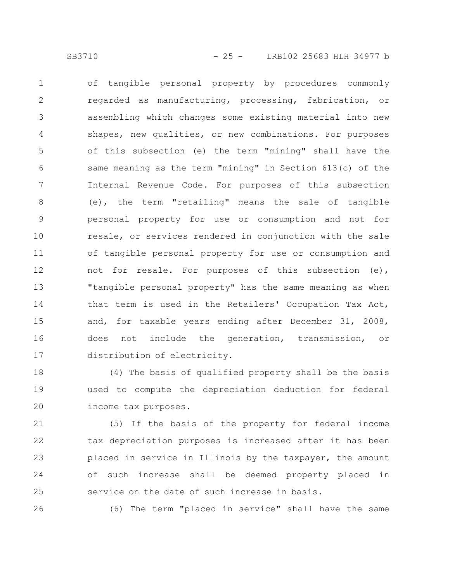of tangible personal property by procedures commonly regarded as manufacturing, processing, fabrication, or assembling which changes some existing material into new shapes, new qualities, or new combinations. For purposes of this subsection (e) the term "mining" shall have the same meaning as the term "mining" in Section 613(c) of the Internal Revenue Code. For purposes of this subsection (e), the term "retailing" means the sale of tangible personal property for use or consumption and not for resale, or services rendered in conjunction with the sale of tangible personal property for use or consumption and not for resale. For purposes of this subsection (e), "tangible personal property" has the same meaning as when that term is used in the Retailers' Occupation Tax Act, and, for taxable years ending after December 31, 2008, does not include the generation, transmission, or distribution of electricity. 1 2 3 4 5 6 7 8 9 10 11 12 13 14 15 16 17

(4) The basis of qualified property shall be the basis used to compute the depreciation deduction for federal income tax purposes. 18 19 20

(5) If the basis of the property for federal income tax depreciation purposes is increased after it has been placed in service in Illinois by the taxpayer, the amount of such increase shall be deemed property placed in service on the date of such increase in basis. 21 22 23 24 25

26

(6) The term "placed in service" shall have the same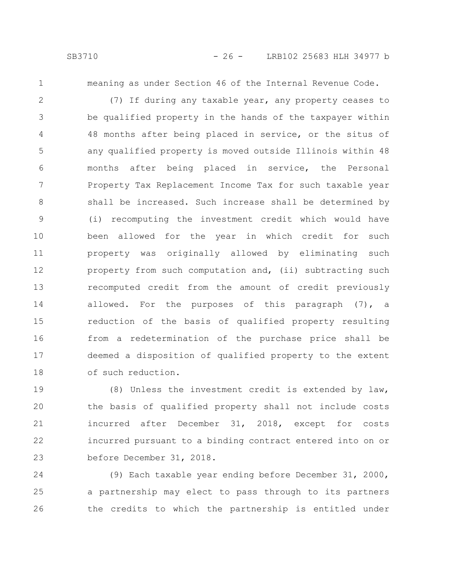1

meaning as under Section 46 of the Internal Revenue Code.

(7) If during any taxable year, any property ceases to be qualified property in the hands of the taxpayer within 48 months after being placed in service, or the situs of any qualified property is moved outside Illinois within 48 months after being placed in service, the Personal Property Tax Replacement Income Tax for such taxable year shall be increased. Such increase shall be determined by (i) recomputing the investment credit which would have been allowed for the year in which credit for such property was originally allowed by eliminating such property from such computation and, (ii) subtracting such recomputed credit from the amount of credit previously allowed. For the purposes of this paragraph (7), a reduction of the basis of qualified property resulting from a redetermination of the purchase price shall be deemed a disposition of qualified property to the extent of such reduction. 2 3 4 5 6 7 8 9 10 11 12 13 14 15 16 17 18

(8) Unless the investment credit is extended by law, the basis of qualified property shall not include costs incurred after December 31, 2018, except for costs incurred pursuant to a binding contract entered into on or before December 31, 2018. 19 20 21 22 23

(9) Each taxable year ending before December 31, 2000, a partnership may elect to pass through to its partners the credits to which the partnership is entitled under 24 25 26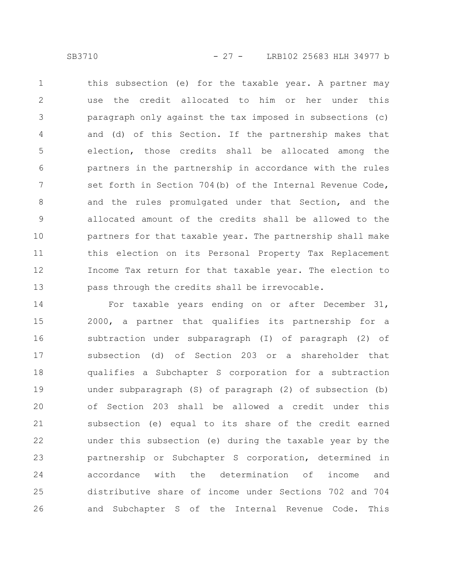this subsection (e) for the taxable year. A partner may use the credit allocated to him or her under this paragraph only against the tax imposed in subsections (c) and (d) of this Section. If the partnership makes that election, those credits shall be allocated among the partners in the partnership in accordance with the rules set forth in Section 704(b) of the Internal Revenue Code, and the rules promulgated under that Section, and the allocated amount of the credits shall be allowed to the partners for that taxable year. The partnership shall make this election on its Personal Property Tax Replacement Income Tax return for that taxable year. The election to pass through the credits shall be irrevocable. 1 2 3 4 5 6 7 8 9 10 11 12 13

For taxable years ending on or after December 31, 2000, a partner that qualifies its partnership for a subtraction under subparagraph (I) of paragraph (2) of subsection (d) of Section 203 or a shareholder that qualifies a Subchapter S corporation for a subtraction under subparagraph (S) of paragraph (2) of subsection (b) of Section 203 shall be allowed a credit under this subsection (e) equal to its share of the credit earned under this subsection (e) during the taxable year by the partnership or Subchapter S corporation, determined in accordance with the determination of income and distributive share of income under Sections 702 and 704 and Subchapter S of the Internal Revenue Code. This 14 15 16 17 18 19 20 21 22 23 24 25 26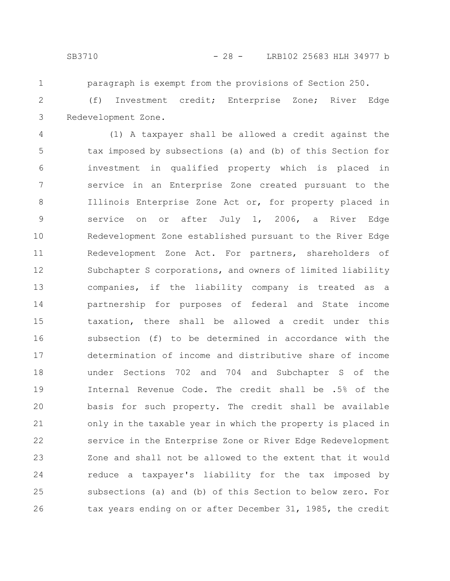1

paragraph is exempt from the provisions of Section 250.

(f) Investment credit; Enterprise Zone; River Edge Redevelopment Zone. 2 3

(1) A taxpayer shall be allowed a credit against the tax imposed by subsections (a) and (b) of this Section for investment in qualified property which is placed in service in an Enterprise Zone created pursuant to the Illinois Enterprise Zone Act or, for property placed in service on or after July 1, 2006, a River Edge Redevelopment Zone established pursuant to the River Edge Redevelopment Zone Act. For partners, shareholders of Subchapter S corporations, and owners of limited liability companies, if the liability company is treated as a partnership for purposes of federal and State income taxation, there shall be allowed a credit under this subsection (f) to be determined in accordance with the determination of income and distributive share of income under Sections 702 and 704 and Subchapter S of the Internal Revenue Code. The credit shall be .5% of the basis for such property. The credit shall be available only in the taxable year in which the property is placed in service in the Enterprise Zone or River Edge Redevelopment Zone and shall not be allowed to the extent that it would reduce a taxpayer's liability for the tax imposed by subsections (a) and (b) of this Section to below zero. For tax years ending on or after December 31, 1985, the credit 4 5 6 7 8 9 10 11 12 13 14 15 16 17 18 19 20 21 22 23 24 25 26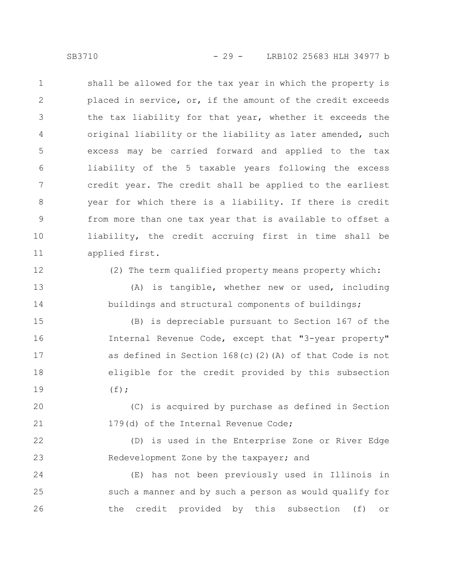shall be allowed for the tax year in which the property is placed in service, or, if the amount of the credit exceeds the tax liability for that year, whether it exceeds the original liability or the liability as later amended, such excess may be carried forward and applied to the tax liability of the 5 taxable years following the excess credit year. The credit shall be applied to the earliest year for which there is a liability. If there is credit from more than one tax year that is available to offset a liability, the credit accruing first in time shall be applied first. 1 2 3 4 5 6 7 8 9 10 11

12

13

14

(2) The term qualified property means property which:

(A) is tangible, whether new or used, including buildings and structural components of buildings;

(B) is depreciable pursuant to Section 167 of the Internal Revenue Code, except that "3-year property" as defined in Section  $168(c)(2)(A)$  of that Code is not eligible for the credit provided by this subsection  $(f)$ ; 15 16 17 18 19

(C) is acquired by purchase as defined in Section 179(d) of the Internal Revenue Code; 20 21

(D) is used in the Enterprise Zone or River Edge Redevelopment Zone by the taxpayer; and 22 23

(E) has not been previously used in Illinois in such a manner and by such a person as would qualify for the credit provided by this subsection (f) or 24 25 26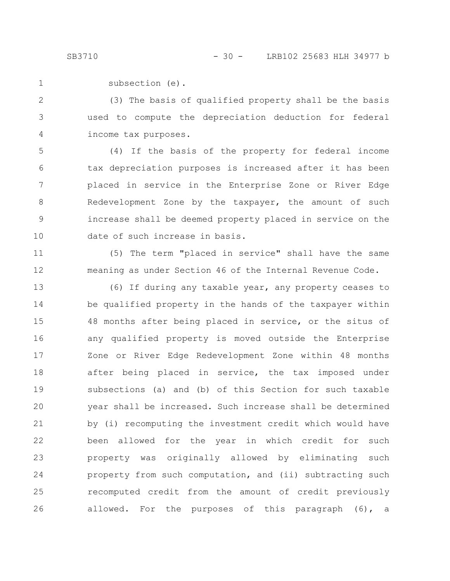subsection (e). 1

(3) The basis of qualified property shall be the basis used to compute the depreciation deduction for federal income tax purposes. 2 3 4

(4) If the basis of the property for federal income tax depreciation purposes is increased after it has been placed in service in the Enterprise Zone or River Edge Redevelopment Zone by the taxpayer, the amount of such increase shall be deemed property placed in service on the date of such increase in basis. 5 6 7 8 9 10

(5) The term "placed in service" shall have the same meaning as under Section 46 of the Internal Revenue Code. 11 12

(6) If during any taxable year, any property ceases to be qualified property in the hands of the taxpayer within 48 months after being placed in service, or the situs of any qualified property is moved outside the Enterprise Zone or River Edge Redevelopment Zone within 48 months after being placed in service, the tax imposed under subsections (a) and (b) of this Section for such taxable year shall be increased. Such increase shall be determined by (i) recomputing the investment credit which would have been allowed for the year in which credit for such property was originally allowed by eliminating such property from such computation, and (ii) subtracting such recomputed credit from the amount of credit previously allowed. For the purposes of this paragraph (6), a 13 14 15 16 17 18 19 20 21 22 23 24 25 26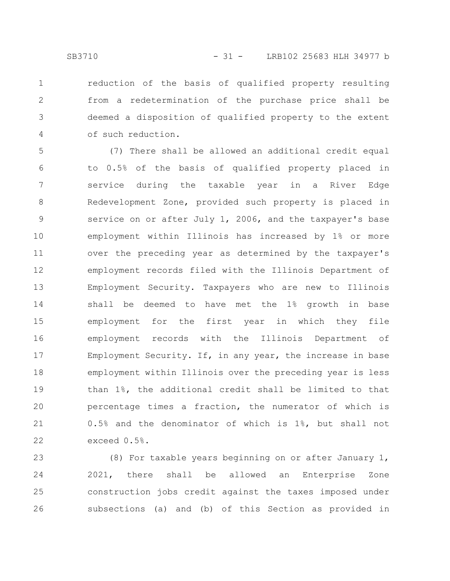reduction of the basis of qualified property resulting from a redetermination of the purchase price shall be deemed a disposition of qualified property to the extent of such reduction. 1 2 3 4

(7) There shall be allowed an additional credit equal to 0.5% of the basis of qualified property placed in service during the taxable year in a River Edge Redevelopment Zone, provided such property is placed in service on or after July 1, 2006, and the taxpayer's base employment within Illinois has increased by 1% or more over the preceding year as determined by the taxpayer's employment records filed with the Illinois Department of Employment Security. Taxpayers who are new to Illinois shall be deemed to have met the 1% growth in base employment for the first year in which they file employment records with the Illinois Department of Employment Security. If, in any year, the increase in base employment within Illinois over the preceding year is less than 1%, the additional credit shall be limited to that percentage times a fraction, the numerator of which is 0.5% and the denominator of which is 1%, but shall not exceed 0.5%. 5 6 7 8 9 10 11 12 13 14 15 16 17 18 19 20 21 22

(8) For taxable years beginning on or after January 1, 2021, there shall be allowed an Enterprise Zone construction jobs credit against the taxes imposed under subsections (a) and (b) of this Section as provided in 23 24 25 26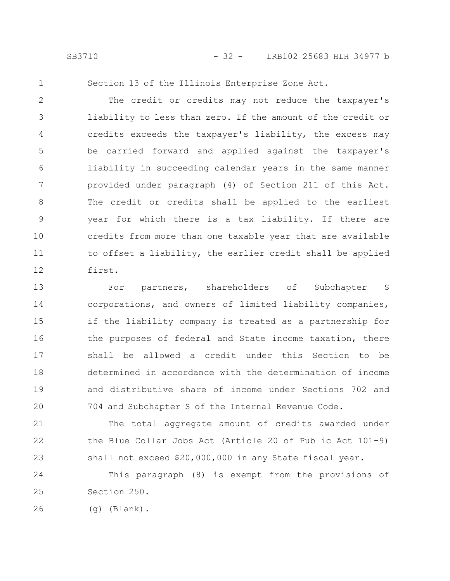1

Section 13 of the Illinois Enterprise Zone Act.

The credit or credits may not reduce the taxpayer's liability to less than zero. If the amount of the credit or credits exceeds the taxpayer's liability, the excess may be carried forward and applied against the taxpayer's liability in succeeding calendar years in the same manner provided under paragraph (4) of Section 211 of this Act. The credit or credits shall be applied to the earliest year for which there is a tax liability. If there are credits from more than one taxable year that are available to offset a liability, the earlier credit shall be applied first. 2 3 4 5 6 7 8 9 10 11 12

For partners, shareholders of Subchapter S corporations, and owners of limited liability companies, if the liability company is treated as a partnership for the purposes of federal and State income taxation, there shall be allowed a credit under this Section to be determined in accordance with the determination of income and distributive share of income under Sections 702 and 704 and Subchapter S of the Internal Revenue Code. 13 14 15 16 17 18 19 20

The total aggregate amount of credits awarded under the Blue Collar Jobs Act (Article 20 of Public Act 101-9) shall not exceed \$20,000,000 in any State fiscal year. 21 22 23

This paragraph (8) is exempt from the provisions of Section 250. 24 25

(g) (Blank). 26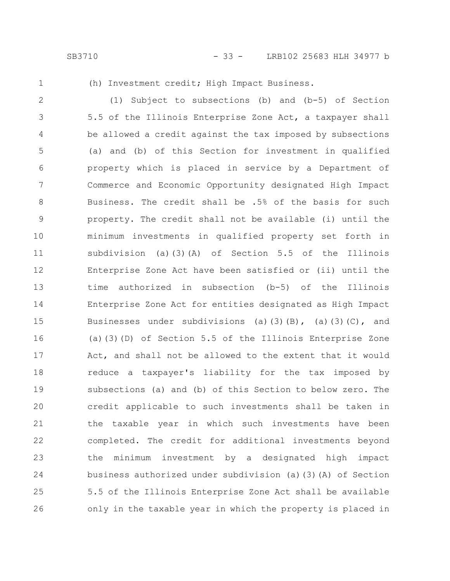- 
- 1

(h) Investment credit; High Impact Business.

(1) Subject to subsections (b) and (b-5) of Section 5.5 of the Illinois Enterprise Zone Act, a taxpayer shall be allowed a credit against the tax imposed by subsections (a) and (b) of this Section for investment in qualified property which is placed in service by a Department of Commerce and Economic Opportunity designated High Impact Business. The credit shall be .5% of the basis for such property. The credit shall not be available (i) until the minimum investments in qualified property set forth in subdivision (a)(3)(A) of Section 5.5 of the Illinois Enterprise Zone Act have been satisfied or (ii) until the time authorized in subsection (b-5) of the Illinois Enterprise Zone Act for entities designated as High Impact Businesses under subdivisions (a)(3)(B), (a)(3)(C), and (a)(3)(D) of Section 5.5 of the Illinois Enterprise Zone Act, and shall not be allowed to the extent that it would reduce a taxpayer's liability for the tax imposed by subsections (a) and (b) of this Section to below zero. The credit applicable to such investments shall be taken in the taxable year in which such investments have been completed. The credit for additional investments beyond the minimum investment by a designated high impact business authorized under subdivision (a)(3)(A) of Section 5.5 of the Illinois Enterprise Zone Act shall be available only in the taxable year in which the property is placed in 2 3 4 5 6 7 8 9 10 11 12 13 14 15 16 17 18 19 20 21 22 23 24 25 26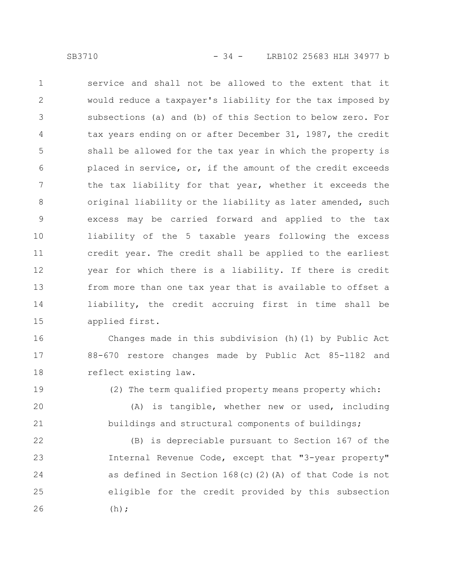service and shall not be allowed to the extent that it would reduce a taxpayer's liability for the tax imposed by subsections (a) and (b) of this Section to below zero. For tax years ending on or after December 31, 1987, the credit shall be allowed for the tax year in which the property is placed in service, or, if the amount of the credit exceeds the tax liability for that year, whether it exceeds the original liability or the liability as later amended, such excess may be carried forward and applied to the tax liability of the 5 taxable years following the excess credit year. The credit shall be applied to the earliest year for which there is a liability. If there is credit from more than one tax year that is available to offset a liability, the credit accruing first in time shall be applied first. 1 2 3 4 5 6 7 8 9 10 11 12 13 14 15

Changes made in this subdivision (h)(1) by Public Act 88-670 restore changes made by Public Act 85-1182 and reflect existing law. 16 17 18

19

(2) The term qualified property means property which:

(A) is tangible, whether new or used, including buildings and structural components of buildings; 20 21

(B) is depreciable pursuant to Section 167 of the Internal Revenue Code, except that "3-year property" as defined in Section 168(c)(2)(A) of that Code is not eligible for the credit provided by this subsection  $(h);$ 22 23 24 25 26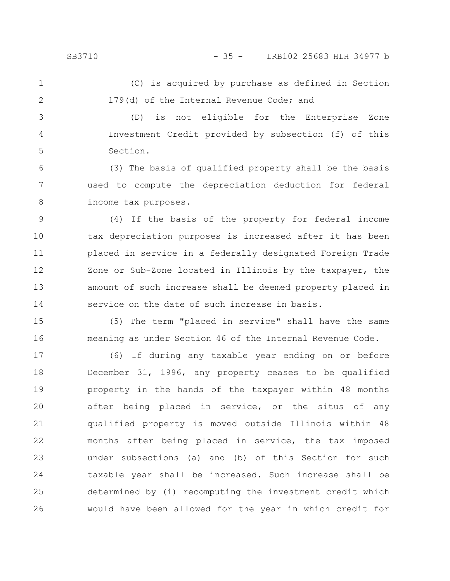3

4

5

### SB3710 - 35 - LRB102 25683 HLH 34977 b

(C) is acquired by purchase as defined in Section 179(d) of the Internal Revenue Code; and 1 2

(D) is not eligible for the Enterprise Zone Investment Credit provided by subsection (f) of this Section.

(3) The basis of qualified property shall be the basis used to compute the depreciation deduction for federal income tax purposes. 6 7 8

(4) If the basis of the property for federal income tax depreciation purposes is increased after it has been placed in service in a federally designated Foreign Trade Zone or Sub-Zone located in Illinois by the taxpayer, the amount of such increase shall be deemed property placed in service on the date of such increase in basis. 9 10 11 12 13 14

(5) The term "placed in service" shall have the same meaning as under Section 46 of the Internal Revenue Code. 15 16

(6) If during any taxable year ending on or before December 31, 1996, any property ceases to be qualified property in the hands of the taxpayer within 48 months after being placed in service, or the situs of any qualified property is moved outside Illinois within 48 months after being placed in service, the tax imposed under subsections (a) and (b) of this Section for such taxable year shall be increased. Such increase shall be determined by (i) recomputing the investment credit which would have been allowed for the year in which credit for 17 18 19 20 21 22 23 24 25 26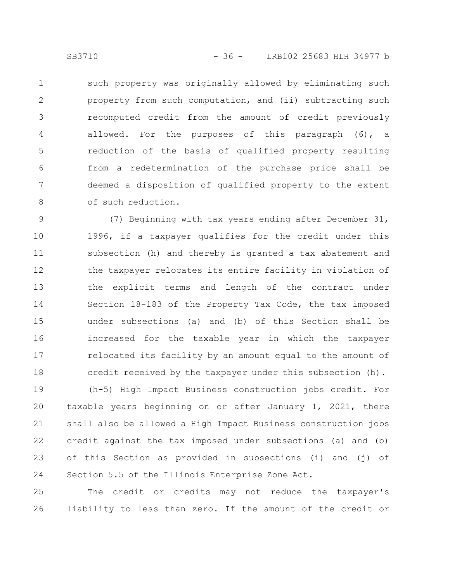such property was originally allowed by eliminating such property from such computation, and (ii) subtracting such recomputed credit from the amount of credit previously allowed. For the purposes of this paragraph (6), a reduction of the basis of qualified property resulting from a redetermination of the purchase price shall be deemed a disposition of qualified property to the extent of such reduction. 1 2 3 4 5 6 7 8

(7) Beginning with tax years ending after December 31, 1996, if a taxpayer qualifies for the credit under this subsection (h) and thereby is granted a tax abatement and the taxpayer relocates its entire facility in violation of the explicit terms and length of the contract under Section 18-183 of the Property Tax Code, the tax imposed under subsections (a) and (b) of this Section shall be increased for the taxable year in which the taxpayer relocated its facility by an amount equal to the amount of credit received by the taxpayer under this subsection (h). 9 10 11 12 13 14 15 16 17 18

(h-5) High Impact Business construction jobs credit. For taxable years beginning on or after January 1, 2021, there shall also be allowed a High Impact Business construction jobs credit against the tax imposed under subsections (a) and (b) of this Section as provided in subsections (i) and (j) of Section 5.5 of the Illinois Enterprise Zone Act. 19 20 21 22 23 24

The credit or credits may not reduce the taxpayer's liability to less than zero. If the amount of the credit or 25 26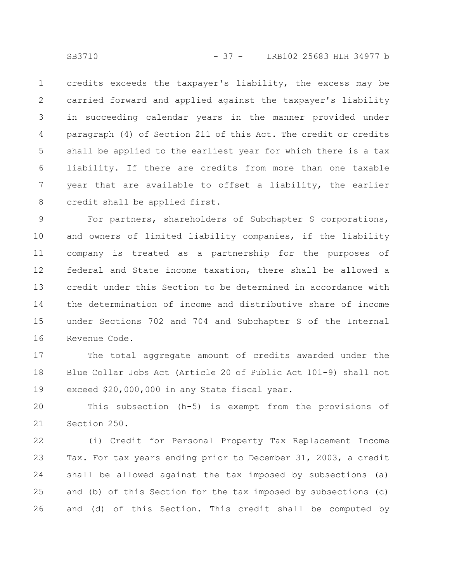credits exceeds the taxpayer's liability, the excess may be carried forward and applied against the taxpayer's liability in succeeding calendar years in the manner provided under paragraph (4) of Section 211 of this Act. The credit or credits shall be applied to the earliest year for which there is a tax liability. If there are credits from more than one taxable year that are available to offset a liability, the earlier credit shall be applied first. 1 2 3 4 5 6 7 8

For partners, shareholders of Subchapter S corporations, and owners of limited liability companies, if the liability company is treated as a partnership for the purposes of federal and State income taxation, there shall be allowed a credit under this Section to be determined in accordance with the determination of income and distributive share of income under Sections 702 and 704 and Subchapter S of the Internal Revenue Code. 9 10 11 12 13 14 15 16

The total aggregate amount of credits awarded under the Blue Collar Jobs Act (Article 20 of Public Act 101-9) shall not exceed \$20,000,000 in any State fiscal year. 17 18 19

This subsection (h-5) is exempt from the provisions of Section 250. 20 21

(i) Credit for Personal Property Tax Replacement Income Tax. For tax years ending prior to December 31, 2003, a credit shall be allowed against the tax imposed by subsections (a) and (b) of this Section for the tax imposed by subsections (c) and (d) of this Section. This credit shall be computed by 22 23 24 25 26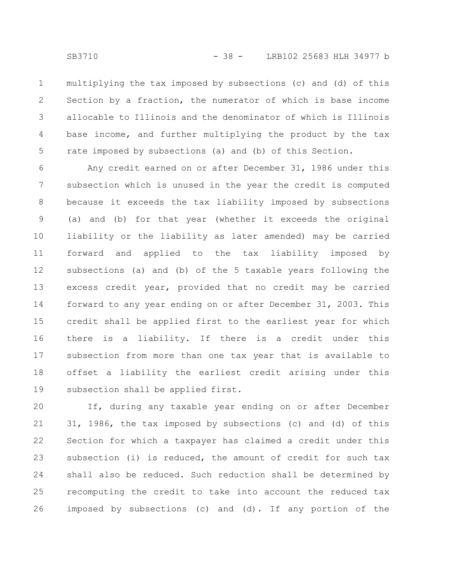multiplying the tax imposed by subsections (c) and (d) of this Section by a fraction, the numerator of which is base income allocable to Illinois and the denominator of which is Illinois base income, and further multiplying the product by the tax rate imposed by subsections (a) and (b) of this Section. 1 2 3 4 5

Any credit earned on or after December 31, 1986 under this subsection which is unused in the year the credit is computed because it exceeds the tax liability imposed by subsections (a) and (b) for that year (whether it exceeds the original liability or the liability as later amended) may be carried forward and applied to the tax liability imposed by subsections (a) and (b) of the 5 taxable years following the excess credit year, provided that no credit may be carried forward to any year ending on or after December 31, 2003. This credit shall be applied first to the earliest year for which there is a liability. If there is a credit under this subsection from more than one tax year that is available to offset a liability the earliest credit arising under this subsection shall be applied first. 6 7 8 9 10 11 12 13 14 15 16 17 18 19

If, during any taxable year ending on or after December 31, 1986, the tax imposed by subsections (c) and (d) of this Section for which a taxpayer has claimed a credit under this subsection (i) is reduced, the amount of credit for such tax shall also be reduced. Such reduction shall be determined by recomputing the credit to take into account the reduced tax imposed by subsections (c) and (d). If any portion of the 20 21 22 23 24 25 26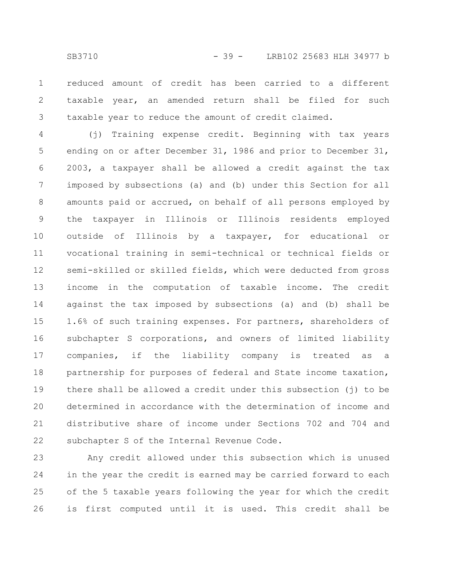reduced amount of credit has been carried to a different taxable year, an amended return shall be filed for such taxable year to reduce the amount of credit claimed. 1 2 3

(j) Training expense credit. Beginning with tax years ending on or after December 31, 1986 and prior to December 31, 2003, a taxpayer shall be allowed a credit against the tax imposed by subsections (a) and (b) under this Section for all amounts paid or accrued, on behalf of all persons employed by the taxpayer in Illinois or Illinois residents employed outside of Illinois by a taxpayer, for educational or vocational training in semi-technical or technical fields or semi-skilled or skilled fields, which were deducted from gross income in the computation of taxable income. The credit against the tax imposed by subsections (a) and (b) shall be 1.6% of such training expenses. For partners, shareholders of subchapter S corporations, and owners of limited liability companies, if the liability company is treated as a partnership for purposes of federal and State income taxation, there shall be allowed a credit under this subsection (j) to be determined in accordance with the determination of income and distributive share of income under Sections 702 and 704 and subchapter S of the Internal Revenue Code. 4 5 6 7 8 9 10 11 12 13 14 15 16 17 18 19 20 21 22

Any credit allowed under this subsection which is unused in the year the credit is earned may be carried forward to each of the 5 taxable years following the year for which the credit is first computed until it is used. This credit shall be 23 24 25 26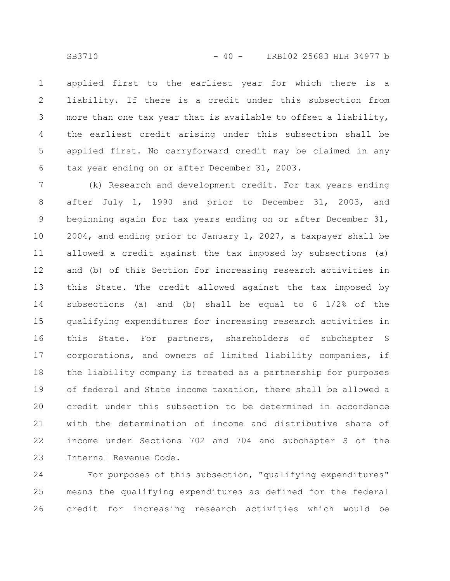applied first to the earliest year for which there is a liability. If there is a credit under this subsection from more than one tax year that is available to offset a liability, the earliest credit arising under this subsection shall be applied first. No carryforward credit may be claimed in any tax year ending on or after December 31, 2003. 1 2 3 4 5 6

(k) Research and development credit. For tax years ending after July 1, 1990 and prior to December 31, 2003, and beginning again for tax years ending on or after December 31, 2004, and ending prior to January 1, 2027, a taxpayer shall be allowed a credit against the tax imposed by subsections (a) and (b) of this Section for increasing research activities in this State. The credit allowed against the tax imposed by subsections (a) and (b) shall be equal to 6 1/2% of the qualifying expenditures for increasing research activities in this State. For partners, shareholders of subchapter S corporations, and owners of limited liability companies, if the liability company is treated as a partnership for purposes of federal and State income taxation, there shall be allowed a credit under this subsection to be determined in accordance with the determination of income and distributive share of income under Sections 702 and 704 and subchapter S of the Internal Revenue Code. 7 8 9 10 11 12 13 14 15 16 17 18 19 20 21 22 23

For purposes of this subsection, "qualifying expenditures" means the qualifying expenditures as defined for the federal credit for increasing research activities which would be 24 25 26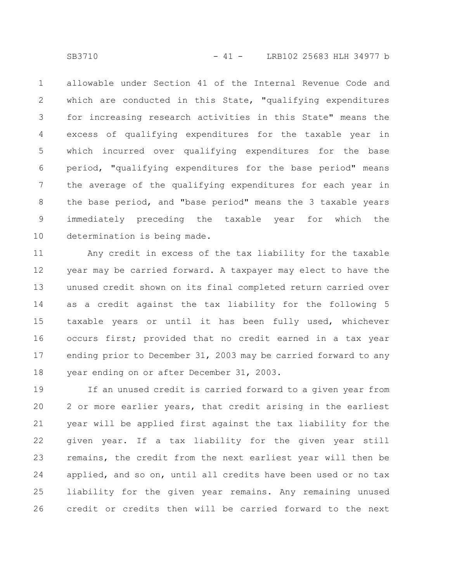allowable under Section 41 of the Internal Revenue Code and which are conducted in this State, "qualifying expenditures for increasing research activities in this State" means the excess of qualifying expenditures for the taxable year in which incurred over qualifying expenditures for the base period, "qualifying expenditures for the base period" means the average of the qualifying expenditures for each year in the base period, and "base period" means the 3 taxable years immediately preceding the taxable year for which the determination is being made. 1 2 3 4 5 6 7 8 9 10

Any credit in excess of the tax liability for the taxable year may be carried forward. A taxpayer may elect to have the unused credit shown on its final completed return carried over as a credit against the tax liability for the following 5 taxable years or until it has been fully used, whichever occurs first; provided that no credit earned in a tax year ending prior to December 31, 2003 may be carried forward to any year ending on or after December 31, 2003. 11 12 13 14 15 16 17 18

If an unused credit is carried forward to a given year from 2 or more earlier years, that credit arising in the earliest year will be applied first against the tax liability for the given year. If a tax liability for the given year still remains, the credit from the next earliest year will then be applied, and so on, until all credits have been used or no tax liability for the given year remains. Any remaining unused credit or credits then will be carried forward to the next 19 20 21 22 23 24 25 26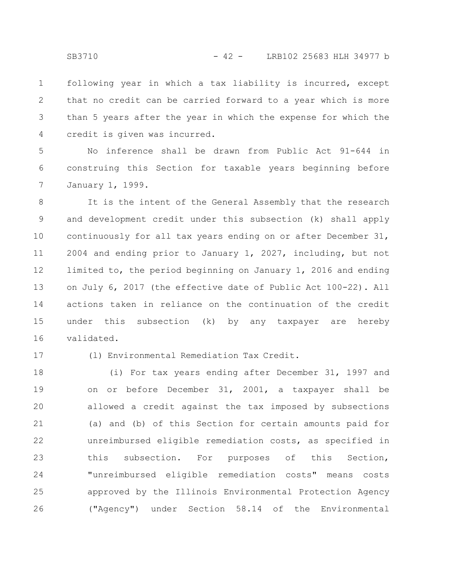following year in which a tax liability is incurred, except that no credit can be carried forward to a year which is more than 5 years after the year in which the expense for which the credit is given was incurred. 1 2 3 4

No inference shall be drawn from Public Act 91-644 in construing this Section for taxable years beginning before January 1, 1999. 5 6 7

It is the intent of the General Assembly that the research and development credit under this subsection (k) shall apply continuously for all tax years ending on or after December 31, 2004 and ending prior to January 1, 2027, including, but not limited to, the period beginning on January 1, 2016 and ending on July 6, 2017 (the effective date of Public Act 100-22). All actions taken in reliance on the continuation of the credit under this subsection (k) by any taxpayer are hereby validated. 8 9 10 11 12 13 14 15 16

17

(l) Environmental Remediation Tax Credit.

(i) For tax years ending after December 31, 1997 and on or before December 31, 2001, a taxpayer shall be allowed a credit against the tax imposed by subsections (a) and (b) of this Section for certain amounts paid for unreimbursed eligible remediation costs, as specified in this subsection. For purposes of this Section, "unreimbursed eligible remediation costs" means costs approved by the Illinois Environmental Protection Agency ("Agency") under Section 58.14 of the Environmental 18 19 20 21 22 23 24 25 26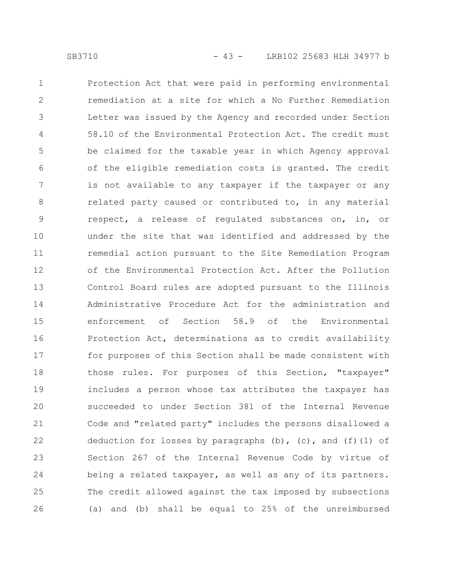Protection Act that were paid in performing environmental remediation at a site for which a No Further Remediation Letter was issued by the Agency and recorded under Section 58.10 of the Environmental Protection Act. The credit must be claimed for the taxable year in which Agency approval of the eligible remediation costs is granted. The credit is not available to any taxpayer if the taxpayer or any related party caused or contributed to, in any material respect, a release of regulated substances on, in, or under the site that was identified and addressed by the remedial action pursuant to the Site Remediation Program of the Environmental Protection Act. After the Pollution Control Board rules are adopted pursuant to the Illinois Administrative Procedure Act for the administration and enforcement of Section 58.9 of the Environmental Protection Act, determinations as to credit availability for purposes of this Section shall be made consistent with those rules. For purposes of this Section, "taxpayer" includes a person whose tax attributes the taxpayer has succeeded to under Section 381 of the Internal Revenue Code and "related party" includes the persons disallowed a deduction for losses by paragraphs  $(b)$ ,  $(c)$ , and  $(f)$  (1) of Section 267 of the Internal Revenue Code by virtue of being a related taxpayer, as well as any of its partners. The credit allowed against the tax imposed by subsections (a) and (b) shall be equal to 25% of the unreimbursed 1 2 3 4 5 6 7 8 9 10 11 12 13 14 15 16 17 18 19 20 21 22 23 24 25 26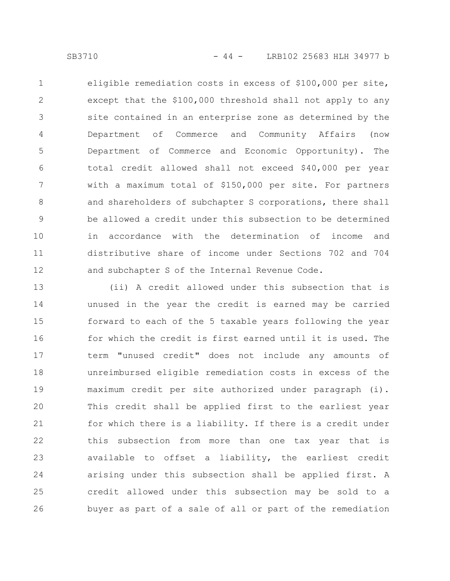eligible remediation costs in excess of \$100,000 per site, except that the \$100,000 threshold shall not apply to any site contained in an enterprise zone as determined by the Department of Commerce and Community Affairs (now Department of Commerce and Economic Opportunity). The total credit allowed shall not exceed \$40,000 per year with a maximum total of \$150,000 per site. For partners and shareholders of subchapter S corporations, there shall be allowed a credit under this subsection to be determined in accordance with the determination of income and distributive share of income under Sections 702 and 704 and subchapter S of the Internal Revenue Code. 1 2 3 4 5 6 7 8 9 10 11 12

(ii) A credit allowed under this subsection that is unused in the year the credit is earned may be carried forward to each of the 5 taxable years following the year for which the credit is first earned until it is used. The term "unused credit" does not include any amounts of unreimbursed eligible remediation costs in excess of the maximum credit per site authorized under paragraph (i). This credit shall be applied first to the earliest year for which there is a liability. If there is a credit under this subsection from more than one tax year that is available to offset a liability, the earliest credit arising under this subsection shall be applied first. A credit allowed under this subsection may be sold to a buyer as part of a sale of all or part of the remediation 13 14 15 16 17 18 19 20 21 22 23 24 25 26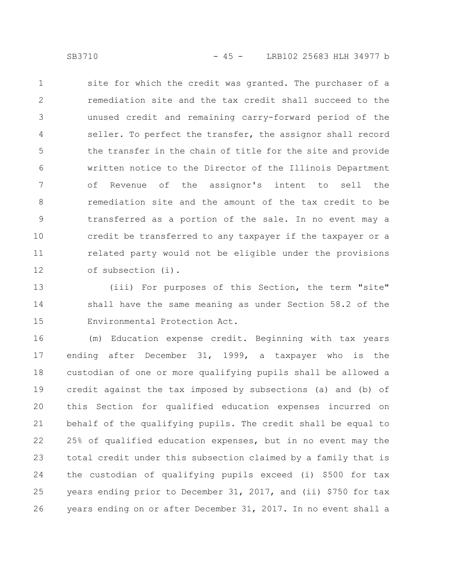site for which the credit was granted. The purchaser of a remediation site and the tax credit shall succeed to the unused credit and remaining carry-forward period of the seller. To perfect the transfer, the assignor shall record the transfer in the chain of title for the site and provide written notice to the Director of the Illinois Department of Revenue of the assignor's intent to sell the remediation site and the amount of the tax credit to be transferred as a portion of the sale. In no event may a credit be transferred to any taxpayer if the taxpayer or a related party would not be eligible under the provisions of subsection (i). 1 2 3 4 5 6 7 8 9 10 11 12

(iii) For purposes of this Section, the term "site" shall have the same meaning as under Section 58.2 of the Environmental Protection Act. 13 14 15

(m) Education expense credit. Beginning with tax years ending after December 31, 1999, a taxpayer who is the custodian of one or more qualifying pupils shall be allowed a credit against the tax imposed by subsections (a) and (b) of this Section for qualified education expenses incurred on behalf of the qualifying pupils. The credit shall be equal to 25% of qualified education expenses, but in no event may the total credit under this subsection claimed by a family that is the custodian of qualifying pupils exceed (i) \$500 for tax years ending prior to December 31, 2017, and (ii) \$750 for tax years ending on or after December 31, 2017. In no event shall a 16 17 18 19 20 21 22 23 24 25 26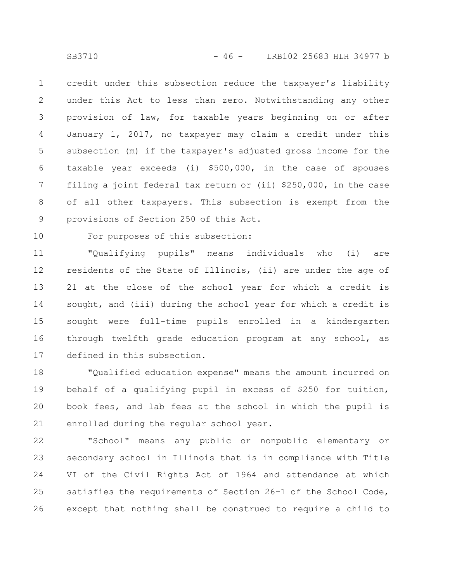credit under this subsection reduce the taxpayer's liability under this Act to less than zero. Notwithstanding any other provision of law, for taxable years beginning on or after January 1, 2017, no taxpayer may claim a credit under this subsection (m) if the taxpayer's adjusted gross income for the taxable year exceeds (i) \$500,000, in the case of spouses filing a joint federal tax return or (ii) \$250,000, in the case of all other taxpayers. This subsection is exempt from the provisions of Section 250 of this Act. 1 2 3 4 5 6 7 8 9

10

For purposes of this subsection:

"Qualifying pupils" means individuals who (i) are residents of the State of Illinois, (ii) are under the age of 21 at the close of the school year for which a credit is sought, and (iii) during the school year for which a credit is sought were full-time pupils enrolled in a kindergarten through twelfth grade education program at any school, as defined in this subsection. 11 12 13 14 15 16 17

"Qualified education expense" means the amount incurred on behalf of a qualifying pupil in excess of \$250 for tuition, book fees, and lab fees at the school in which the pupil is enrolled during the regular school year. 18 19 20 21

"School" means any public or nonpublic elementary or secondary school in Illinois that is in compliance with Title VI of the Civil Rights Act of 1964 and attendance at which satisfies the requirements of Section 26-1 of the School Code, except that nothing shall be construed to require a child to 22 23 24 25 26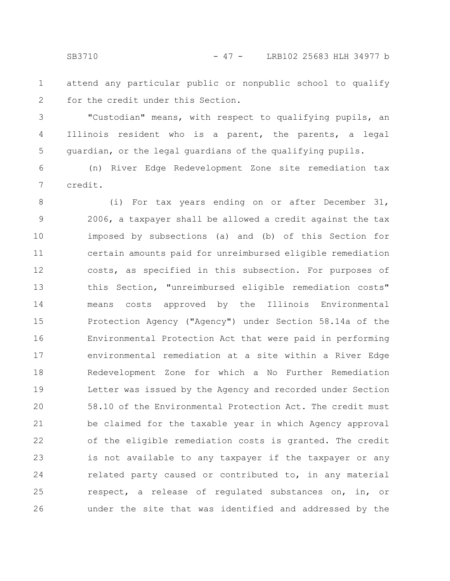attend any particular public or nonpublic school to qualify for the credit under this Section. 1 2

"Custodian" means, with respect to qualifying pupils, an Illinois resident who is a parent, the parents, a legal guardian, or the legal guardians of the qualifying pupils. 3 4 5

(n) River Edge Redevelopment Zone site remediation tax credit. 6 7

(i) For tax years ending on or after December 31, 2006, a taxpayer shall be allowed a credit against the tax imposed by subsections (a) and (b) of this Section for certain amounts paid for unreimbursed eligible remediation costs, as specified in this subsection. For purposes of this Section, "unreimbursed eligible remediation costs" means costs approved by the Illinois Environmental Protection Agency ("Agency") under Section 58.14a of the Environmental Protection Act that were paid in performing environmental remediation at a site within a River Edge Redevelopment Zone for which a No Further Remediation Letter was issued by the Agency and recorded under Section 58.10 of the Environmental Protection Act. The credit must be claimed for the taxable year in which Agency approval of the eligible remediation costs is granted. The credit is not available to any taxpayer if the taxpayer or any related party caused or contributed to, in any material respect, a release of regulated substances on, in, or under the site that was identified and addressed by the 8 9 10 11 12 13 14 15 16 17 18 19 20 21 22 23 24 25 26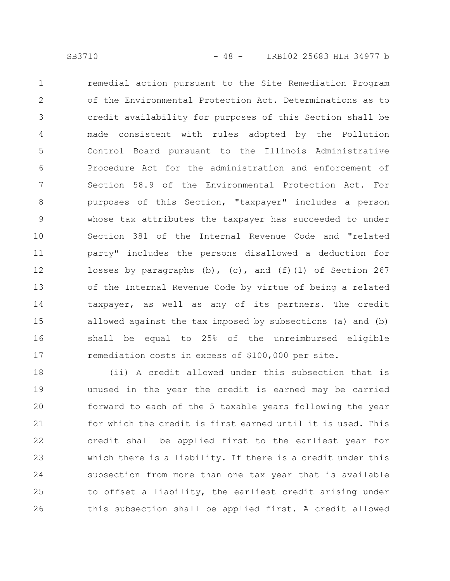remedial action pursuant to the Site Remediation Program of the Environmental Protection Act. Determinations as to credit availability for purposes of this Section shall be made consistent with rules adopted by the Pollution Control Board pursuant to the Illinois Administrative Procedure Act for the administration and enforcement of Section 58.9 of the Environmental Protection Act. For purposes of this Section, "taxpayer" includes a person whose tax attributes the taxpayer has succeeded to under Section 381 of the Internal Revenue Code and "related party" includes the persons disallowed a deduction for losses by paragraphs (b), (c), and (f)(1) of Section 267 of the Internal Revenue Code by virtue of being a related taxpayer, as well as any of its partners. The credit allowed against the tax imposed by subsections (a) and (b) shall be equal to 25% of the unreimbursed eligible remediation costs in excess of \$100,000 per site. 1 2 3 4 5 6 7 8 9 10 11 12 13 14 15 16 17

(ii) A credit allowed under this subsection that is unused in the year the credit is earned may be carried forward to each of the 5 taxable years following the year for which the credit is first earned until it is used. This credit shall be applied first to the earliest year for which there is a liability. If there is a credit under this subsection from more than one tax year that is available to offset a liability, the earliest credit arising under this subsection shall be applied first. A credit allowed 18 19 20 21 22 23 24 25 26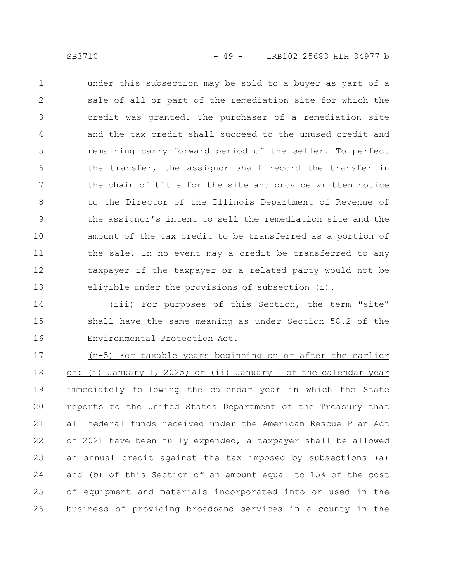under this subsection may be sold to a buyer as part of a sale of all or part of the remediation site for which the credit was granted. The purchaser of a remediation site and the tax credit shall succeed to the unused credit and remaining carry-forward period of the seller. To perfect the transfer, the assignor shall record the transfer in the chain of title for the site and provide written notice to the Director of the Illinois Department of Revenue of the assignor's intent to sell the remediation site and the amount of the tax credit to be transferred as a portion of the sale. In no event may a credit be transferred to any taxpayer if the taxpayer or a related party would not be eligible under the provisions of subsection (i). 1 2 3 4 5 6 7 8 9 10 11 12 13

(iii) For purposes of this Section, the term "site" shall have the same meaning as under Section 58.2 of the Environmental Protection Act. 14 15 16

(n-5) For taxable years beginning on or after the earlier of: (i) January 1, 2025; or (ii) January 1 of the calendar year immediately following the calendar year in which the State reports to the United States Department of the Treasury that all federal funds received under the American Rescue Plan Act of 2021 have been fully expended, a taxpayer shall be allowed an annual credit against the tax imposed by subsections (a) and (b) of this Section of an amount equal to 15% of the cost of equipment and materials incorporated into or used in the business of providing broadband services in a county in the 17 18 19 20 21 22 23 24 25 26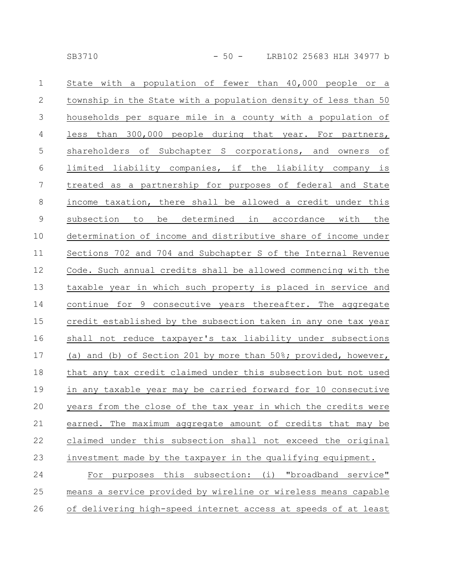| $\mathbf 1$    | State with a population of fewer than 40,000 people or a        |
|----------------|-----------------------------------------------------------------|
| $\mathbf{2}$   | township in the State with a population density of less than 50 |
| $\mathfrak{Z}$ | households per square mile in a county with a population of     |
| $\overline{4}$ | less than 300,000 people during that year. For partners,        |
| 5              | shareholders of Subchapter S corporations, and owners of        |
| $6\,$          | limited liability companies, if the liability company is        |
| $\overline{7}$ | treated as a partnership for purposes of federal and State      |
| $8\,$          | income taxation, there shall be allowed a credit under this     |
| $\mathsf 9$    | be determined in accordance with the<br>subsection to           |
| 10             | determination of income and distributive share of income under  |
| 11             | Sections 702 and 704 and Subchapter S of the Internal Revenue   |
| 12             | Code. Such annual credits shall be allowed commencing with the  |
| 13             | taxable year in which such property is placed in service and    |
| 14             | continue for 9 consecutive years thereafter. The aggregate      |
| 15             | credit established by the subsection taken in any one tax year  |
| 16             | shall not reduce taxpayer's tax liability under subsections     |
| 17             | (a) and (b) of Section 201 by more than 50%; provided, however, |
| 18             | that any tax credit claimed under this subsection but not used  |
| 19             | in any taxable year may be carried forward for 10 consecutive   |
| $20$           | years from the close of the tax year in which the credits were  |
| 21             | earned. The maximum aggregate amount of credits that may be     |
| 22             | claimed under this subsection shall not exceed the original     |
| 23             | investment made by the taxpayer in the qualifying equipment.    |
| 24             | For purposes this subsection: (i) "broadband service"           |
| 25             | means a service provided by wireline or wireless means capable  |
|                |                                                                 |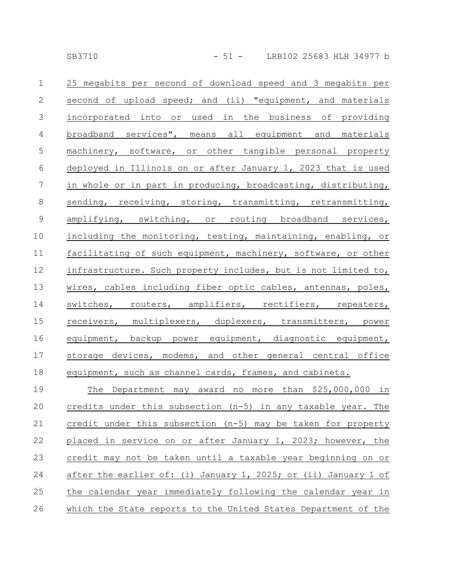| $\mathbf{1}$    | 25 megabits per second of download speed and 3 megabits per     |
|-----------------|-----------------------------------------------------------------|
| $\mathbf{2}$    | second of upload speed; and (ii) "equipment, and materials      |
| 3               | incorporated into or used in the business of providing          |
| $\overline{4}$  | broadband services", means all equipment and materials          |
| $\mathsf S$     | machinery, software, or other tangible personal property        |
| $\sqrt{6}$      | deployed in Illinois on or after January 1, 2023 that is used   |
| $7\phantom{.0}$ | in whole or in part in producing, broadcasting, distributing,   |
| 8               | sending, receiving, storing, transmitting, retransmitting,      |
| 9               | amplifying, switching, or routing broadband services,           |
| $10$            | including the monitoring, testing, maintaining, enabling, or    |
| 11              | facilitating of such equipment, machinery, software, or other   |
| 12              | infrastructure. Such property includes, but is not limited to,  |
| 13              | wires, cables including fiber optic cables, antennas, poles,    |
| 14              | switches, routers, amplifiers, rectifiers, repeaters,           |
| 15              | receivers, multiplexers, duplexers, transmitters, power         |
| 16              | equipment, backup power equipment, diagnostic equipment,        |
| 17              | storage devices, modems, and other general central office       |
| 18              | equipment, such as channel cards, frames, and cabinets.         |
| 19              | The Department may award no more than \$25,000,000 in           |
| 20              | credits under this subsection (n-5) in any taxable year. The    |
| 21              | credit under this subsection (n-5) may be taken for property    |
| 22              | placed in service on or after January 1, 2023; however, the     |
| 23              | credit may not be taken until a taxable year beginning on or    |
| 24              | after the earlier of: (i) January 1, 2025; or (ii) January 1 of |
| 25              | the calendar year immediately following the calendar year in    |
| 26              | which the State reports to the United States Department of the  |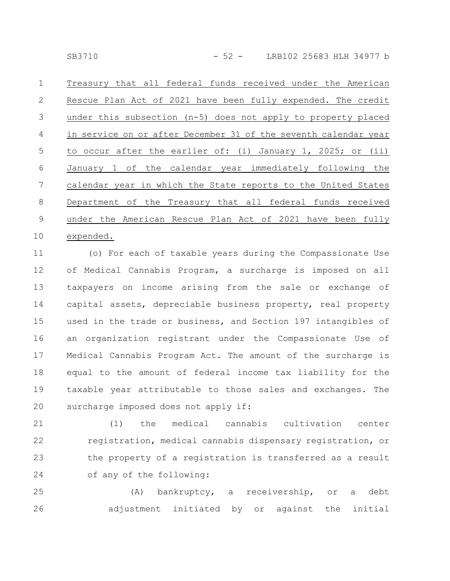Treasury that all federal funds received under the American Rescue Plan Act of 2021 have been fully expended. The credit under this subsection (n-5) does not apply to property placed in service on or after December 31 of the seventh calendar year to occur after the earlier of: (i) January 1, 2025; or (ii) January 1 of the calendar year immediately following the calendar year in which the State reports to the United States Department of the Treasury that all federal funds received under the American Rescue Plan Act of 2021 have been fully 1 2 3 4 5 6 7 8 9

## expended. 10

(o) For each of taxable years during the Compassionate Use of Medical Cannabis Program, a surcharge is imposed on all taxpayers on income arising from the sale or exchange of capital assets, depreciable business property, real property used in the trade or business, and Section 197 intangibles of an organization registrant under the Compassionate Use of Medical Cannabis Program Act. The amount of the surcharge is equal to the amount of federal income tax liability for the taxable year attributable to those sales and exchanges. The surcharge imposed does not apply if: 11 12 13 14 15 16 17 18 19 20

(1) the medical cannabis cultivation center registration, medical cannabis dispensary registration, or the property of a registration is transferred as a result of any of the following: 21 22 23 24

(A) bankruptcy, a receivership, or a debt adjustment initiated by or against the initial 25 26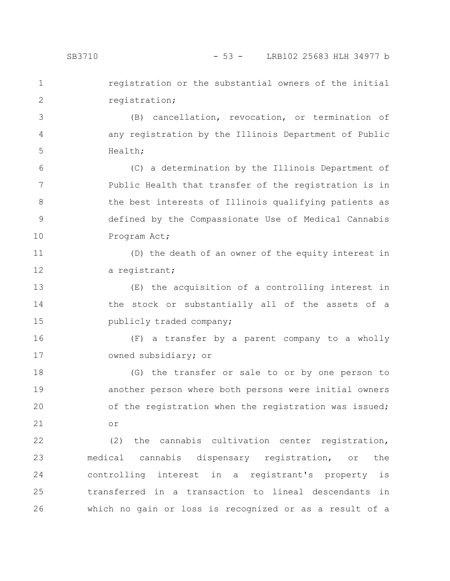registration or the substantial owners of the initial registration; 1 2

(B) cancellation, revocation, or termination of any registration by the Illinois Department of Public Health; 3 4 5

(C) a determination by the Illinois Department of Public Health that transfer of the registration is in the best interests of Illinois qualifying patients as defined by the Compassionate Use of Medical Cannabis Program Act; 6 7 8 9 10

(D) the death of an owner of the equity interest in a registrant; 11 12

(E) the acquisition of a controlling interest in the stock or substantially all of the assets of a publicly traded company; 13 14 15

(F) a transfer by a parent company to a wholly owned subsidiary; or 16 17

(G) the transfer or sale to or by one person to another person where both persons were initial owners of the registration when the registration was issued; or 18 19 20 21

(2) the cannabis cultivation center registration, medical cannabis dispensary registration, or the controlling interest in a registrant's property is transferred in a transaction to lineal descendants in which no gain or loss is recognized or as a result of a 22 23 24 25 26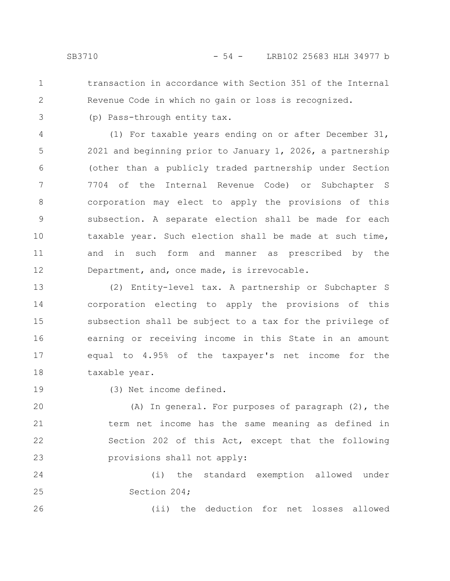1 2 transaction in accordance with Section 351 of the Internal Revenue Code in which no gain or loss is recognized.

(p) Pass-through entity tax.

3 4

(1) For taxable years ending on or after December 31, 2021 and beginning prior to January 1, 2026, a partnership (other than a publicly traded partnership under Section 7704 of the Internal Revenue Code) or Subchapter S corporation may elect to apply the provisions of this subsection. A separate election shall be made for each taxable year. Such election shall be made at such time, and in such form and manner as prescribed by the Department, and, once made, is irrevocable. 5 6 7 8 9 10 11 12

(2) Entity-level tax. A partnership or Subchapter S corporation electing to apply the provisions of this subsection shall be subject to a tax for the privilege of earning or receiving income in this State in an amount equal to 4.95% of the taxpayer's net income for the taxable year. 13 14 15 16 17 18

19

26

(3) Net income defined.

(A) In general. For purposes of paragraph (2), the term net income has the same meaning as defined in Section 202 of this Act, except that the following provisions shall not apply: 20 21 22 23

(i) the standard exemption allowed under Section 204; 24 25

(ii) the deduction for net losses allowed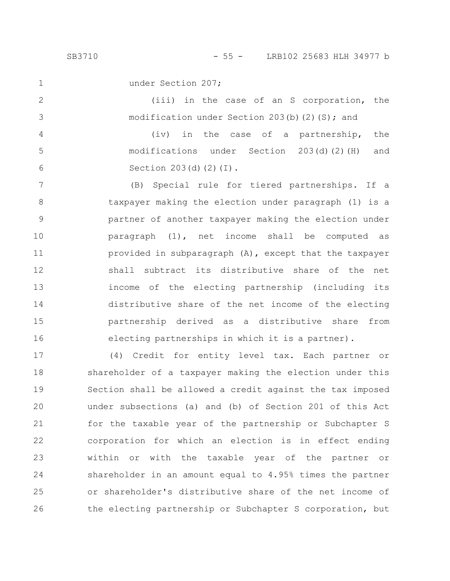1 2

3

4

5

6

under Section 207;

(iii) in the case of an S corporation, the modification under Section 203(b)(2)(S); and

(iv) in the case of a partnership, the modifications under Section 203(d)(2)(H) and Section 203(d)(2)(I).

(B) Special rule for tiered partnerships. If a taxpayer making the election under paragraph (1) is a partner of another taxpayer making the election under paragraph (1), net income shall be computed as provided in subparagraph (A), except that the taxpayer shall subtract its distributive share of the net income of the electing partnership (including its distributive share of the net income of the electing partnership derived as a distributive share from electing partnerships in which it is a partner). 7 8 9 10 11 12 13 14 15 16

(4) Credit for entity level tax. Each partner or shareholder of a taxpayer making the election under this Section shall be allowed a credit against the tax imposed under subsections (a) and (b) of Section 201 of this Act for the taxable year of the partnership or Subchapter S corporation for which an election is in effect ending within or with the taxable year of the partner or shareholder in an amount equal to 4.95% times the partner or shareholder's distributive share of the net income of the electing partnership or Subchapter S corporation, but 17 18 19 20 21 22 23 24 25 26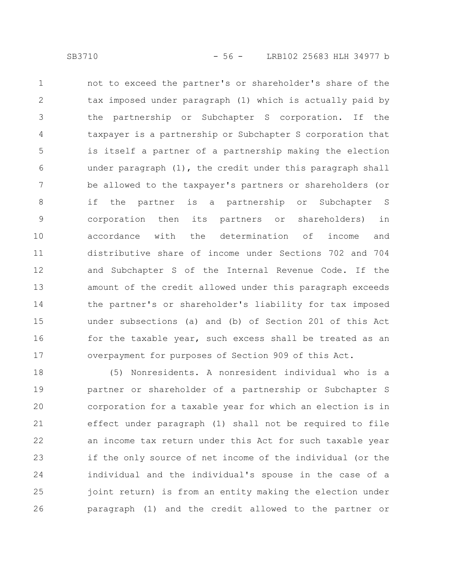not to exceed the partner's or shareholder's share of the

tax imposed under paragraph (1) which is actually paid by the partnership or Subchapter S corporation. If the taxpayer is a partnership or Subchapter S corporation that is itself a partner of a partnership making the election under paragraph (1), the credit under this paragraph shall be allowed to the taxpayer's partners or shareholders (or if the partner is a partnership or Subchapter S corporation then its partners or shareholders) in accordance with the determination of income and distributive share of income under Sections 702 and 704 and Subchapter S of the Internal Revenue Code. If the amount of the credit allowed under this paragraph exceeds the partner's or shareholder's liability for tax imposed under subsections (a) and (b) of Section 201 of this Act for the taxable year, such excess shall be treated as an overpayment for purposes of Section 909 of this Act. 1 2 3 4 5 6 7 8 9 10 11 12 13 14 15 16 17

(5) Nonresidents. A nonresident individual who is a partner or shareholder of a partnership or Subchapter S corporation for a taxable year for which an election is in effect under paragraph (1) shall not be required to file an income tax return under this Act for such taxable year if the only source of net income of the individual (or the individual and the individual's spouse in the case of a joint return) is from an entity making the election under paragraph (1) and the credit allowed to the partner or 18 19 20 21 22 23 24 25 26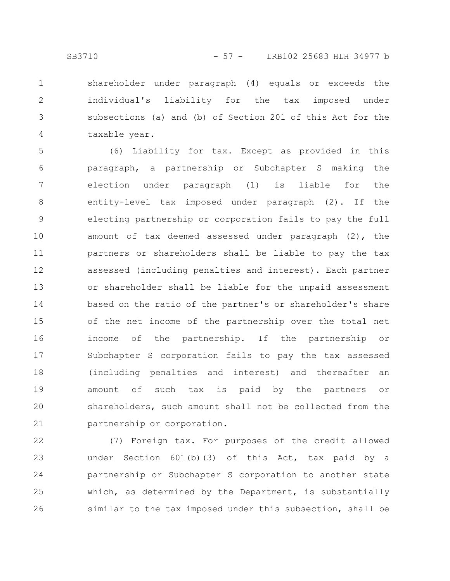shareholder under paragraph (4) equals or exceeds the individual's liability for the tax imposed under subsections (a) and (b) of Section 201 of this Act for the taxable year. 1 2 3 4

(6) Liability for tax. Except as provided in this paragraph, a partnership or Subchapter S making the election under paragraph (1) is liable for the entity-level tax imposed under paragraph (2). If the electing partnership or corporation fails to pay the full amount of tax deemed assessed under paragraph (2), the partners or shareholders shall be liable to pay the tax assessed (including penalties and interest). Each partner or shareholder shall be liable for the unpaid assessment based on the ratio of the partner's or shareholder's share of the net income of the partnership over the total net income of the partnership. If the partnership or Subchapter S corporation fails to pay the tax assessed (including penalties and interest) and thereafter an amount of such tax is paid by the partners or shareholders, such amount shall not be collected from the partnership or corporation. 5 6 7 8 9 10 11 12 13 14 15 16 17 18 19 20 21

(7) Foreign tax. For purposes of the credit allowed under Section 601(b)(3) of this Act, tax paid by a partnership or Subchapter S corporation to another state which, as determined by the Department, is substantially similar to the tax imposed under this subsection, shall be 22 23 24 25 26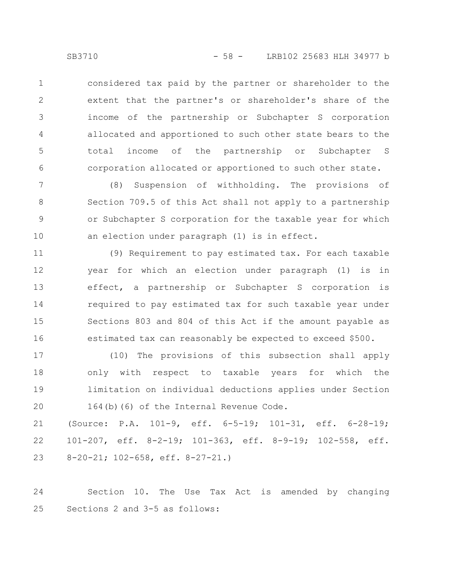considered tax paid by the partner or shareholder to the extent that the partner's or shareholder's share of the income of the partnership or Subchapter S corporation allocated and apportioned to such other state bears to the total income of the partnership or Subchapter S corporation allocated or apportioned to such other state. 1 2 3 4 5 6

(8) Suspension of withholding. The provisions of Section 709.5 of this Act shall not apply to a partnership or Subchapter S corporation for the taxable year for which an election under paragraph (1) is in effect. 7 8 9 10

(9) Requirement to pay estimated tax. For each taxable year for which an election under paragraph (1) is in effect, a partnership or Subchapter S corporation is required to pay estimated tax for such taxable year under Sections 803 and 804 of this Act if the amount payable as estimated tax can reasonably be expected to exceed \$500. 11 12 13 14 15 16

(10) The provisions of this subsection shall apply only with respect to taxable years for which the limitation on individual deductions applies under Section 164(b)(6) of the Internal Revenue Code. 17 18 19 20

(Source: P.A. 101-9, eff. 6-5-19; 101-31, eff. 6-28-19; 101-207, eff. 8-2-19; 101-363, eff. 8-9-19; 102-558, eff. 8-20-21; 102-658, eff. 8-27-21.) 21 22 23

Section 10. The Use Tax Act is amended by changing Sections 2 and 3-5 as follows: 24 25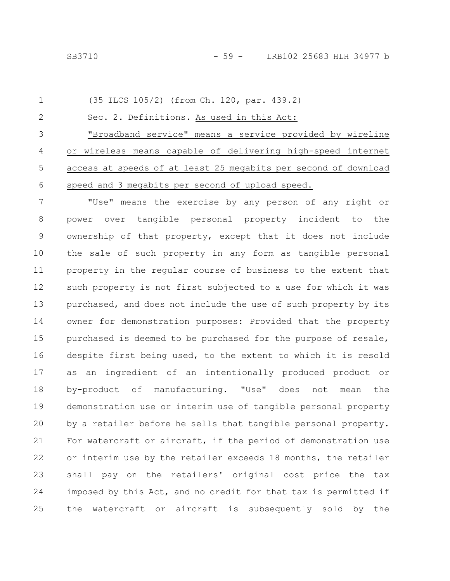```
(35 ILCS 105/2) (from Ch. 120, par. 439.2)
         Sec. 2. Definitions. As used in this Act:
         "Broadband service" means a service provided by wireline
     or wireless means capable of delivering high-speed internet
     access at speeds of at least 25 megabits per second of download
     speed and 3 megabits per second of upload speed.
         "Use" means the exercise by any person of any right or
     power over tangible personal property incident to the
     ownership of that property, except that it does not include
     the sale of such property in any form as tangible personal
     property in the regular course of business to the extent that
1
2
3
4
5
6
7
8
9
```
such property is not first subjected to a use for which it was purchased, and does not include the use of such property by its owner for demonstration purposes: Provided that the property purchased is deemed to be purchased for the purpose of resale, despite first being used, to the extent to which it is resold as an ingredient of an intentionally produced product or by-product of manufacturing. "Use" does not mean the demonstration use or interim use of tangible personal property by a retailer before he sells that tangible personal property. For watercraft or aircraft, if the period of demonstration use or interim use by the retailer exceeds 18 months, the retailer shall pay on the retailers' original cost price the tax imposed by this Act, and no credit for that tax is permitted if the watercraft or aircraft is subsequently sold by the 10 11 12 13 14 15 16 17 18 19 20 21 22 23 24 25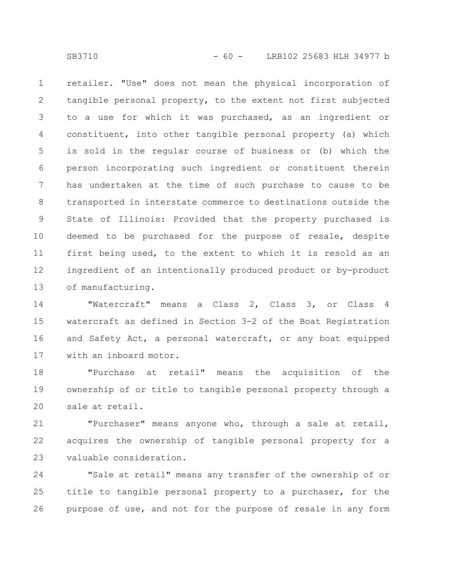retailer. "Use" does not mean the physical incorporation of tangible personal property, to the extent not first subjected to a use for which it was purchased, as an ingredient or constituent, into other tangible personal property (a) which is sold in the regular course of business or (b) which the person incorporating such ingredient or constituent therein has undertaken at the time of such purchase to cause to be transported in interstate commerce to destinations outside the State of Illinois: Provided that the property purchased is deemed to be purchased for the purpose of resale, despite first being used, to the extent to which it is resold as an ingredient of an intentionally produced product or by-product of manufacturing. 1 2 3 4 5 6 7 8 9 10 11 12 13

"Watercraft" means a Class 2, Class 3, or Class 4 watercraft as defined in Section 3-2 of the Boat Registration and Safety Act, a personal watercraft, or any boat equipped with an inboard motor. 14 15 16 17

"Purchase at retail" means the acquisition of the ownership of or title to tangible personal property through a sale at retail. 18 19 20

"Purchaser" means anyone who, through a sale at retail, acquires the ownership of tangible personal property for a valuable consideration. 21 22 23

"Sale at retail" means any transfer of the ownership of or title to tangible personal property to a purchaser, for the purpose of use, and not for the purpose of resale in any form 24 25 26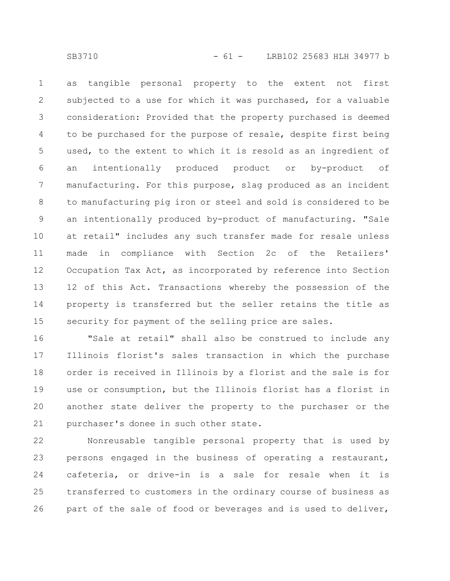as tangible personal property to the extent not first subjected to a use for which it was purchased, for a valuable consideration: Provided that the property purchased is deemed to be purchased for the purpose of resale, despite first being used, to the extent to which it is resold as an ingredient of an intentionally produced product or by-product of manufacturing. For this purpose, slag produced as an incident to manufacturing pig iron or steel and sold is considered to be an intentionally produced by-product of manufacturing. "Sale at retail" includes any such transfer made for resale unless made in compliance with Section 2c of the Retailers' Occupation Tax Act, as incorporated by reference into Section 12 of this Act. Transactions whereby the possession of the property is transferred but the seller retains the title as security for payment of the selling price are sales. 1 2 3 4 5 6 7 8 9 10 11 12 13 14 15

"Sale at retail" shall also be construed to include any Illinois florist's sales transaction in which the purchase order is received in Illinois by a florist and the sale is for use or consumption, but the Illinois florist has a florist in another state deliver the property to the purchaser or the purchaser's donee in such other state. 16 17 18 19 20 21

Nonreusable tangible personal property that is used by persons engaged in the business of operating a restaurant, cafeteria, or drive-in is a sale for resale when it is transferred to customers in the ordinary course of business as part of the sale of food or beverages and is used to deliver, 22 23 24 25 26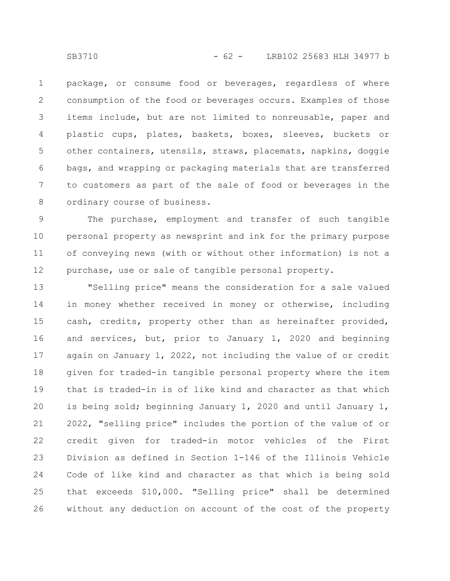package, or consume food or beverages, regardless of where consumption of the food or beverages occurs. Examples of those items include, but are not limited to nonreusable, paper and plastic cups, plates, baskets, boxes, sleeves, buckets or other containers, utensils, straws, placemats, napkins, doggie bags, and wrapping or packaging materials that are transferred to customers as part of the sale of food or beverages in the ordinary course of business. 1 2 3 4 5 6 7 8

The purchase, employment and transfer of such tangible personal property as newsprint and ink for the primary purpose of conveying news (with or without other information) is not a purchase, use or sale of tangible personal property. 9 10 11 12

"Selling price" means the consideration for a sale valued in money whether received in money or otherwise, including cash, credits, property other than as hereinafter provided, and services, but, prior to January 1, 2020 and beginning again on January 1, 2022, not including the value of or credit given for traded-in tangible personal property where the item that is traded-in is of like kind and character as that which is being sold; beginning January 1, 2020 and until January 1, 2022, "selling price" includes the portion of the value of or credit given for traded-in motor vehicles of the First Division as defined in Section 1-146 of the Illinois Vehicle Code of like kind and character as that which is being sold that exceeds \$10,000. "Selling price" shall be determined without any deduction on account of the cost of the property 13 14 15 16 17 18 19 20 21 22 23 24 25 26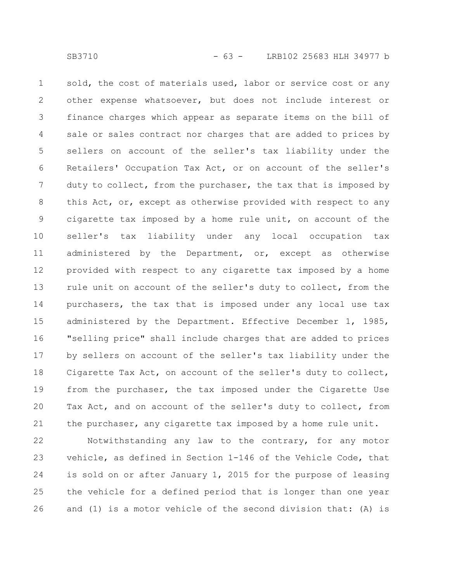sold, the cost of materials used, labor or service cost or any other expense whatsoever, but does not include interest or finance charges which appear as separate items on the bill of sale or sales contract nor charges that are added to prices by sellers on account of the seller's tax liability under the Retailers' Occupation Tax Act, or on account of the seller's duty to collect, from the purchaser, the tax that is imposed by this Act, or, except as otherwise provided with respect to any cigarette tax imposed by a home rule unit, on account of the seller's tax liability under any local occupation tax administered by the Department, or, except as otherwise provided with respect to any cigarette tax imposed by a home rule unit on account of the seller's duty to collect, from the purchasers, the tax that is imposed under any local use tax administered by the Department. Effective December 1, 1985, "selling price" shall include charges that are added to prices by sellers on account of the seller's tax liability under the Cigarette Tax Act, on account of the seller's duty to collect, from the purchaser, the tax imposed under the Cigarette Use Tax Act, and on account of the seller's duty to collect, from the purchaser, any cigarette tax imposed by a home rule unit. 1 2 3 4 5 6 7 8 9 10 11 12 13 14 15 16 17 18 19 20 21

Notwithstanding any law to the contrary, for any motor vehicle, as defined in Section 1-146 of the Vehicle Code, that is sold on or after January 1, 2015 for the purpose of leasing the vehicle for a defined period that is longer than one year and (1) is a motor vehicle of the second division that: (A) is 22 23 24 25 26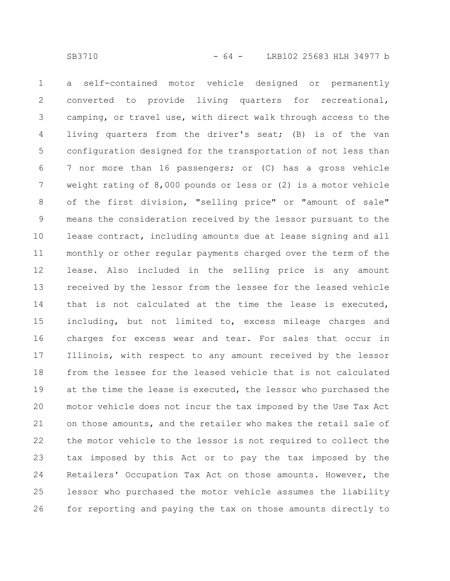a self-contained motor vehicle designed or permanently converted to provide living quarters for recreational, camping, or travel use, with direct walk through access to the living quarters from the driver's seat; (B) is of the van configuration designed for the transportation of not less than 7 nor more than 16 passengers; or (C) has a gross vehicle weight rating of 8,000 pounds or less or (2) is a motor vehicle of the first division, "selling price" or "amount of sale" means the consideration received by the lessor pursuant to the lease contract, including amounts due at lease signing and all monthly or other regular payments charged over the term of the lease. Also included in the selling price is any amount received by the lessor from the lessee for the leased vehicle that is not calculated at the time the lease is executed, including, but not limited to, excess mileage charges and charges for excess wear and tear. For sales that occur in Illinois, with respect to any amount received by the lessor from the lessee for the leased vehicle that is not calculated at the time the lease is executed, the lessor who purchased the motor vehicle does not incur the tax imposed by the Use Tax Act on those amounts, and the retailer who makes the retail sale of the motor vehicle to the lessor is not required to collect the tax imposed by this Act or to pay the tax imposed by the Retailers' Occupation Tax Act on those amounts. However, the lessor who purchased the motor vehicle assumes the liability for reporting and paying the tax on those amounts directly to 1 2 3 4 5 6 7 8 9 10 11 12 13 14 15 16 17 18 19 20 21 22 23 24 25 26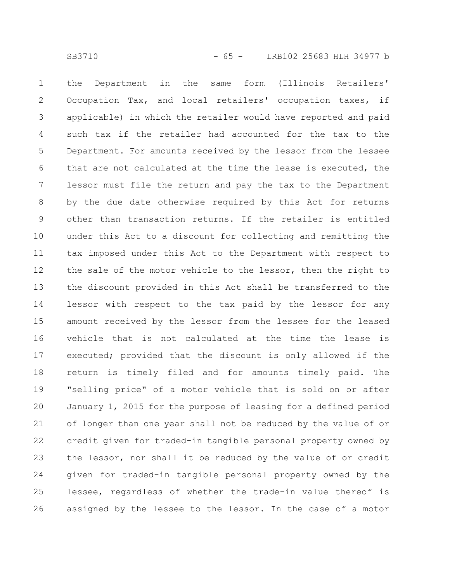the Department in the same form (Illinois Retailers' Occupation Tax, and local retailers' occupation taxes, if applicable) in which the retailer would have reported and paid such tax if the retailer had accounted for the tax to the Department. For amounts received by the lessor from the lessee that are not calculated at the time the lease is executed, the lessor must file the return and pay the tax to the Department by the due date otherwise required by this Act for returns other than transaction returns. If the retailer is entitled under this Act to a discount for collecting and remitting the tax imposed under this Act to the Department with respect to the sale of the motor vehicle to the lessor, then the right to the discount provided in this Act shall be transferred to the lessor with respect to the tax paid by the lessor for any amount received by the lessor from the lessee for the leased vehicle that is not calculated at the time the lease is executed; provided that the discount is only allowed if the return is timely filed and for amounts timely paid. The "selling price" of a motor vehicle that is sold on or after January 1, 2015 for the purpose of leasing for a defined period of longer than one year shall not be reduced by the value of or credit given for traded-in tangible personal property owned by the lessor, nor shall it be reduced by the value of or credit given for traded-in tangible personal property owned by the lessee, regardless of whether the trade-in value thereof is assigned by the lessee to the lessor. In the case of a motor 1 2 3 4 5 6 7 8 9 10 11 12 13 14 15 16 17 18 19 20 21 22 23 24 25 26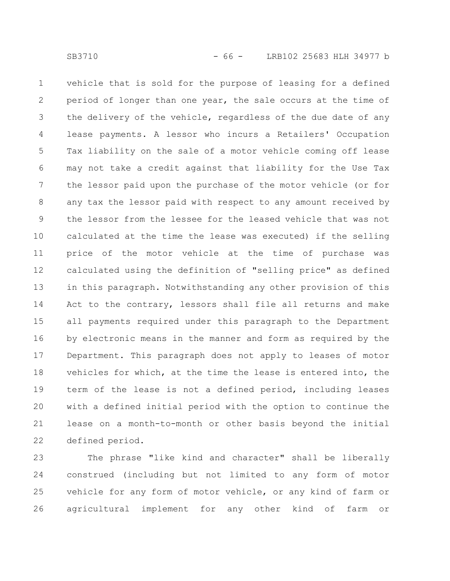vehicle that is sold for the purpose of leasing for a defined period of longer than one year, the sale occurs at the time of the delivery of the vehicle, regardless of the due date of any lease payments. A lessor who incurs a Retailers' Occupation Tax liability on the sale of a motor vehicle coming off lease may not take a credit against that liability for the Use Tax the lessor paid upon the purchase of the motor vehicle (or for any tax the lessor paid with respect to any amount received by the lessor from the lessee for the leased vehicle that was not calculated at the time the lease was executed) if the selling price of the motor vehicle at the time of purchase was calculated using the definition of "selling price" as defined in this paragraph. Notwithstanding any other provision of this Act to the contrary, lessors shall file all returns and make all payments required under this paragraph to the Department by electronic means in the manner and form as required by the Department. This paragraph does not apply to leases of motor vehicles for which, at the time the lease is entered into, the term of the lease is not a defined period, including leases with a defined initial period with the option to continue the lease on a month-to-month or other basis beyond the initial defined period. 1 2 3 4 5 6 7 8 9 10 11 12 13 14 15 16 17 18 19 20 21 22

The phrase "like kind and character" shall be liberally construed (including but not limited to any form of motor vehicle for any form of motor vehicle, or any kind of farm or agricultural implement for any other kind of farm or 23 24 25 26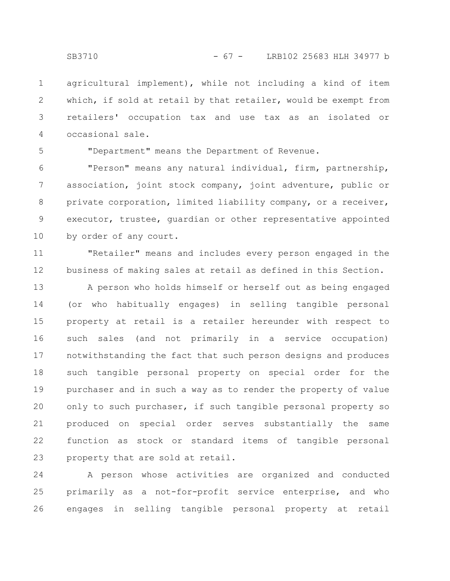agricultural implement), while not including a kind of item which, if sold at retail by that retailer, would be exempt from retailers' occupation tax and use tax as an isolated or occasional sale. 1 2 3 4

5

"Department" means the Department of Revenue.

"Person" means any natural individual, firm, partnership, association, joint stock company, joint adventure, public or private corporation, limited liability company, or a receiver, executor, trustee, guardian or other representative appointed by order of any court. 6 7 8 9 10

"Retailer" means and includes every person engaged in the business of making sales at retail as defined in this Section. 11 12

A person who holds himself or herself out as being engaged (or who habitually engages) in selling tangible personal property at retail is a retailer hereunder with respect to such sales (and not primarily in a service occupation) notwithstanding the fact that such person designs and produces such tangible personal property on special order for the purchaser and in such a way as to render the property of value only to such purchaser, if such tangible personal property so produced on special order serves substantially the same function as stock or standard items of tangible personal property that are sold at retail. 13 14 15 16 17 18 19 20 21 22 23

A person whose activities are organized and conducted primarily as a not-for-profit service enterprise, and who engages in selling tangible personal property at retail 24 25 26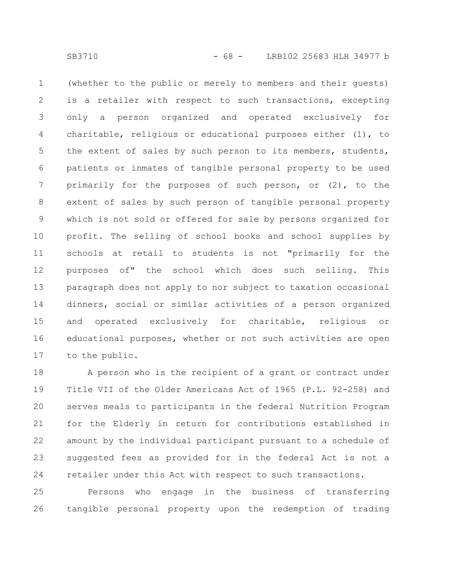(whether to the public or merely to members and their guests) is a retailer with respect to such transactions, excepting only a person organized and operated exclusively for charitable, religious or educational purposes either (1), to the extent of sales by such person to its members, students, patients or inmates of tangible personal property to be used primarily for the purposes of such person, or (2), to the extent of sales by such person of tangible personal property which is not sold or offered for sale by persons organized for profit. The selling of school books and school supplies by schools at retail to students is not "primarily for the purposes of" the school which does such selling. This paragraph does not apply to nor subject to taxation occasional dinners, social or similar activities of a person organized and operated exclusively for charitable, religious or educational purposes, whether or not such activities are open to the public. 1 2 3 4 5 6 7 8 9 10 11 12 13 14 15 16 17

A person who is the recipient of a grant or contract under Title VII of the Older Americans Act of 1965 (P.L. 92-258) and serves meals to participants in the federal Nutrition Program for the Elderly in return for contributions established in amount by the individual participant pursuant to a schedule of suggested fees as provided for in the federal Act is not a retailer under this Act with respect to such transactions. 18 19 20 21 22 23 24

Persons who engage in the business of transferring tangible personal property upon the redemption of trading 25 26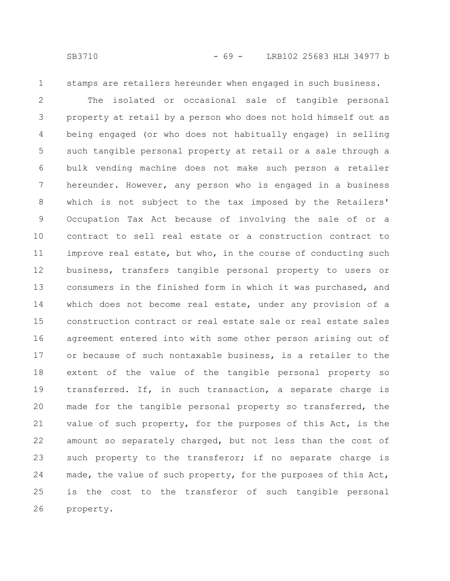1

stamps are retailers hereunder when engaged in such business.

The isolated or occasional sale of tangible personal property at retail by a person who does not hold himself out as being engaged (or who does not habitually engage) in selling such tangible personal property at retail or a sale through a bulk vending machine does not make such person a retailer hereunder. However, any person who is engaged in a business which is not subject to the tax imposed by the Retailers' Occupation Tax Act because of involving the sale of or a contract to sell real estate or a construction contract to improve real estate, but who, in the course of conducting such business, transfers tangible personal property to users or consumers in the finished form in which it was purchased, and which does not become real estate, under any provision of a construction contract or real estate sale or real estate sales agreement entered into with some other person arising out of or because of such nontaxable business, is a retailer to the extent of the value of the tangible personal property so transferred. If, in such transaction, a separate charge is made for the tangible personal property so transferred, the value of such property, for the purposes of this Act, is the amount so separately charged, but not less than the cost of such property to the transferor; if no separate charge is made, the value of such property, for the purposes of this Act, is the cost to the transferor of such tangible personal property. 2 3 4 5 6 7 8 9 10 11 12 13 14 15 16 17 18 19 20 21 22 23 24 25 26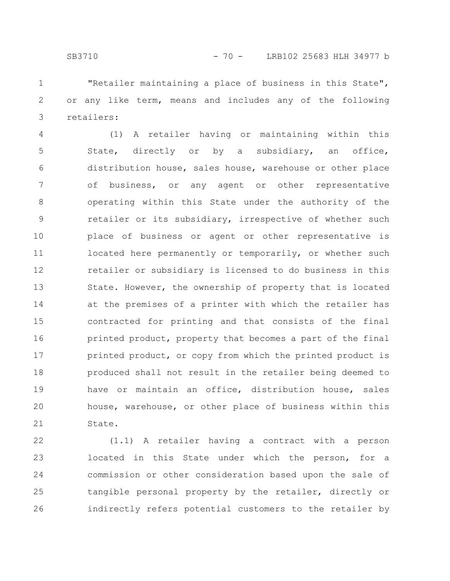"Retailer maintaining a place of business in this State", or any like term, means and includes any of the following retailers: 1 2 3

(1) A retailer having or maintaining within this State, directly or by a subsidiary, an office, distribution house, sales house, warehouse or other place of business, or any agent or other representative operating within this State under the authority of the retailer or its subsidiary, irrespective of whether such place of business or agent or other representative is located here permanently or temporarily, or whether such retailer or subsidiary is licensed to do business in this State. However, the ownership of property that is located at the premises of a printer with which the retailer has contracted for printing and that consists of the final printed product, property that becomes a part of the final printed product, or copy from which the printed product is produced shall not result in the retailer being deemed to have or maintain an office, distribution house, sales house, warehouse, or other place of business within this State. 4 5 6 7 8 9 10 11 12 13 14 15 16 17 18 19 20 21

(1.1) A retailer having a contract with a person located in this State under which the person, for a commission or other consideration based upon the sale of tangible personal property by the retailer, directly or indirectly refers potential customers to the retailer by 22 23 24 25 26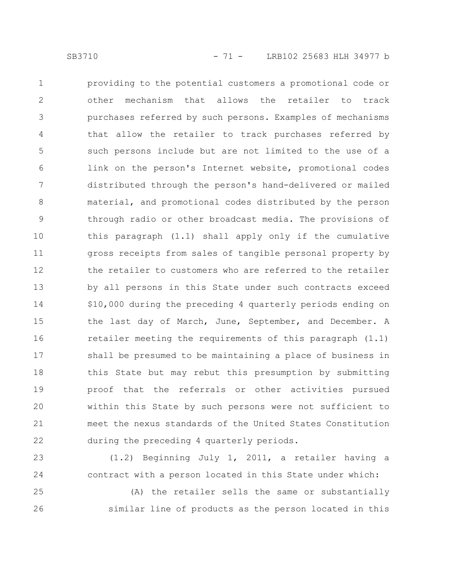providing to the potential customers a promotional code or other mechanism that allows the retailer to track purchases referred by such persons. Examples of mechanisms that allow the retailer to track purchases referred by such persons include but are not limited to the use of a link on the person's Internet website, promotional codes distributed through the person's hand-delivered or mailed material, and promotional codes distributed by the person through radio or other broadcast media. The provisions of this paragraph (1.1) shall apply only if the cumulative gross receipts from sales of tangible personal property by the retailer to customers who are referred to the retailer by all persons in this State under such contracts exceed \$10,000 during the preceding 4 quarterly periods ending on the last day of March, June, September, and December. A retailer meeting the requirements of this paragraph (1.1) shall be presumed to be maintaining a place of business in this State but may rebut this presumption by submitting proof that the referrals or other activities pursued within this State by such persons were not sufficient to meet the nexus standards of the United States Constitution during the preceding 4 quarterly periods. 1 2 3 4 5 6 7 8 9 10 11 12 13 14 15 16 17 18 19 20 21 22

(1.2) Beginning July 1, 2011, a retailer having a contract with a person located in this State under which: 23 24

(A) the retailer sells the same or substantially similar line of products as the person located in this 25 26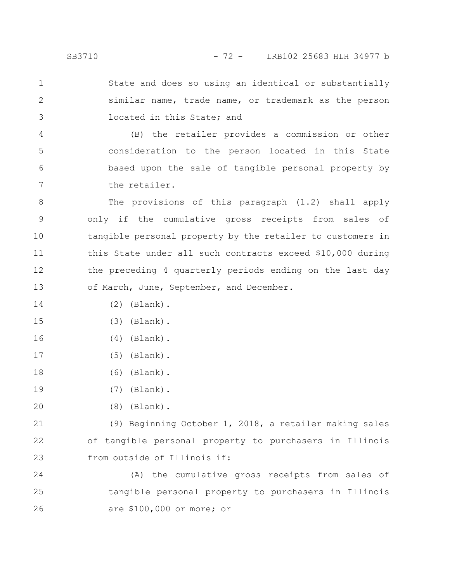State and does so using an identical or substantially similar name, trade name, or trademark as the person located in this State; and 1 2 3

(B) the retailer provides a commission or other consideration to the person located in this State based upon the sale of tangible personal property by the retailer. 4 5 6 7

The provisions of this paragraph (1.2) shall apply only if the cumulative gross receipts from sales of tangible personal property by the retailer to customers in this State under all such contracts exceed \$10,000 during the preceding 4 quarterly periods ending on the last day of March, June, September, and December. 8 9 10 11 12 13

- (2) (Blank). 14
- (3) (Blank). 15
- (4) (Blank). 16
- (5) (Blank). 17
- (6) (Blank). 18
- (7) (Blank). 19
- (8) (Blank). 20

(9) Beginning October 1, 2018, a retailer making sales of tangible personal property to purchasers in Illinois from outside of Illinois if: 21 22 23

(A) the cumulative gross receipts from sales of tangible personal property to purchasers in Illinois are \$100,000 or more; or 24 25 26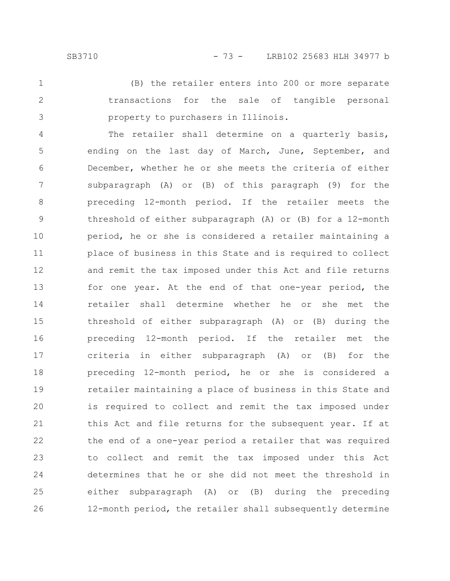(B) the retailer enters into 200 or more separate transactions for the sale of tangible personal property to purchasers in Illinois. 1 2 3

The retailer shall determine on a quarterly basis, ending on the last day of March, June, September, and December, whether he or she meets the criteria of either subparagraph (A) or (B) of this paragraph (9) for the preceding 12-month period. If the retailer meets the threshold of either subparagraph (A) or (B) for a 12-month period, he or she is considered a retailer maintaining a place of business in this State and is required to collect and remit the tax imposed under this Act and file returns for one year. At the end of that one-year period, the retailer shall determine whether he or she met the threshold of either subparagraph (A) or (B) during the preceding 12-month period. If the retailer met the criteria in either subparagraph (A) or (B) for the preceding 12-month period, he or she is considered a retailer maintaining a place of business in this State and is required to collect and remit the tax imposed under this Act and file returns for the subsequent year. If at the end of a one-year period a retailer that was required to collect and remit the tax imposed under this Act determines that he or she did not meet the threshold in either subparagraph (A) or (B) during the preceding 12-month period, the retailer shall subsequently determine 4 5 6 7 8 9 10 11 12 13 14 15 16 17 18 19 20 21 22 23 24 25 26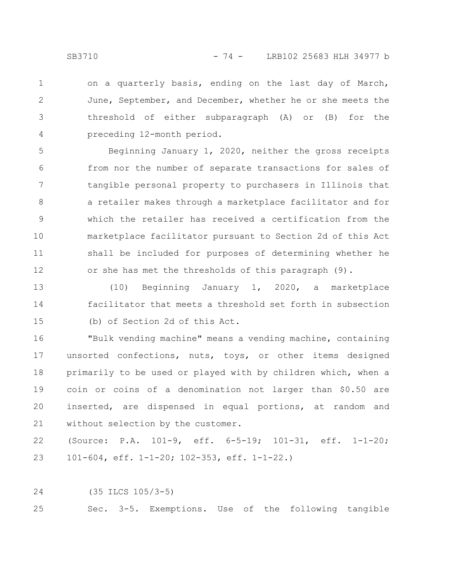on a quarterly basis, ending on the last day of March, June, September, and December, whether he or she meets the threshold of either subparagraph (A) or (B) for the preceding 12-month period. 1 2 3 4

Beginning January 1, 2020, neither the gross receipts from nor the number of separate transactions for sales of tangible personal property to purchasers in Illinois that a retailer makes through a marketplace facilitator and for which the retailer has received a certification from the marketplace facilitator pursuant to Section 2d of this Act shall be included for purposes of determining whether he or she has met the thresholds of this paragraph (9). 5 6 7 8 9 10 11 12

(10) Beginning January 1, 2020, a marketplace facilitator that meets a threshold set forth in subsection (b) of Section 2d of this Act. 13 14 15

"Bulk vending machine" means a vending machine, containing unsorted confections, nuts, toys, or other items designed primarily to be used or played with by children which, when a coin or coins of a denomination not larger than \$0.50 are inserted, are dispensed in equal portions, at random and without selection by the customer. 16 17 18 19 20 21

(Source: P.A. 101-9, eff. 6-5-19; 101-31, eff. 1-1-20; 101-604, eff. 1-1-20; 102-353, eff. 1-1-22.) 22 23

(35 ILCS 105/3-5) 24

Sec. 3-5. Exemptions. Use of the following tangible 25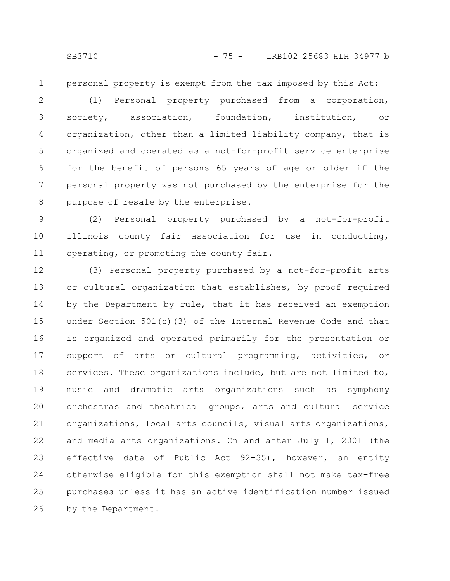personal property is exempt from the tax imposed by this Act: 1

(1) Personal property purchased from a corporation, society, association, foundation, institution, or organization, other than a limited liability company, that is organized and operated as a not-for-profit service enterprise for the benefit of persons 65 years of age or older if the personal property was not purchased by the enterprise for the purpose of resale by the enterprise. 2 3 4 5 6 7 8

(2) Personal property purchased by a not-for-profit Illinois county fair association for use in conducting, operating, or promoting the county fair. 9 10 11

(3) Personal property purchased by a not-for-profit arts or cultural organization that establishes, by proof required by the Department by rule, that it has received an exemption under Section 501(c)(3) of the Internal Revenue Code and that is organized and operated primarily for the presentation or support of arts or cultural programming, activities, or services. These organizations include, but are not limited to, music and dramatic arts organizations such as symphony orchestras and theatrical groups, arts and cultural service organizations, local arts councils, visual arts organizations, and media arts organizations. On and after July 1, 2001 (the effective date of Public Act 92-35), however, an entity otherwise eligible for this exemption shall not make tax-free purchases unless it has an active identification number issued by the Department. 12 13 14 15 16 17 18 19 20 21 22 23 24 25 26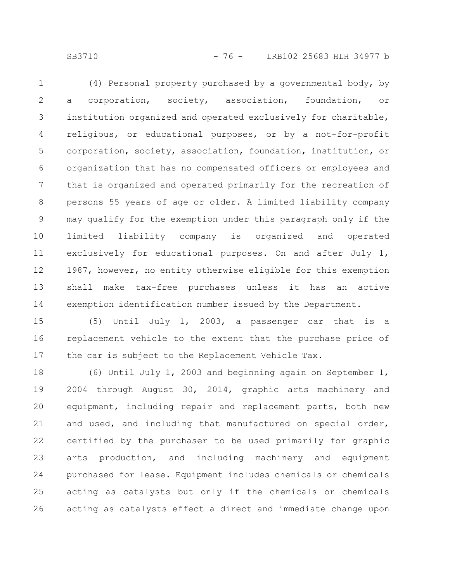SB3710 - 76 - LRB102 25683 HLH 34977 b

(4) Personal property purchased by a governmental body, by a corporation, society, association, foundation, or institution organized and operated exclusively for charitable, religious, or educational purposes, or by a not-for-profit corporation, society, association, foundation, institution, or organization that has no compensated officers or employees and that is organized and operated primarily for the recreation of persons 55 years of age or older. A limited liability company may qualify for the exemption under this paragraph only if the limited liability company is organized and operated exclusively for educational purposes. On and after July 1, 1987, however, no entity otherwise eligible for this exemption shall make tax-free purchases unless it has an active exemption identification number issued by the Department. 1 2 3 4 5 6 7 8 9 10 11 12 13 14

(5) Until July 1, 2003, a passenger car that is a replacement vehicle to the extent that the purchase price of the car is subject to the Replacement Vehicle Tax. 15 16 17

(6) Until July 1, 2003 and beginning again on September 1, 2004 through August 30, 2014, graphic arts machinery and equipment, including repair and replacement parts, both new and used, and including that manufactured on special order, certified by the purchaser to be used primarily for graphic arts production, and including machinery and equipment purchased for lease. Equipment includes chemicals or chemicals acting as catalysts but only if the chemicals or chemicals acting as catalysts effect a direct and immediate change upon 18 19 20 21 22 23 24 25 26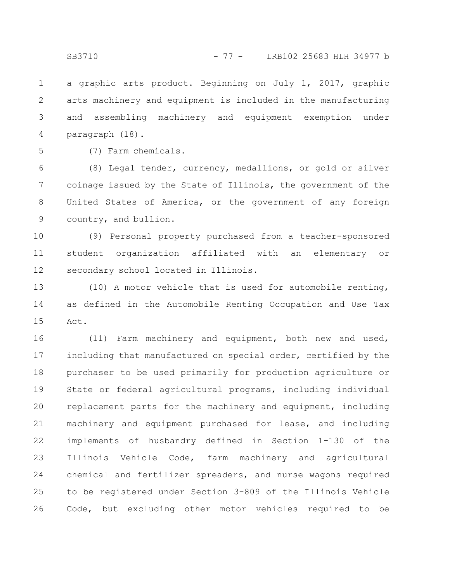a graphic arts product. Beginning on July 1, 2017, graphic arts machinery and equipment is included in the manufacturing and assembling machinery and equipment exemption under paragraph (18). 1 2 3 4

5

(7) Farm chemicals.

(8) Legal tender, currency, medallions, or gold or silver coinage issued by the State of Illinois, the government of the United States of America, or the government of any foreign country, and bullion. 6 7 8 9

(9) Personal property purchased from a teacher-sponsored student organization affiliated with an elementary or secondary school located in Illinois. 10 11 12

(10) A motor vehicle that is used for automobile renting, as defined in the Automobile Renting Occupation and Use Tax Act. 13 14 15

(11) Farm machinery and equipment, both new and used, including that manufactured on special order, certified by the purchaser to be used primarily for production agriculture or State or federal agricultural programs, including individual replacement parts for the machinery and equipment, including machinery and equipment purchased for lease, and including implements of husbandry defined in Section 1-130 of the Illinois Vehicle Code, farm machinery and agricultural chemical and fertilizer spreaders, and nurse wagons required to be registered under Section 3-809 of the Illinois Vehicle Code, but excluding other motor vehicles required to be 16 17 18 19 20 21 22 23 24 25 26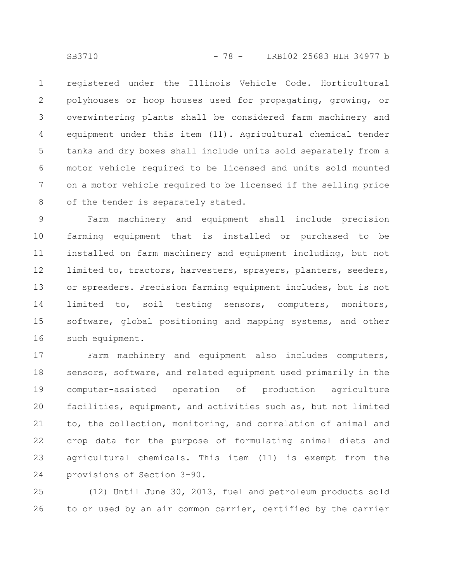registered under the Illinois Vehicle Code. Horticultural polyhouses or hoop houses used for propagating, growing, or overwintering plants shall be considered farm machinery and equipment under this item (11). Agricultural chemical tender tanks and dry boxes shall include units sold separately from a motor vehicle required to be licensed and units sold mounted on a motor vehicle required to be licensed if the selling price of the tender is separately stated. 1 2 3 4 5 6 7 8

Farm machinery and equipment shall include precision farming equipment that is installed or purchased to be installed on farm machinery and equipment including, but not limited to, tractors, harvesters, sprayers, planters, seeders, or spreaders. Precision farming equipment includes, but is not limited to, soil testing sensors, computers, monitors, software, global positioning and mapping systems, and other such equipment. 9 10 11 12 13 14 15 16

Farm machinery and equipment also includes computers, sensors, software, and related equipment used primarily in the computer-assisted operation of production agriculture facilities, equipment, and activities such as, but not limited to, the collection, monitoring, and correlation of animal and crop data for the purpose of formulating animal diets and agricultural chemicals. This item (11) is exempt from the provisions of Section 3-90. 17 18 19 20 21 22 23 24

(12) Until June 30, 2013, fuel and petroleum products sold to or used by an air common carrier, certified by the carrier 25 26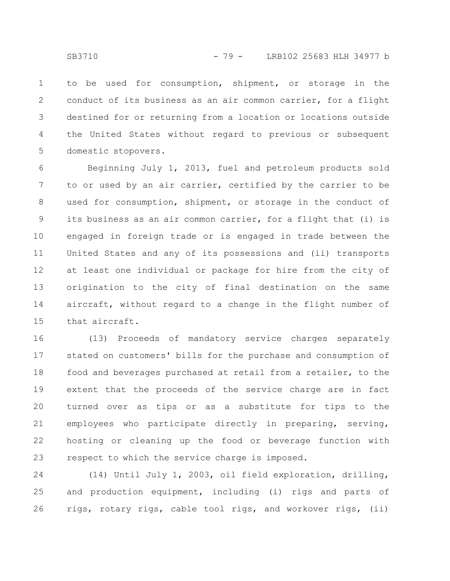to be used for consumption, shipment, or storage in the conduct of its business as an air common carrier, for a flight destined for or returning from a location or locations outside the United States without regard to previous or subsequent domestic stopovers. 1 2 3 4 5

Beginning July 1, 2013, fuel and petroleum products sold to or used by an air carrier, certified by the carrier to be used for consumption, shipment, or storage in the conduct of its business as an air common carrier, for a flight that (i) is engaged in foreign trade or is engaged in trade between the United States and any of its possessions and (ii) transports at least one individual or package for hire from the city of origination to the city of final destination on the same aircraft, without regard to a change in the flight number of that aircraft. 6 7 8 9 10 11 12 13 14 15

(13) Proceeds of mandatory service charges separately stated on customers' bills for the purchase and consumption of food and beverages purchased at retail from a retailer, to the extent that the proceeds of the service charge are in fact turned over as tips or as a substitute for tips to the employees who participate directly in preparing, serving, hosting or cleaning up the food or beverage function with respect to which the service charge is imposed. 16 17 18 19 20 21 22 23

(14) Until July 1, 2003, oil field exploration, drilling, and production equipment, including (i) rigs and parts of rigs, rotary rigs, cable tool rigs, and workover rigs, (ii) 24 25 26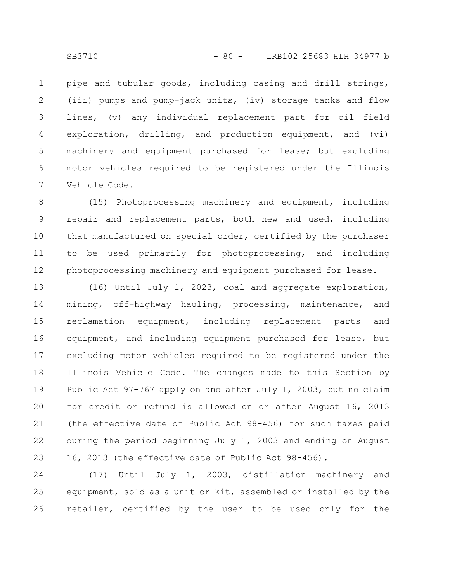pipe and tubular goods, including casing and drill strings, (iii) pumps and pump-jack units, (iv) storage tanks and flow lines, (v) any individual replacement part for oil field exploration, drilling, and production equipment, and (vi) machinery and equipment purchased for lease; but excluding motor vehicles required to be registered under the Illinois Vehicle Code. 1 2 3 4 5 6 7

(15) Photoprocessing machinery and equipment, including repair and replacement parts, both new and used, including that manufactured on special order, certified by the purchaser to be used primarily for photoprocessing, and including photoprocessing machinery and equipment purchased for lease. 8 9 10 11 12

(16) Until July 1, 2023, coal and aggregate exploration, mining, off-highway hauling, processing, maintenance, and reclamation equipment, including replacement parts and equipment, and including equipment purchased for lease, but excluding motor vehicles required to be registered under the Illinois Vehicle Code. The changes made to this Section by Public Act 97-767 apply on and after July 1, 2003, but no claim for credit or refund is allowed on or after August 16, 2013 (the effective date of Public Act 98-456) for such taxes paid during the period beginning July 1, 2003 and ending on August 16, 2013 (the effective date of Public Act 98-456). 13 14 15 16 17 18 19 20 21 22 23

(17) Until July 1, 2003, distillation machinery and equipment, sold as a unit or kit, assembled or installed by the retailer, certified by the user to be used only for the 24 25 26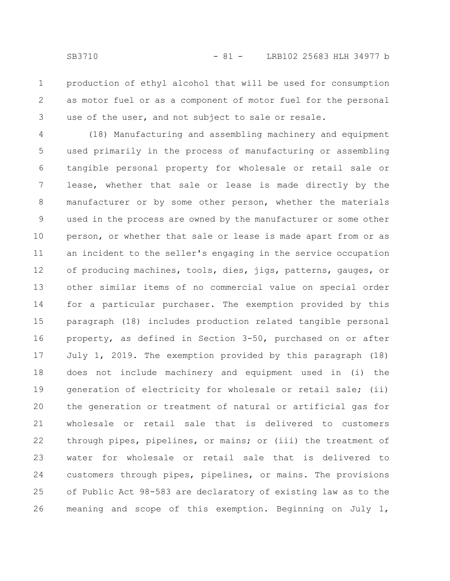production of ethyl alcohol that will be used for consumption as motor fuel or as a component of motor fuel for the personal use of the user, and not subject to sale or resale. 1 2 3

(18) Manufacturing and assembling machinery and equipment used primarily in the process of manufacturing or assembling tangible personal property for wholesale or retail sale or lease, whether that sale or lease is made directly by the manufacturer or by some other person, whether the materials used in the process are owned by the manufacturer or some other person, or whether that sale or lease is made apart from or as an incident to the seller's engaging in the service occupation of producing machines, tools, dies, jigs, patterns, gauges, or other similar items of no commercial value on special order for a particular purchaser. The exemption provided by this paragraph (18) includes production related tangible personal property, as defined in Section 3-50, purchased on or after July 1, 2019. The exemption provided by this paragraph (18) does not include machinery and equipment used in (i) the generation of electricity for wholesale or retail sale; (ii) the generation or treatment of natural or artificial gas for wholesale or retail sale that is delivered to customers through pipes, pipelines, or mains; or (iii) the treatment of water for wholesale or retail sale that is delivered to customers through pipes, pipelines, or mains. The provisions of Public Act 98-583 are declaratory of existing law as to the meaning and scope of this exemption. Beginning on July 1, 4 5 6 7 8 9 10 11 12 13 14 15 16 17 18 19 20 21 22 23 24 25 26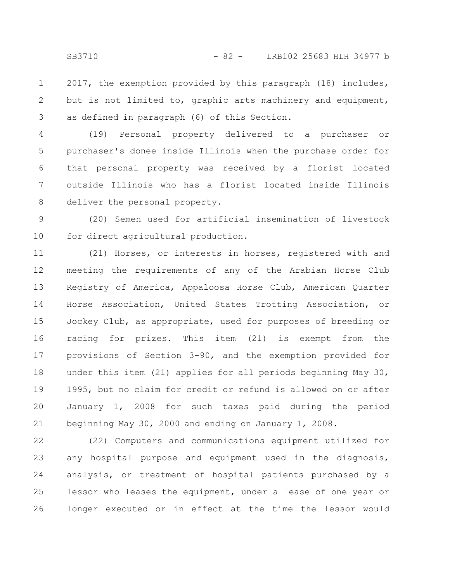2017, the exemption provided by this paragraph (18) includes, but is not limited to, graphic arts machinery and equipment, as defined in paragraph (6) of this Section. 1 2 3

(19) Personal property delivered to a purchaser or purchaser's donee inside Illinois when the purchase order for that personal property was received by a florist located outside Illinois who has a florist located inside Illinois deliver the personal property. 4 5 6 7 8

(20) Semen used for artificial insemination of livestock for direct agricultural production. 9 10

(21) Horses, or interests in horses, registered with and meeting the requirements of any of the Arabian Horse Club Registry of America, Appaloosa Horse Club, American Quarter Horse Association, United States Trotting Association, or Jockey Club, as appropriate, used for purposes of breeding or racing for prizes. This item (21) is exempt from the provisions of Section 3-90, and the exemption provided for under this item (21) applies for all periods beginning May 30, 1995, but no claim for credit or refund is allowed on or after January 1, 2008 for such taxes paid during the period beginning May 30, 2000 and ending on January 1, 2008. 11 12 13 14 15 16 17 18 19 20 21

(22) Computers and communications equipment utilized for any hospital purpose and equipment used in the diagnosis, analysis, or treatment of hospital patients purchased by a lessor who leases the equipment, under a lease of one year or longer executed or in effect at the time the lessor would 22 23 24 25 26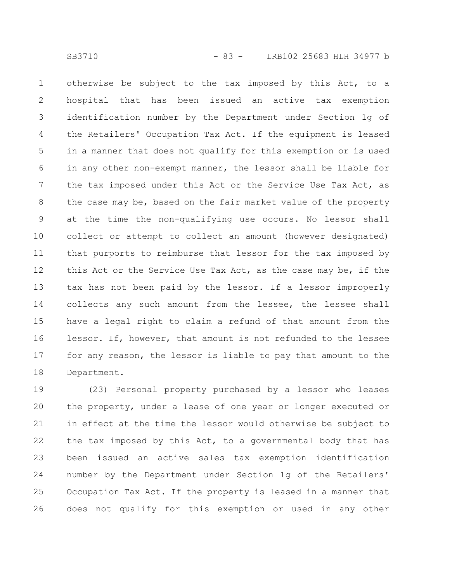otherwise be subject to the tax imposed by this Act, to a hospital that has been issued an active tax exemption identification number by the Department under Section 1g of the Retailers' Occupation Tax Act. If the equipment is leased in a manner that does not qualify for this exemption or is used in any other non-exempt manner, the lessor shall be liable for the tax imposed under this Act or the Service Use Tax Act, as the case may be, based on the fair market value of the property at the time the non-qualifying use occurs. No lessor shall collect or attempt to collect an amount (however designated) that purports to reimburse that lessor for the tax imposed by this Act or the Service Use Tax Act, as the case may be, if the tax has not been paid by the lessor. If a lessor improperly collects any such amount from the lessee, the lessee shall have a legal right to claim a refund of that amount from the lessor. If, however, that amount is not refunded to the lessee for any reason, the lessor is liable to pay that amount to the Department. 1 2 3 4 5 6 7 8 9 10 11 12 13 14 15 16 17 18

(23) Personal property purchased by a lessor who leases the property, under a lease of one year or longer executed or in effect at the time the lessor would otherwise be subject to the tax imposed by this Act, to a governmental body that has been issued an active sales tax exemption identification number by the Department under Section 1g of the Retailers' Occupation Tax Act. If the property is leased in a manner that does not qualify for this exemption or used in any other 19 20 21 22 23 24 25 26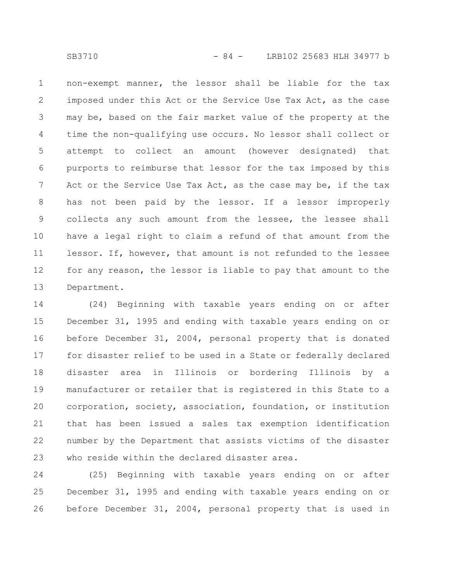non-exempt manner, the lessor shall be liable for the tax imposed under this Act or the Service Use Tax Act, as the case may be, based on the fair market value of the property at the time the non-qualifying use occurs. No lessor shall collect or attempt to collect an amount (however designated) that purports to reimburse that lessor for the tax imposed by this Act or the Service Use Tax Act, as the case may be, if the tax has not been paid by the lessor. If a lessor improperly collects any such amount from the lessee, the lessee shall have a legal right to claim a refund of that amount from the lessor. If, however, that amount is not refunded to the lessee for any reason, the lessor is liable to pay that amount to the Department. 1 2 3 4 5 6 7 8 9 10 11 12 13

(24) Beginning with taxable years ending on or after December 31, 1995 and ending with taxable years ending on or before December 31, 2004, personal property that is donated for disaster relief to be used in a State or federally declared disaster area in Illinois or bordering Illinois by a manufacturer or retailer that is registered in this State to a corporation, society, association, foundation, or institution that has been issued a sales tax exemption identification number by the Department that assists victims of the disaster who reside within the declared disaster area. 14 15 16 17 18 19 20 21 22 23

(25) Beginning with taxable years ending on or after December 31, 1995 and ending with taxable years ending on or before December 31, 2004, personal property that is used in 24 25 26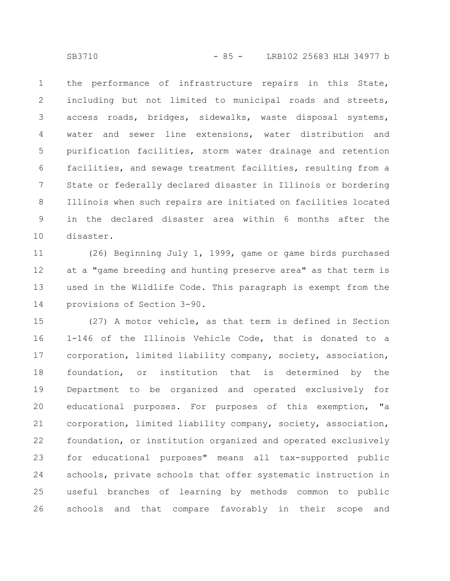the performance of infrastructure repairs in this State, including but not limited to municipal roads and streets, access roads, bridges, sidewalks, waste disposal systems, water and sewer line extensions, water distribution and purification facilities, storm water drainage and retention facilities, and sewage treatment facilities, resulting from a State or federally declared disaster in Illinois or bordering Illinois when such repairs are initiated on facilities located in the declared disaster area within 6 months after the disaster. 1 2 3 4 5 6 7 8 9 10

(26) Beginning July 1, 1999, game or game birds purchased at a "game breeding and hunting preserve area" as that term is used in the Wildlife Code. This paragraph is exempt from the provisions of Section 3-90. 11 12 13 14

(27) A motor vehicle, as that term is defined in Section 1-146 of the Illinois Vehicle Code, that is donated to a corporation, limited liability company, society, association, foundation, or institution that is determined by the Department to be organized and operated exclusively for educational purposes. For purposes of this exemption, "a corporation, limited liability company, society, association, foundation, or institution organized and operated exclusively for educational purposes" means all tax-supported public schools, private schools that offer systematic instruction in useful branches of learning by methods common to public schools and that compare favorably in their scope and 15 16 17 18 19 20 21 22 23 24 25 26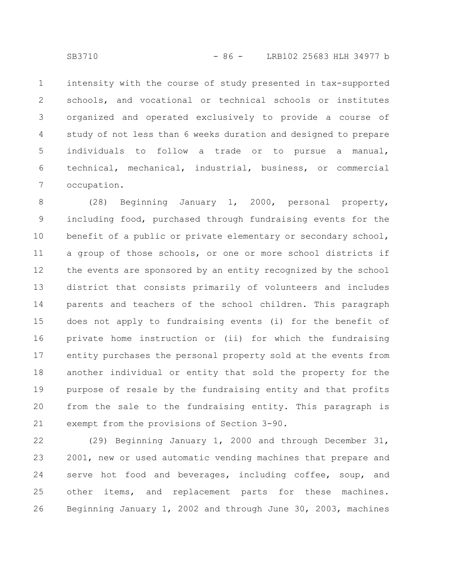intensity with the course of study presented in tax-supported schools, and vocational or technical schools or institutes organized and operated exclusively to provide a course of study of not less than 6 weeks duration and designed to prepare individuals to follow a trade or to pursue a manual, technical, mechanical, industrial, business, or commercial occupation. 1 2 3 4 5 6 7

(28) Beginning January 1, 2000, personal property, including food, purchased through fundraising events for the benefit of a public or private elementary or secondary school, a group of those schools, or one or more school districts if the events are sponsored by an entity recognized by the school district that consists primarily of volunteers and includes parents and teachers of the school children. This paragraph does not apply to fundraising events (i) for the benefit of private home instruction or (ii) for which the fundraising entity purchases the personal property sold at the events from another individual or entity that sold the property for the purpose of resale by the fundraising entity and that profits from the sale to the fundraising entity. This paragraph is exempt from the provisions of Section 3-90. 8 9 10 11 12 13 14 15 16 17 18 19 20 21

(29) Beginning January 1, 2000 and through December 31, 2001, new or used automatic vending machines that prepare and serve hot food and beverages, including coffee, soup, and other items, and replacement parts for these machines. Beginning January 1, 2002 and through June 30, 2003, machines 22 23 24 25 26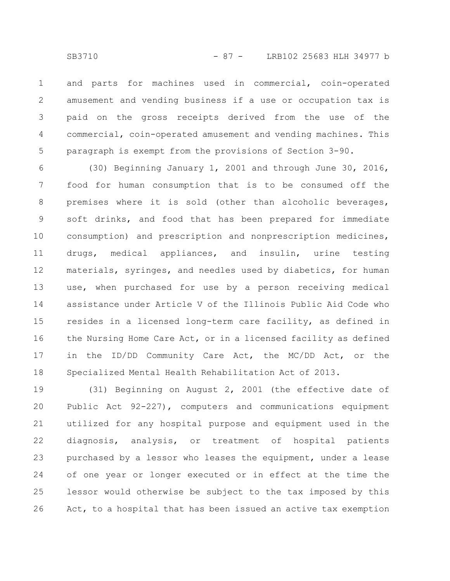and parts for machines used in commercial, coin-operated amusement and vending business if a use or occupation tax is paid on the gross receipts derived from the use of the commercial, coin-operated amusement and vending machines. This paragraph is exempt from the provisions of Section 3-90. 1 2 3 4 5

(30) Beginning January 1, 2001 and through June 30, 2016, food for human consumption that is to be consumed off the premises where it is sold (other than alcoholic beverages, soft drinks, and food that has been prepared for immediate consumption) and prescription and nonprescription medicines, drugs, medical appliances, and insulin, urine testing materials, syringes, and needles used by diabetics, for human use, when purchased for use by a person receiving medical assistance under Article V of the Illinois Public Aid Code who resides in a licensed long-term care facility, as defined in the Nursing Home Care Act, or in a licensed facility as defined in the ID/DD Community Care Act, the MC/DD Act, or the Specialized Mental Health Rehabilitation Act of 2013. 6 7 8 9 10 11 12 13 14 15 16 17 18

(31) Beginning on August 2, 2001 (the effective date of Public Act 92-227), computers and communications equipment utilized for any hospital purpose and equipment used in the diagnosis, analysis, or treatment of hospital patients purchased by a lessor who leases the equipment, under a lease of one year or longer executed or in effect at the time the lessor would otherwise be subject to the tax imposed by this Act, to a hospital that has been issued an active tax exemption 19 20 21 22 23 24 25 26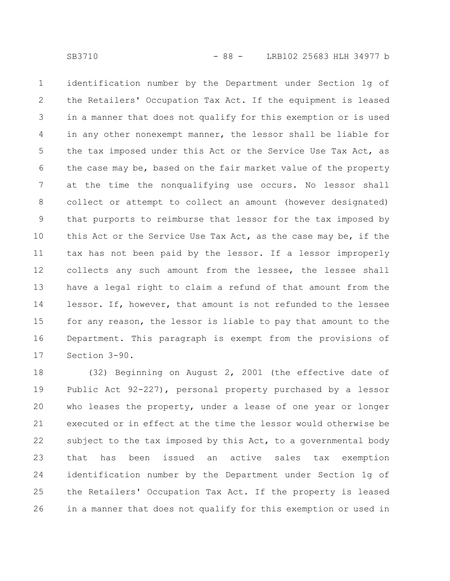identification number by the Department under Section 1g of the Retailers' Occupation Tax Act. If the equipment is leased in a manner that does not qualify for this exemption or is used in any other nonexempt manner, the lessor shall be liable for the tax imposed under this Act or the Service Use Tax Act, as the case may be, based on the fair market value of the property at the time the nonqualifying use occurs. No lessor shall collect or attempt to collect an amount (however designated) that purports to reimburse that lessor for the tax imposed by this Act or the Service Use Tax Act, as the case may be, if the tax has not been paid by the lessor. If a lessor improperly collects any such amount from the lessee, the lessee shall have a legal right to claim a refund of that amount from the lessor. If, however, that amount is not refunded to the lessee for any reason, the lessor is liable to pay that amount to the Department. This paragraph is exempt from the provisions of Section 3-90. 1 2 3 4 5 6 7 8 9 10 11 12 13 14 15 16 17

(32) Beginning on August 2, 2001 (the effective date of Public Act 92-227), personal property purchased by a lessor who leases the property, under a lease of one year or longer executed or in effect at the time the lessor would otherwise be subject to the tax imposed by this Act, to a governmental body that has been issued an active sales tax exemption identification number by the Department under Section 1g of the Retailers' Occupation Tax Act. If the property is leased in a manner that does not qualify for this exemption or used in 18 19 20 21 22 23 24 25 26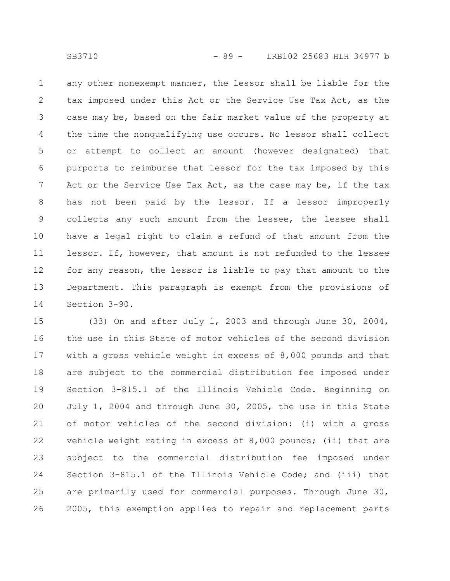any other nonexempt manner, the lessor shall be liable for the tax imposed under this Act or the Service Use Tax Act, as the case may be, based on the fair market value of the property at the time the nonqualifying use occurs. No lessor shall collect or attempt to collect an amount (however designated) that purports to reimburse that lessor for the tax imposed by this Act or the Service Use Tax Act, as the case may be, if the tax has not been paid by the lessor. If a lessor improperly collects any such amount from the lessee, the lessee shall have a legal right to claim a refund of that amount from the lessor. If, however, that amount is not refunded to the lessee for any reason, the lessor is liable to pay that amount to the Department. This paragraph is exempt from the provisions of Section 3-90. 1 2 3 4 5 6 7 8 9 10 11 12 13 14

(33) On and after July 1, 2003 and through June 30, 2004, the use in this State of motor vehicles of the second division with a gross vehicle weight in excess of 8,000 pounds and that are subject to the commercial distribution fee imposed under Section 3-815.1 of the Illinois Vehicle Code. Beginning on July 1, 2004 and through June 30, 2005, the use in this State of motor vehicles of the second division: (i) with a gross vehicle weight rating in excess of 8,000 pounds; (ii) that are subject to the commercial distribution fee imposed under Section 3-815.1 of the Illinois Vehicle Code; and (iii) that are primarily used for commercial purposes. Through June 30, 2005, this exemption applies to repair and replacement parts 15 16 17 18 19 20 21 22 23 24 25 26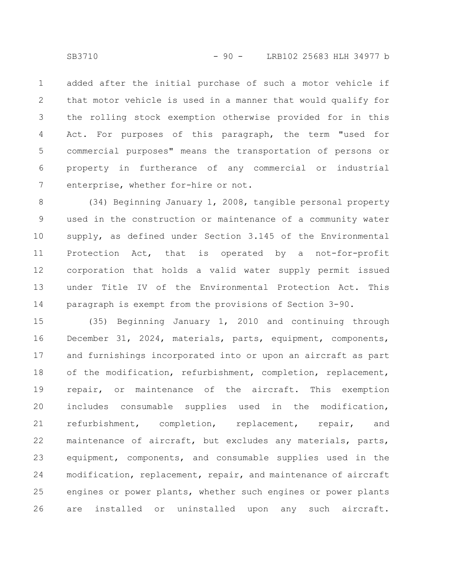added after the initial purchase of such a motor vehicle if that motor vehicle is used in a manner that would qualify for the rolling stock exemption otherwise provided for in this Act. For purposes of this paragraph, the term "used for commercial purposes" means the transportation of persons or property in furtherance of any commercial or industrial enterprise, whether for-hire or not. 1 2 3 4 5 6 7

(34) Beginning January 1, 2008, tangible personal property used in the construction or maintenance of a community water supply, as defined under Section 3.145 of the Environmental Protection Act, that is operated by a not-for-profit corporation that holds a valid water supply permit issued under Title IV of the Environmental Protection Act. This paragraph is exempt from the provisions of Section 3-90. 8 9 10 11 12 13 14

(35) Beginning January 1, 2010 and continuing through December 31, 2024, materials, parts, equipment, components, and furnishings incorporated into or upon an aircraft as part of the modification, refurbishment, completion, replacement, repair, or maintenance of the aircraft. This exemption includes consumable supplies used in the modification, refurbishment, completion, replacement, repair, and maintenance of aircraft, but excludes any materials, parts, equipment, components, and consumable supplies used in the modification, replacement, repair, and maintenance of aircraft engines or power plants, whether such engines or power plants are installed or uninstalled upon any such aircraft. 15 16 17 18 19 20 21 22 23 24 25 26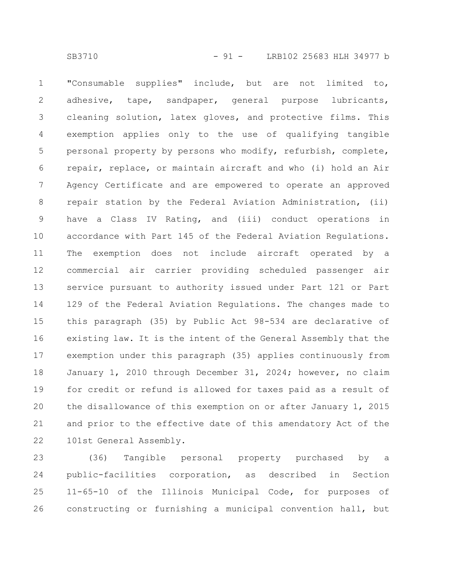"Consumable supplies" include, but are not limited to, adhesive, tape, sandpaper, general purpose lubricants, cleaning solution, latex gloves, and protective films. This exemption applies only to the use of qualifying tangible personal property by persons who modify, refurbish, complete, repair, replace, or maintain aircraft and who (i) hold an Air Agency Certificate and are empowered to operate an approved repair station by the Federal Aviation Administration, (ii) have a Class IV Rating, and (iii) conduct operations in accordance with Part 145 of the Federal Aviation Regulations. The exemption does not include aircraft operated by a commercial air carrier providing scheduled passenger air service pursuant to authority issued under Part 121 or Part 129 of the Federal Aviation Regulations. The changes made to this paragraph (35) by Public Act 98-534 are declarative of existing law. It is the intent of the General Assembly that the exemption under this paragraph (35) applies continuously from January 1, 2010 through December 31, 2024; however, no claim for credit or refund is allowed for taxes paid as a result of the disallowance of this exemption on or after January 1, 2015 and prior to the effective date of this amendatory Act of the 101st General Assembly. 1 2 3 4 5 6 7 8 9 10 11 12 13 14 15 16 17 18 19 20 21 22

(36) Tangible personal property purchased by a public-facilities corporation, as described in Section 11-65-10 of the Illinois Municipal Code, for purposes of constructing or furnishing a municipal convention hall, but 23 24 25 26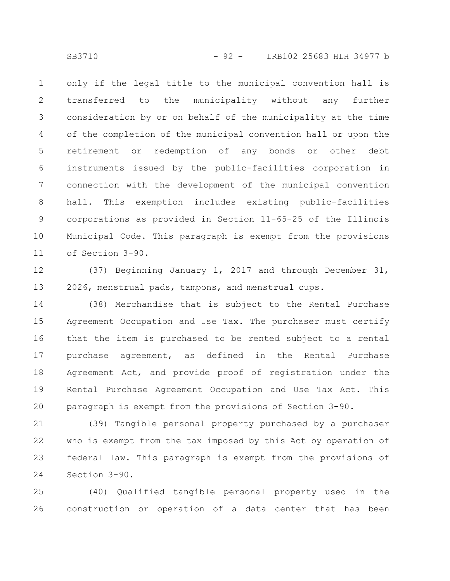only if the legal title to the municipal convention hall is transferred to the municipality without any further consideration by or on behalf of the municipality at the time of the completion of the municipal convention hall or upon the retirement or redemption of any bonds or other debt instruments issued by the public-facilities corporation in connection with the development of the municipal convention hall. This exemption includes existing public-facilities corporations as provided in Section 11-65-25 of the Illinois Municipal Code. This paragraph is exempt from the provisions of Section 3-90. 1 2 3 4 5 6 7 8 9 10 11

(37) Beginning January 1, 2017 and through December 31, 2026, menstrual pads, tampons, and menstrual cups. 12 13

(38) Merchandise that is subject to the Rental Purchase Agreement Occupation and Use Tax. The purchaser must certify that the item is purchased to be rented subject to a rental purchase agreement, as defined in the Rental Purchase Agreement Act, and provide proof of registration under the Rental Purchase Agreement Occupation and Use Tax Act. This paragraph is exempt from the provisions of Section 3-90. 14 15 16 17 18 19 20

(39) Tangible personal property purchased by a purchaser who is exempt from the tax imposed by this Act by operation of federal law. This paragraph is exempt from the provisions of Section 3-90. 21 22 23 24

(40) Qualified tangible personal property used in the construction or operation of a data center that has been 25 26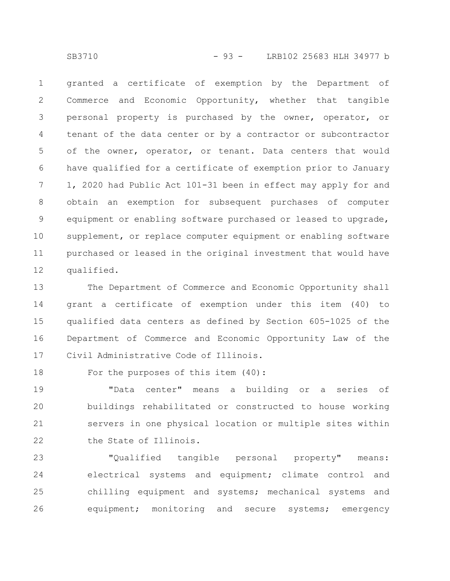SB3710 - 93 - LRB102 25683 HLH 34977 b

granted a certificate of exemption by the Department of Commerce and Economic Opportunity, whether that tangible personal property is purchased by the owner, operator, or tenant of the data center or by a contractor or subcontractor of the owner, operator, or tenant. Data centers that would have qualified for a certificate of exemption prior to January 1, 2020 had Public Act 101-31 been in effect may apply for and obtain an exemption for subsequent purchases of computer equipment or enabling software purchased or leased to upgrade, supplement, or replace computer equipment or enabling software purchased or leased in the original investment that would have qualified. 1 2 3 4 5 6 7 8 9 10 11 12

The Department of Commerce and Economic Opportunity shall grant a certificate of exemption under this item (40) to qualified data centers as defined by Section 605-1025 of the Department of Commerce and Economic Opportunity Law of the Civil Administrative Code of Illinois. 13 14 15 16 17

For the purposes of this item (40): 18

"Data center" means a building or a series of buildings rehabilitated or constructed to house working servers in one physical location or multiple sites within the State of Illinois. 19 20 21 22

"Qualified tangible personal property" means: electrical systems and equipment; climate control and chilling equipment and systems; mechanical systems and equipment; monitoring and secure systems; emergency 23 24 25 26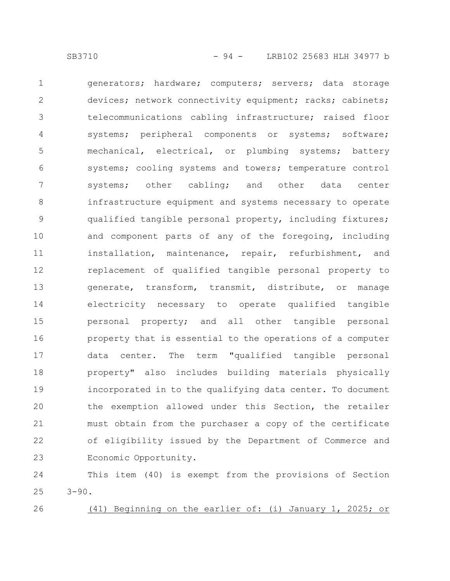generators; hardware; computers; servers; data storage devices; network connectivity equipment; racks; cabinets; telecommunications cabling infrastructure; raised floor systems; peripheral components or systems; software; mechanical, electrical, or plumbing systems; battery systems; cooling systems and towers; temperature control systems; other cabling; and other data center infrastructure equipment and systems necessary to operate qualified tangible personal property, including fixtures; and component parts of any of the foregoing, including installation, maintenance, repair, refurbishment, and replacement of qualified tangible personal property to generate, transform, transmit, distribute, or manage electricity necessary to operate qualified tangible personal property; and all other tangible personal property that is essential to the operations of a computer data center. The term "qualified tangible personal property" also includes building materials physically incorporated in to the qualifying data center. To document the exemption allowed under this Section, the retailer must obtain from the purchaser a copy of the certificate of eligibility issued by the Department of Commerce and Economic Opportunity. 1 2 3 4 5 6 7 8 9 10 11 12 13 14 15 16 17 18 19 20 21 22 23

This item (40) is exempt from the provisions of Section  $3 - 90$ . 24 25

26

(41) Beginning on the earlier of: (i) January 1, 2025; or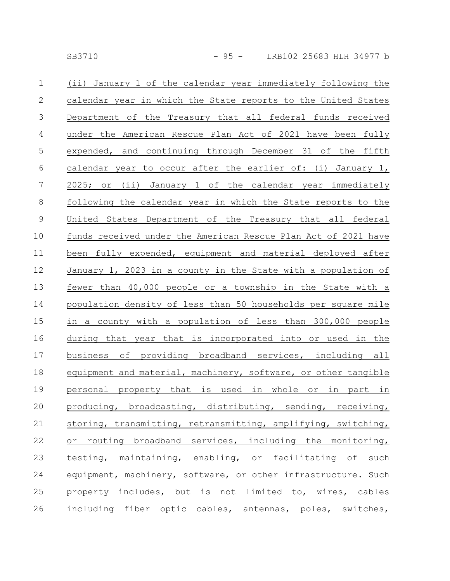| $\mathbf 1$    | (ii) January 1 of the calendar year immediately following the  |
|----------------|----------------------------------------------------------------|
| $\mathbf{2}$   | calendar year in which the State reports to the United States  |
| $\mathfrak{Z}$ | Department of the Treasury that all federal funds received     |
| $\overline{4}$ | under the American Rescue Plan Act of 2021 have been fully     |
| 5              | expended, and continuing through December 31 of the fifth      |
| 6              | calendar year to occur after the earlier of: (i) January 1,    |
| $\overline{7}$ | 2025; or (ii) January 1 of the calendar year immediately       |
| $8\,$          | following the calendar year in which the State reports to the  |
| $\mathsf 9$    | United States Department of the Treasury that all federal      |
| 10             | funds received under the American Rescue Plan Act of 2021 have |
| 11             | been fully expended, equipment and material deployed after     |
| 12             | January 1, 2023 in a county in the State with a population of  |
| 13             | fewer than 40,000 people or a township in the State with a     |
| 14             | population density of less than 50 households per square mile  |
| 15             | in a county with a population of less than 300,000 people      |
| 16             | during that year that is incorporated into or used in the      |
| 17             | business of providing broadband services, including all        |
| 18             | equipment and material, machinery, software, or other tangible |
| 19             | personal property that is used in whole or in part in          |
| 20             | producing, broadcasting, distributing, sending, receiving,     |
| 21             | storing, transmitting, retransmitting, amplifying, switching,  |
| 22             | or routing broadband services, including the monitoring,       |
| 23             | testing, maintaining, enabling, or facilitating of such        |
| 24             | equipment, machinery, software, or other infrastructure. Such  |
| 25             | property includes, but is not limited to, wires, cables        |
| 26             | including fiber optic cables, antennas, poles, switches,       |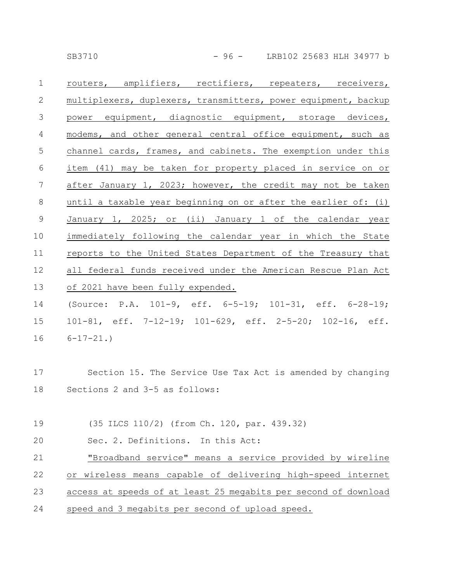SB3710 - 96 - LRB102 25683 HLH 34977 b

| $\mathbf 1$    | routers, amplifiers, rectifiers, repeaters, receivers,         |
|----------------|----------------------------------------------------------------|
| 2              | multiplexers, duplexers, transmitters, power equipment, backup |
| 3              | power equipment, diagnostic equipment, storage devices,        |
| $\overline{4}$ | modems, and other general central office equipment, such as    |
| 5              | channel cards, frames, and cabinets. The exemption under this  |
| 6              | item (41) may be taken for property placed in service on or    |
| 7              | after January 1, 2023; however, the credit may not be taken    |
| 8              | until a taxable year beginning on or after the earlier of: (i) |
| $\mathcal{G}$  | January 1, 2025; or (ii) January 1 of the calendar year        |
| 10             | immediately following the calendar year in which the State     |
| 11             | reports to the United States Department of the Treasury that   |
| 12             | all federal funds received under the American Rescue Plan Act  |
| 13             | of 2021 have been fully expended.                              |
| 14             | (Source: P.A. 101-9, eff. 6-5-19; 101-31, eff. 6-28-19;        |
| 15             | 101-81, eff. 7-12-19; 101-629, eff. 2-5-20; 102-16, eff.       |
| 16             | $6 - 17 - 21.$                                                 |
|                |                                                                |
| 17             | Section 15. The Service Use Tax Act is amended by changing     |
| 18             | Sections 2 and 3-5 as follows:                                 |
|                |                                                                |

(35 ILCS 110/2) (from Ch. 120, par. 439.32) 19

Sec. 2. Definitions. In this Act: 20

"Broadband service" means a service provided by wireline or wireless means capable of delivering high-speed internet access at speeds of at least 25 megabits per second of download 21 22 23

speed and 3 megabits per second of upload speed. 24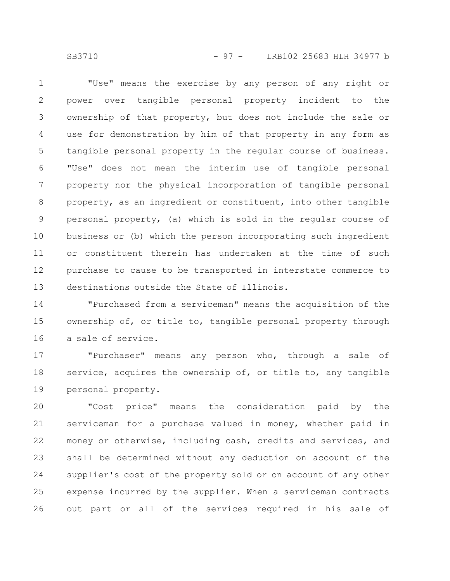SB3710 - 97 - LRB102 25683 HLH 34977 b

"Use" means the exercise by any person of any right or power over tangible personal property incident to the ownership of that property, but does not include the sale or use for demonstration by him of that property in any form as tangible personal property in the regular course of business. "Use" does not mean the interim use of tangible personal property nor the physical incorporation of tangible personal property, as an ingredient or constituent, into other tangible personal property, (a) which is sold in the regular course of business or (b) which the person incorporating such ingredient or constituent therein has undertaken at the time of such purchase to cause to be transported in interstate commerce to destinations outside the State of Illinois. 1 2 3 4 5 6 7 8 9 10 11 12 13

"Purchased from a serviceman" means the acquisition of the ownership of, or title to, tangible personal property through a sale of service. 14 15 16

"Purchaser" means any person who, through a sale of service, acquires the ownership of, or title to, any tangible personal property. 17 18 19

"Cost price" means the consideration paid by the serviceman for a purchase valued in money, whether paid in money or otherwise, including cash, credits and services, and shall be determined without any deduction on account of the supplier's cost of the property sold or on account of any other expense incurred by the supplier. When a serviceman contracts out part or all of the services required in his sale of 20 21 22 23 24 25 26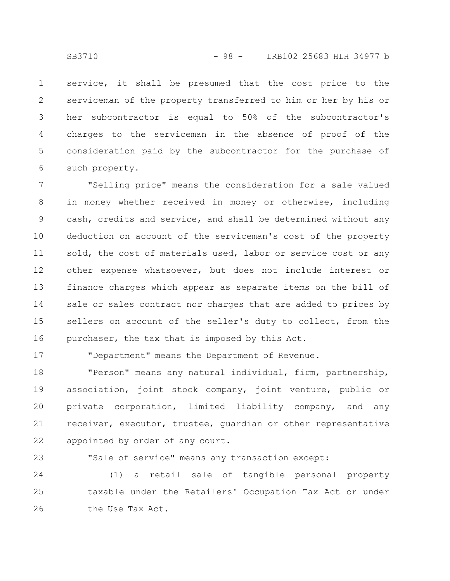service, it shall be presumed that the cost price to the serviceman of the property transferred to him or her by his or her subcontractor is equal to 50% of the subcontractor's charges to the serviceman in the absence of proof of the consideration paid by the subcontractor for the purchase of such property. 1 2 3 4 5 6

"Selling price" means the consideration for a sale valued in money whether received in money or otherwise, including cash, credits and service, and shall be determined without any deduction on account of the serviceman's cost of the property sold, the cost of materials used, labor or service cost or any other expense whatsoever, but does not include interest or finance charges which appear as separate items on the bill of sale or sales contract nor charges that are added to prices by sellers on account of the seller's duty to collect, from the purchaser, the tax that is imposed by this Act. 7 8 9 10 11 12 13 14 15 16

17

"Department" means the Department of Revenue.

"Person" means any natural individual, firm, partnership, association, joint stock company, joint venture, public or private corporation, limited liability company, and any receiver, executor, trustee, guardian or other representative appointed by order of any court. 18 19 20 21 22

"Sale of service" means any transaction except: 23

(1) a retail sale of tangible personal property taxable under the Retailers' Occupation Tax Act or under the Use Tax Act. 24 25 26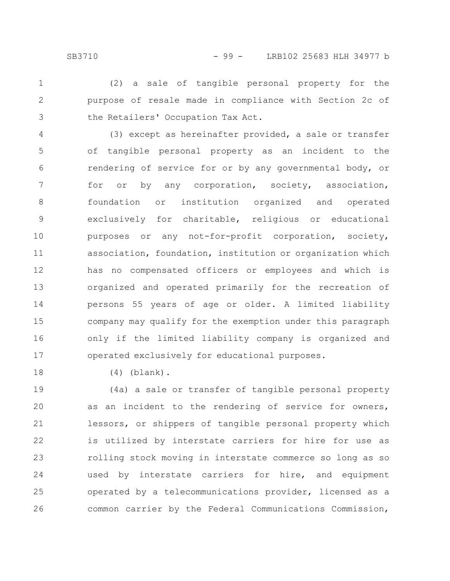(2) a sale of tangible personal property for the purpose of resale made in compliance with Section 2c of the Retailers' Occupation Tax Act. 1 2 3

(3) except as hereinafter provided, a sale or transfer of tangible personal property as an incident to the rendering of service for or by any governmental body, or for or by any corporation, society, association, foundation or institution organized and operated exclusively for charitable, religious or educational purposes or any not-for-profit corporation, society, association, foundation, institution or organization which has no compensated officers or employees and which is organized and operated primarily for the recreation of persons 55 years of age or older. A limited liability company may qualify for the exemption under this paragraph only if the limited liability company is organized and operated exclusively for educational purposes. 4 5 6 7 8 9 10 11 12 13 14 15 16 17

(4) (blank).

18

(4a) a sale or transfer of tangible personal property as an incident to the rendering of service for owners, lessors, or shippers of tangible personal property which is utilized by interstate carriers for hire for use as rolling stock moving in interstate commerce so long as so used by interstate carriers for hire, and equipment operated by a telecommunications provider, licensed as a common carrier by the Federal Communications Commission, 19 20 21 22 23 24 25 26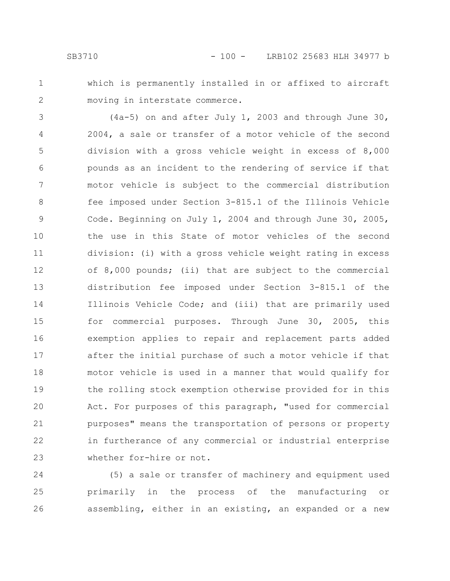1 2

which is permanently installed in or affixed to aircraft moving in interstate commerce.

(4a-5) on and after July 1, 2003 and through June 30, 2004, a sale or transfer of a motor vehicle of the second division with a gross vehicle weight in excess of 8,000 pounds as an incident to the rendering of service if that motor vehicle is subject to the commercial distribution fee imposed under Section 3-815.1 of the Illinois Vehicle Code. Beginning on July 1, 2004 and through June 30, 2005, the use in this State of motor vehicles of the second division: (i) with a gross vehicle weight rating in excess of 8,000 pounds; (ii) that are subject to the commercial distribution fee imposed under Section 3-815.1 of the Illinois Vehicle Code; and (iii) that are primarily used for commercial purposes. Through June 30, 2005, this exemption applies to repair and replacement parts added after the initial purchase of such a motor vehicle if that motor vehicle is used in a manner that would qualify for the rolling stock exemption otherwise provided for in this Act. For purposes of this paragraph, "used for commercial purposes" means the transportation of persons or property in furtherance of any commercial or industrial enterprise whether for-hire or not. 3 4 5 6 7 8 9 10 11 12 13 14 15 16 17 18 19 20 21 22 23

(5) a sale or transfer of machinery and equipment used primarily in the process of the manufacturing or assembling, either in an existing, an expanded or a new 24 25 26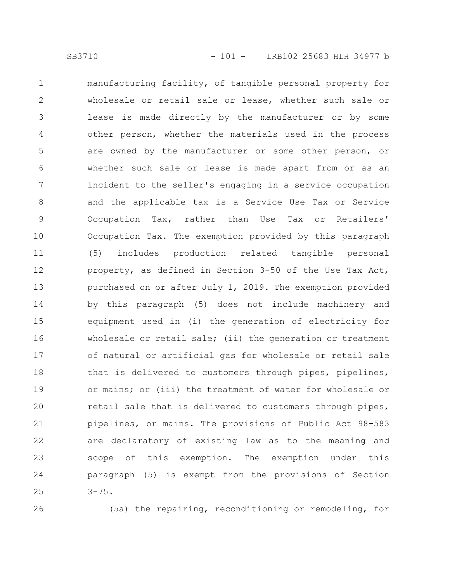manufacturing facility, of tangible personal property for wholesale or retail sale or lease, whether such sale or lease is made directly by the manufacturer or by some other person, whether the materials used in the process are owned by the manufacturer or some other person, or whether such sale or lease is made apart from or as an incident to the seller's engaging in a service occupation and the applicable tax is a Service Use Tax or Service Occupation Tax, rather than Use Tax or Retailers' Occupation Tax. The exemption provided by this paragraph (5) includes production related tangible personal property, as defined in Section 3-50 of the Use Tax Act, purchased on or after July 1, 2019. The exemption provided by this paragraph (5) does not include machinery and equipment used in (i) the generation of electricity for wholesale or retail sale; (ii) the generation or treatment of natural or artificial gas for wholesale or retail sale that is delivered to customers through pipes, pipelines, or mains; or (iii) the treatment of water for wholesale or retail sale that is delivered to customers through pipes, pipelines, or mains. The provisions of Public Act 98-583 are declaratory of existing law as to the meaning and scope of this exemption. The exemption under this paragraph (5) is exempt from the provisions of Section  $3 - 75.$ 1 2 3 4 5 6 7 8 9 10 11 12 13 14 15 16 17 18 19 20 21 22 23 24 25

26

(5a) the repairing, reconditioning or remodeling, for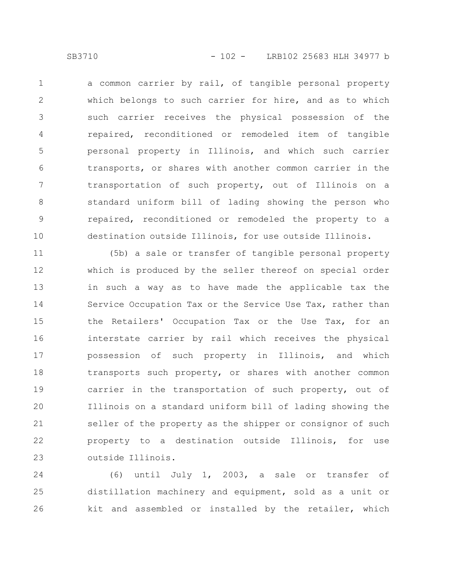a common carrier by rail, of tangible personal property which belongs to such carrier for hire, and as to which such carrier receives the physical possession of the repaired, reconditioned or remodeled item of tangible personal property in Illinois, and which such carrier transports, or shares with another common carrier in the transportation of such property, out of Illinois on a standard uniform bill of lading showing the person who repaired, reconditioned or remodeled the property to a destination outside Illinois, for use outside Illinois. 1 2 3 4 5 6 7 8 9 10

(5b) a sale or transfer of tangible personal property which is produced by the seller thereof on special order in such a way as to have made the applicable tax the Service Occupation Tax or the Service Use Tax, rather than the Retailers' Occupation Tax or the Use Tax, for an interstate carrier by rail which receives the physical possession of such property in Illinois, and which transports such property, or shares with another common carrier in the transportation of such property, out of Illinois on a standard uniform bill of lading showing the seller of the property as the shipper or consignor of such property to a destination outside Illinois, for use outside Illinois. 11 12 13 14 15 16 17 18 19 20 21 22 23

(6) until July 1, 2003, a sale or transfer of distillation machinery and equipment, sold as a unit or kit and assembled or installed by the retailer, which 24 25 26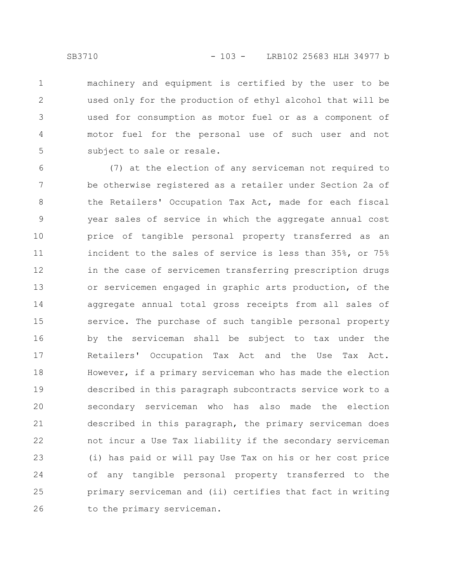machinery and equipment is certified by the user to be used only for the production of ethyl alcohol that will be used for consumption as motor fuel or as a component of motor fuel for the personal use of such user and not subject to sale or resale. 1 2 3 4 5

(7) at the election of any serviceman not required to be otherwise registered as a retailer under Section 2a of the Retailers' Occupation Tax Act, made for each fiscal year sales of service in which the aggregate annual cost price of tangible personal property transferred as an incident to the sales of service is less than 35%, or 75% in the case of servicemen transferring prescription drugs or servicemen engaged in graphic arts production, of the aggregate annual total gross receipts from all sales of service. The purchase of such tangible personal property by the serviceman shall be subject to tax under the Retailers' Occupation Tax Act and the Use Tax Act. However, if a primary serviceman who has made the election described in this paragraph subcontracts service work to a secondary serviceman who has also made the election described in this paragraph, the primary serviceman does not incur a Use Tax liability if the secondary serviceman (i) has paid or will pay Use Tax on his or her cost price of any tangible personal property transferred to the primary serviceman and (ii) certifies that fact in writing to the primary serviceman. 6 7 8 9 10 11 12 13 14 15 16 17 18 19 20 21 22 23 24 25 26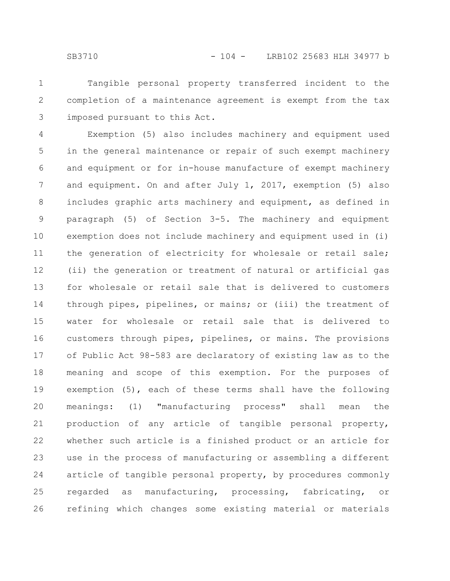Tangible personal property transferred incident to the completion of a maintenance agreement is exempt from the tax imposed pursuant to this Act. 1 2 3

Exemption (5) also includes machinery and equipment used in the general maintenance or repair of such exempt machinery and equipment or for in-house manufacture of exempt machinery and equipment. On and after July 1, 2017, exemption (5) also includes graphic arts machinery and equipment, as defined in paragraph (5) of Section 3-5. The machinery and equipment exemption does not include machinery and equipment used in (i) the generation of electricity for wholesale or retail sale; (ii) the generation or treatment of natural or artificial gas for wholesale or retail sale that is delivered to customers through pipes, pipelines, or mains; or (iii) the treatment of water for wholesale or retail sale that is delivered to customers through pipes, pipelines, or mains. The provisions of Public Act 98-583 are declaratory of existing law as to the meaning and scope of this exemption. For the purposes of exemption (5), each of these terms shall have the following meanings: (1) "manufacturing process" shall mean the production of any article of tangible personal property, whether such article is a finished product or an article for use in the process of manufacturing or assembling a different article of tangible personal property, by procedures commonly regarded as manufacturing, processing, fabricating, or refining which changes some existing material or materials 4 5 6 7 8 9 10 11 12 13 14 15 16 17 18 19 20 21 22 23 24 25 26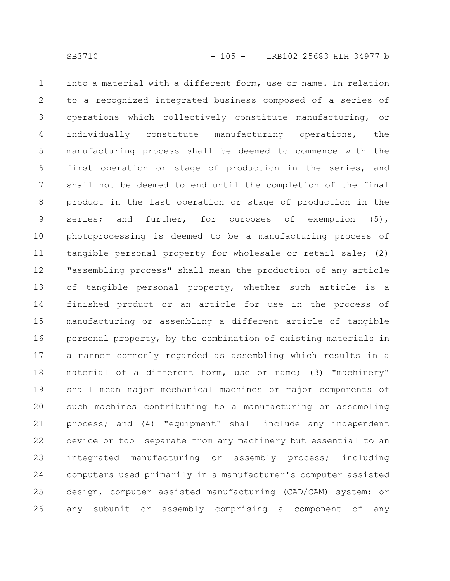into a material with a different form, use or name. In relation to a recognized integrated business composed of a series of operations which collectively constitute manufacturing, or individually constitute manufacturing operations, the manufacturing process shall be deemed to commence with the first operation or stage of production in the series, and shall not be deemed to end until the completion of the final product in the last operation or stage of production in the series; and further, for purposes of exemption (5), photoprocessing is deemed to be a manufacturing process of tangible personal property for wholesale or retail sale; (2) "assembling process" shall mean the production of any article of tangible personal property, whether such article is a finished product or an article for use in the process of manufacturing or assembling a different article of tangible personal property, by the combination of existing materials in a manner commonly regarded as assembling which results in a material of a different form, use or name; (3) "machinery" shall mean major mechanical machines or major components of such machines contributing to a manufacturing or assembling process; and (4) "equipment" shall include any independent device or tool separate from any machinery but essential to an integrated manufacturing or assembly process; including computers used primarily in a manufacturer's computer assisted design, computer assisted manufacturing (CAD/CAM) system; or any subunit or assembly comprising a component of any 1 2 3 4 5 6 7 8 9 10 11 12 13 14 15 16 17 18 19 20 21 22 23 24 25 26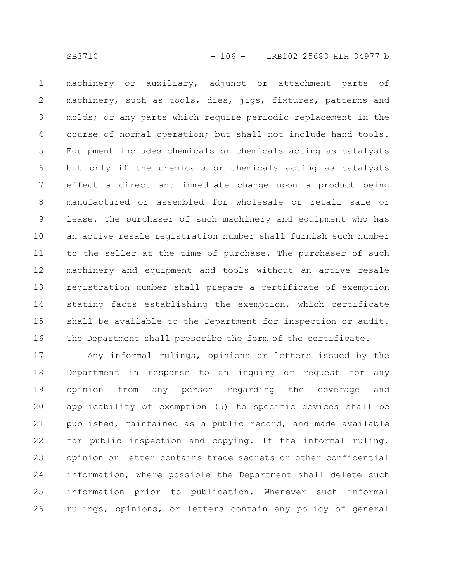machinery or auxiliary, adjunct or attachment parts of machinery, such as tools, dies, jigs, fixtures, patterns and molds; or any parts which require periodic replacement in the course of normal operation; but shall not include hand tools. Equipment includes chemicals or chemicals acting as catalysts but only if the chemicals or chemicals acting as catalysts effect a direct and immediate change upon a product being manufactured or assembled for wholesale or retail sale or lease. The purchaser of such machinery and equipment who has an active resale registration number shall furnish such number to the seller at the time of purchase. The purchaser of such machinery and equipment and tools without an active resale registration number shall prepare a certificate of exemption stating facts establishing the exemption, which certificate shall be available to the Department for inspection or audit. The Department shall prescribe the form of the certificate. 1 2 3 4 5 6 7 8 9 10 11 12 13 14 15 16

Any informal rulings, opinions or letters issued by the Department in response to an inquiry or request for any opinion from any person regarding the coverage and applicability of exemption (5) to specific devices shall be published, maintained as a public record, and made available for public inspection and copying. If the informal ruling, opinion or letter contains trade secrets or other confidential information, where possible the Department shall delete such information prior to publication. Whenever such informal rulings, opinions, or letters contain any policy of general 17 18 19 20 21 22 23 24 25 26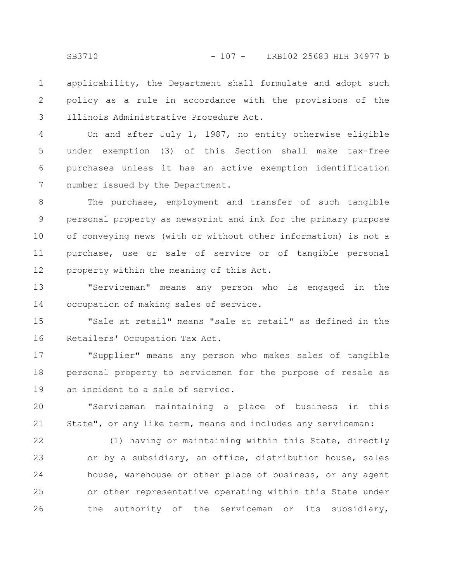applicability, the Department shall formulate and adopt such policy as a rule in accordance with the provisions of the Illinois Administrative Procedure Act. 1 2 3

On and after July 1, 1987, no entity otherwise eligible under exemption (3) of this Section shall make tax-free purchases unless it has an active exemption identification number issued by the Department. 4 5 6 7

The purchase, employment and transfer of such tangible personal property as newsprint and ink for the primary purpose of conveying news (with or without other information) is not a purchase, use or sale of service or of tangible personal property within the meaning of this Act. 8 9 10 11 12

"Serviceman" means any person who is engaged in the occupation of making sales of service. 13 14

"Sale at retail" means "sale at retail" as defined in the Retailers' Occupation Tax Act. 15 16

"Supplier" means any person who makes sales of tangible personal property to servicemen for the purpose of resale as an incident to a sale of service. 17 18 19

"Serviceman maintaining a place of business in this State", or any like term, means and includes any serviceman: 20 21

(1) having or maintaining within this State, directly or by a subsidiary, an office, distribution house, sales house, warehouse or other place of business, or any agent or other representative operating within this State under the authority of the serviceman or its subsidiary, 22 23 24 25 26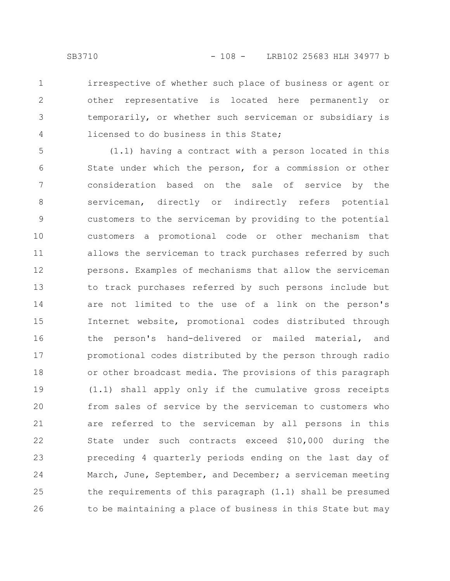irrespective of whether such place of business or agent or other representative is located here permanently or temporarily, or whether such serviceman or subsidiary is licensed to do business in this State; 1 2 3 4

(1.1) having a contract with a person located in this State under which the person, for a commission or other consideration based on the sale of service by the serviceman, directly or indirectly refers potential customers to the serviceman by providing to the potential customers a promotional code or other mechanism that allows the serviceman to track purchases referred by such persons. Examples of mechanisms that allow the serviceman to track purchases referred by such persons include but are not limited to the use of a link on the person's Internet website, promotional codes distributed through the person's hand-delivered or mailed material, and promotional codes distributed by the person through radio or other broadcast media. The provisions of this paragraph (1.1) shall apply only if the cumulative gross receipts from sales of service by the serviceman to customers who are referred to the serviceman by all persons in this State under such contracts exceed \$10,000 during the preceding 4 quarterly periods ending on the last day of March, June, September, and December; a serviceman meeting the requirements of this paragraph (1.1) shall be presumed to be maintaining a place of business in this State but may 5 6 7 8 9 10 11 12 13 14 15 16 17 18 19 20 21 22 23 24 25 26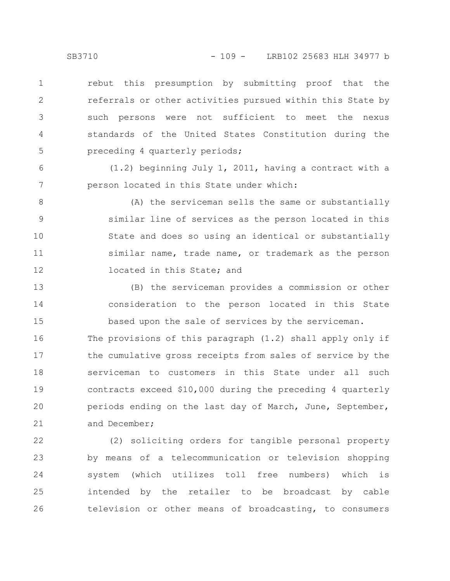rebut this presumption by submitting proof that the referrals or other activities pursued within this State by such persons were not sufficient to meet the nexus standards of the United States Constitution during the preceding 4 quarterly periods; 1 2 3 4 5

(1.2) beginning July 1, 2011, having a contract with a person located in this State under which: 6 7

(A) the serviceman sells the same or substantially similar line of services as the person located in this State and does so using an identical or substantially similar name, trade name, or trademark as the person located in this State; and 8 9 10 11 12

(B) the serviceman provides a commission or other consideration to the person located in this State based upon the sale of services by the serviceman. 13 14 15

The provisions of this paragraph (1.2) shall apply only if the cumulative gross receipts from sales of service by the serviceman to customers in this State under all such contracts exceed \$10,000 during the preceding 4 quarterly periods ending on the last day of March, June, September, and December; 16 17 18 19 20 21

(2) soliciting orders for tangible personal property by means of a telecommunication or television shopping system (which utilizes toll free numbers) which is intended by the retailer to be broadcast by cable television or other means of broadcasting, to consumers 22 23 24 25 26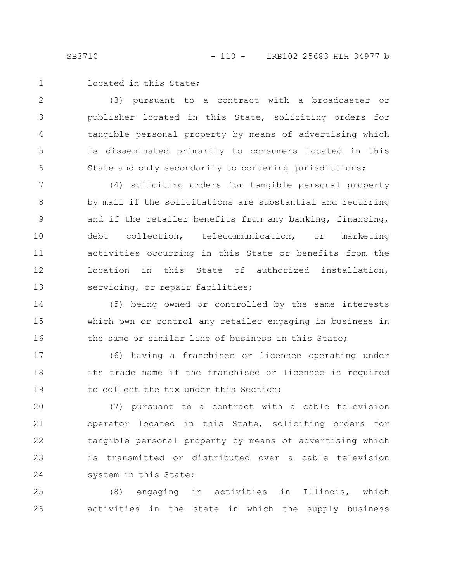located in this State; 1

(3) pursuant to a contract with a broadcaster or publisher located in this State, soliciting orders for tangible personal property by means of advertising which is disseminated primarily to consumers located in this State and only secondarily to bordering jurisdictions; 2 3 4 5 6

(4) soliciting orders for tangible personal property by mail if the solicitations are substantial and recurring and if the retailer benefits from any banking, financing, debt collection, telecommunication, or marketing activities occurring in this State or benefits from the location in this State of authorized installation, servicing, or repair facilities; 7 8 9 10 11 12 13

(5) being owned or controlled by the same interests which own or control any retailer engaging in business in the same or similar line of business in this State; 14 15 16

(6) having a franchisee or licensee operating under its trade name if the franchisee or licensee is required to collect the tax under this Section; 17 18 19

(7) pursuant to a contract with a cable television operator located in this State, soliciting orders for tangible personal property by means of advertising which is transmitted or distributed over a cable television system in this State; 20 21 22 23 24

(8) engaging in activities in Illinois, which activities in the state in which the supply business 25 26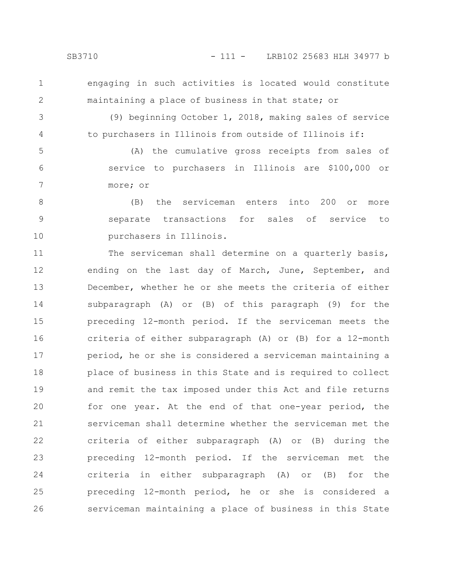1 2

engaging in such activities is located would constitute maintaining a place of business in that state; or

3 4

(9) beginning October 1, 2018, making sales of service to purchasers in Illinois from outside of Illinois if:

(A) the cumulative gross receipts from sales of service to purchasers in Illinois are \$100,000 or more; or 5 6 7

(B) the serviceman enters into 200 or more separate transactions for sales of service to purchasers in Illinois. 8 9 10

The serviceman shall determine on a quarterly basis, ending on the last day of March, June, September, and December, whether he or she meets the criteria of either subparagraph (A) or (B) of this paragraph (9) for the preceding 12-month period. If the serviceman meets the criteria of either subparagraph (A) or (B) for a 12-month period, he or she is considered a serviceman maintaining a place of business in this State and is required to collect and remit the tax imposed under this Act and file returns for one year. At the end of that one-year period, the serviceman shall determine whether the serviceman met the criteria of either subparagraph (A) or (B) during the preceding 12-month period. If the serviceman met the criteria in either subparagraph (A) or (B) for the preceding 12-month period, he or she is considered a serviceman maintaining a place of business in this State 11 12 13 14 15 16 17 18 19 20 21 22 23 24 25 26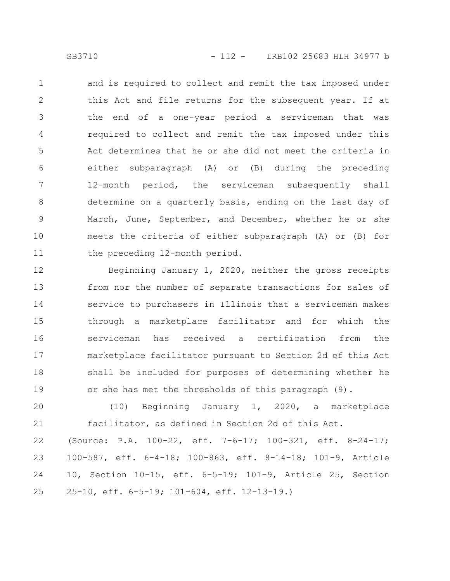and is required to collect and remit the tax imposed under this Act and file returns for the subsequent year. If at the end of a one-year period a serviceman that was required to collect and remit the tax imposed under this Act determines that he or she did not meet the criteria in either subparagraph (A) or (B) during the preceding 12-month period, the serviceman subsequently shall determine on a quarterly basis, ending on the last day of March, June, September, and December, whether he or she meets the criteria of either subparagraph (A) or (B) for the preceding 12-month period. 1 2 3 4 5 6 7 8 9 10 11

Beginning January 1, 2020, neither the gross receipts from nor the number of separate transactions for sales of service to purchasers in Illinois that a serviceman makes through a marketplace facilitator and for which the serviceman has received a certification from the marketplace facilitator pursuant to Section 2d of this Act shall be included for purposes of determining whether he or she has met the thresholds of this paragraph (9). 12 13 14 15 16 17 18 19

(10) Beginning January 1, 2020, a marketplace facilitator, as defined in Section 2d of this Act. 20 21

(Source: P.A. 100-22, eff. 7-6-17; 100-321, eff. 8-24-17; 100-587, eff. 6-4-18; 100-863, eff. 8-14-18; 101-9, Article 10, Section 10-15, eff. 6-5-19; 101-9, Article 25, Section 25-10, eff. 6-5-19; 101-604, eff. 12-13-19.) 22 23 24 25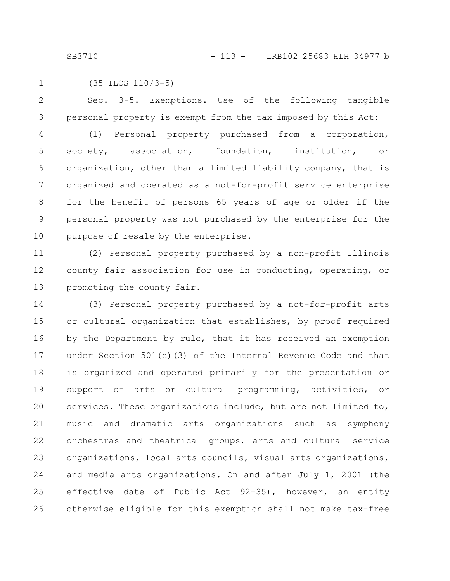(35 ILCS 110/3-5) 1

Sec. 3-5. Exemptions. Use of the following tangible personal property is exempt from the tax imposed by this Act: (1) Personal property purchased from a corporation, society, association, foundation, institution, or organization, other than a limited liability company, that is organized and operated as a not-for-profit service enterprise 2 3 4 5 6 7

for the benefit of persons 65 years of age or older if the personal property was not purchased by the enterprise for the purpose of resale by the enterprise. 8 9 10

(2) Personal property purchased by a non-profit Illinois county fair association for use in conducting, operating, or promoting the county fair. 11 12 13

(3) Personal property purchased by a not-for-profit arts or cultural organization that establishes, by proof required by the Department by rule, that it has received an exemption under Section 501(c)(3) of the Internal Revenue Code and that is organized and operated primarily for the presentation or support of arts or cultural programming, activities, or services. These organizations include, but are not limited to, music and dramatic arts organizations such as symphony orchestras and theatrical groups, arts and cultural service organizations, local arts councils, visual arts organizations, and media arts organizations. On and after July 1, 2001 (the effective date of Public Act 92-35), however, an entity otherwise eligible for this exemption shall not make tax-free 14 15 16 17 18 19 20 21 22 23 24 25 26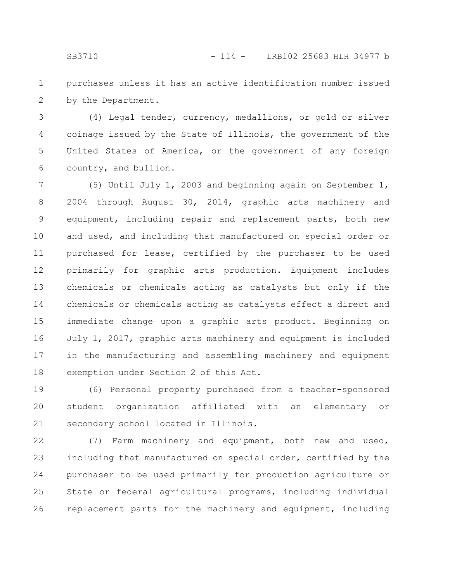purchases unless it has an active identification number issued by the Department. 1 2

(4) Legal tender, currency, medallions, or gold or silver coinage issued by the State of Illinois, the government of the United States of America, or the government of any foreign country, and bullion. 3 4 5 6

(5) Until July 1, 2003 and beginning again on September 1, 2004 through August 30, 2014, graphic arts machinery and equipment, including repair and replacement parts, both new and used, and including that manufactured on special order or purchased for lease, certified by the purchaser to be used primarily for graphic arts production. Equipment includes chemicals or chemicals acting as catalysts but only if the chemicals or chemicals acting as catalysts effect a direct and immediate change upon a graphic arts product. Beginning on July 1, 2017, graphic arts machinery and equipment is included in the manufacturing and assembling machinery and equipment exemption under Section 2 of this Act. 7 8 9 10 11 12 13 14 15 16 17 18

(6) Personal property purchased from a teacher-sponsored student organization affiliated with an elementary or secondary school located in Illinois. 19 20 21

(7) Farm machinery and equipment, both new and used, including that manufactured on special order, certified by the purchaser to be used primarily for production agriculture or State or federal agricultural programs, including individual replacement parts for the machinery and equipment, including 22 23 24 25 26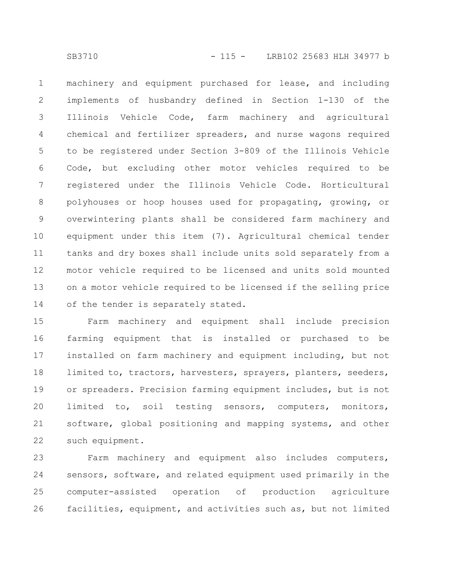machinery and equipment purchased for lease, and including implements of husbandry defined in Section 1-130 of the Illinois Vehicle Code, farm machinery and agricultural chemical and fertilizer spreaders, and nurse wagons required to be registered under Section 3-809 of the Illinois Vehicle Code, but excluding other motor vehicles required to be registered under the Illinois Vehicle Code. Horticultural polyhouses or hoop houses used for propagating, growing, or overwintering plants shall be considered farm machinery and equipment under this item (7). Agricultural chemical tender tanks and dry boxes shall include units sold separately from a motor vehicle required to be licensed and units sold mounted on a motor vehicle required to be licensed if the selling price of the tender is separately stated. 1 2 3 4 5 6 7 8 9 10 11 12 13 14

Farm machinery and equipment shall include precision farming equipment that is installed or purchased to be installed on farm machinery and equipment including, but not limited to, tractors, harvesters, sprayers, planters, seeders, or spreaders. Precision farming equipment includes, but is not limited to, soil testing sensors, computers, monitors, software, global positioning and mapping systems, and other such equipment. 15 16 17 18 19 20 21 22

Farm machinery and equipment also includes computers, sensors, software, and related equipment used primarily in the computer-assisted operation of production agriculture facilities, equipment, and activities such as, but not limited 23 24 25 26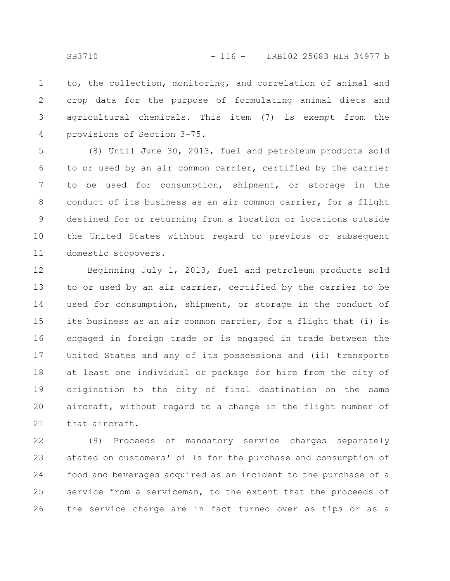to, the collection, monitoring, and correlation of animal and crop data for the purpose of formulating animal diets and agricultural chemicals. This item (7) is exempt from the provisions of Section 3-75. 1 2 3 4

(8) Until June 30, 2013, fuel and petroleum products sold to or used by an air common carrier, certified by the carrier to be used for consumption, shipment, or storage in the conduct of its business as an air common carrier, for a flight destined for or returning from a location or locations outside the United States without regard to previous or subsequent domestic stopovers. 5 6 7 8 9 10 11

Beginning July 1, 2013, fuel and petroleum products sold to or used by an air carrier, certified by the carrier to be used for consumption, shipment, or storage in the conduct of its business as an air common carrier, for a flight that (i) is engaged in foreign trade or is engaged in trade between the United States and any of its possessions and (ii) transports at least one individual or package for hire from the city of origination to the city of final destination on the same aircraft, without regard to a change in the flight number of that aircraft. 12 13 14 15 16 17 18 19 20 21

(9) Proceeds of mandatory service charges separately stated on customers' bills for the purchase and consumption of food and beverages acquired as an incident to the purchase of a service from a serviceman, to the extent that the proceeds of the service charge are in fact turned over as tips or as a 22 23 24 25 26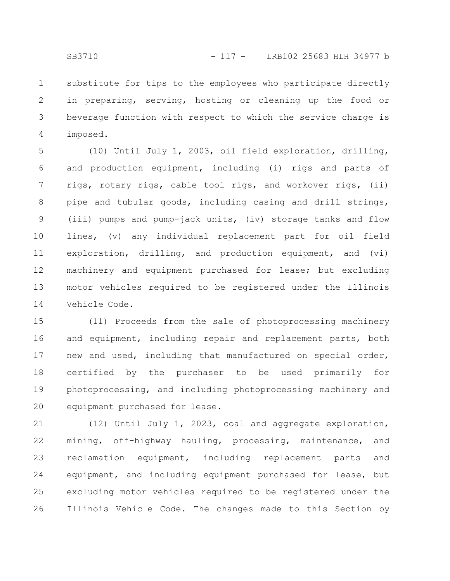substitute for tips to the employees who participate directly in preparing, serving, hosting or cleaning up the food or beverage function with respect to which the service charge is imposed. 1 2 3 4

(10) Until July 1, 2003, oil field exploration, drilling, and production equipment, including (i) rigs and parts of rigs, rotary rigs, cable tool rigs, and workover rigs, (ii) pipe and tubular goods, including casing and drill strings, (iii) pumps and pump-jack units, (iv) storage tanks and flow lines, (v) any individual replacement part for oil field exploration, drilling, and production equipment, and (vi) machinery and equipment purchased for lease; but excluding motor vehicles required to be registered under the Illinois Vehicle Code. 5 6 7 8 9 10 11 12 13 14

(11) Proceeds from the sale of photoprocessing machinery and equipment, including repair and replacement parts, both new and used, including that manufactured on special order, certified by the purchaser to be used primarily for photoprocessing, and including photoprocessing machinery and equipment purchased for lease. 15 16 17 18 19 20

(12) Until July 1, 2023, coal and aggregate exploration, mining, off-highway hauling, processing, maintenance, and reclamation equipment, including replacement parts and equipment, and including equipment purchased for lease, but excluding motor vehicles required to be registered under the Illinois Vehicle Code. The changes made to this Section by 21 22 23 24 25 26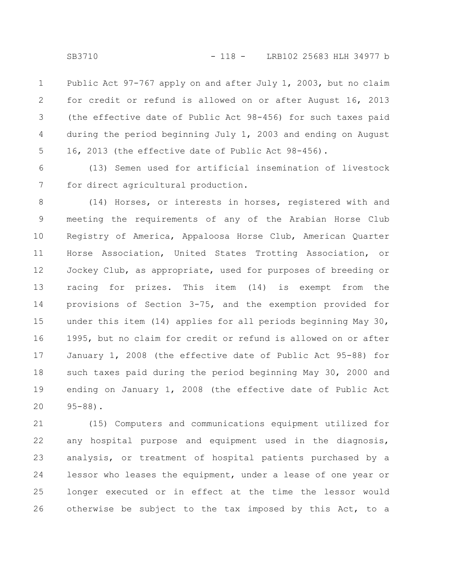Public Act 97-767 apply on and after July 1, 2003, but no claim for credit or refund is allowed on or after August 16, 2013 (the effective date of Public Act 98-456) for such taxes paid during the period beginning July 1, 2003 and ending on August 16, 2013 (the effective date of Public Act 98-456). 1 2 3 4 5

(13) Semen used for artificial insemination of livestock for direct agricultural production. 6 7

(14) Horses, or interests in horses, registered with and meeting the requirements of any of the Arabian Horse Club Registry of America, Appaloosa Horse Club, American Quarter Horse Association, United States Trotting Association, or Jockey Club, as appropriate, used for purposes of breeding or racing for prizes. This item (14) is exempt from the provisions of Section 3-75, and the exemption provided for under this item (14) applies for all periods beginning May 30, 1995, but no claim for credit or refund is allowed on or after January 1, 2008 (the effective date of Public Act 95-88) for such taxes paid during the period beginning May 30, 2000 and ending on January 1, 2008 (the effective date of Public Act 95-88). 8 9 10 11 12 13 14 15 16 17 18 19 20

(15) Computers and communications equipment utilized for any hospital purpose and equipment used in the diagnosis, analysis, or treatment of hospital patients purchased by a lessor who leases the equipment, under a lease of one year or longer executed or in effect at the time the lessor would otherwise be subject to the tax imposed by this Act, to a 21 22 23 24 25 26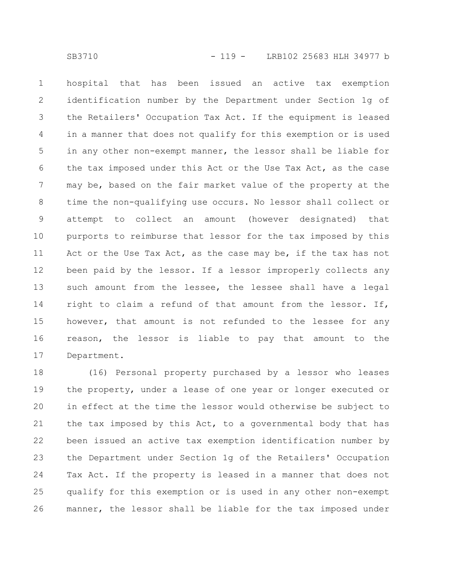hospital that has been issued an active tax exemption identification number by the Department under Section 1g of the Retailers' Occupation Tax Act. If the equipment is leased in a manner that does not qualify for this exemption or is used in any other non-exempt manner, the lessor shall be liable for the tax imposed under this Act or the Use Tax Act, as the case may be, based on the fair market value of the property at the time the non-qualifying use occurs. No lessor shall collect or attempt to collect an amount (however designated) that purports to reimburse that lessor for the tax imposed by this Act or the Use Tax Act, as the case may be, if the tax has not been paid by the lessor. If a lessor improperly collects any such amount from the lessee, the lessee shall have a legal right to claim a refund of that amount from the lessor. If, however, that amount is not refunded to the lessee for any reason, the lessor is liable to pay that amount to the Department. 1 2 3 4 5 6 7 8 9 10 11 12 13 14 15 16 17

(16) Personal property purchased by a lessor who leases the property, under a lease of one year or longer executed or in effect at the time the lessor would otherwise be subject to the tax imposed by this Act, to a governmental body that has been issued an active tax exemption identification number by the Department under Section 1g of the Retailers' Occupation Tax Act. If the property is leased in a manner that does not qualify for this exemption or is used in any other non-exempt manner, the lessor shall be liable for the tax imposed under 18 19 20 21 22 23 24 25 26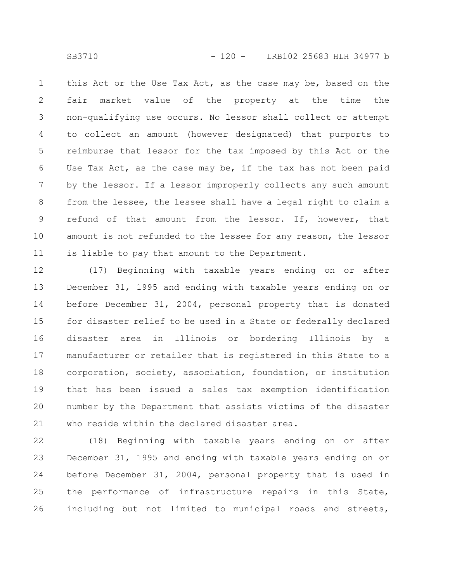this Act or the Use Tax Act, as the case may be, based on the fair market value of the property at the time the non-qualifying use occurs. No lessor shall collect or attempt to collect an amount (however designated) that purports to reimburse that lessor for the tax imposed by this Act or the Use Tax Act, as the case may be, if the tax has not been paid by the lessor. If a lessor improperly collects any such amount from the lessee, the lessee shall have a legal right to claim a refund of that amount from the lessor. If, however, that amount is not refunded to the lessee for any reason, the lessor is liable to pay that amount to the Department. 1 2 3 4 5 6 7 8 9 10 11

(17) Beginning with taxable years ending on or after December 31, 1995 and ending with taxable years ending on or before December 31, 2004, personal property that is donated for disaster relief to be used in a State or federally declared disaster area in Illinois or bordering Illinois by a manufacturer or retailer that is registered in this State to a corporation, society, association, foundation, or institution that has been issued a sales tax exemption identification number by the Department that assists victims of the disaster who reside within the declared disaster area. 12 13 14 15 16 17 18 19 20 21

(18) Beginning with taxable years ending on or after December 31, 1995 and ending with taxable years ending on or before December 31, 2004, personal property that is used in the performance of infrastructure repairs in this State, including but not limited to municipal roads and streets, 22 23 24 25 26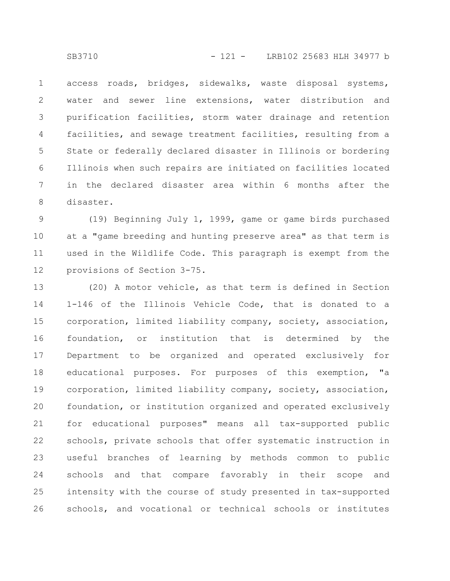access roads, bridges, sidewalks, waste disposal systems, water and sewer line extensions, water distribution and purification facilities, storm water drainage and retention facilities, and sewage treatment facilities, resulting from a State or federally declared disaster in Illinois or bordering Illinois when such repairs are initiated on facilities located in the declared disaster area within 6 months after the disaster. 1 2 3 4 5 6 7 8

(19) Beginning July 1, 1999, game or game birds purchased at a "game breeding and hunting preserve area" as that term is used in the Wildlife Code. This paragraph is exempt from the provisions of Section 3-75. 9 10 11 12

(20) A motor vehicle, as that term is defined in Section 1-146 of the Illinois Vehicle Code, that is donated to a corporation, limited liability company, society, association, foundation, or institution that is determined by the Department to be organized and operated exclusively for educational purposes. For purposes of this exemption, "a corporation, limited liability company, society, association, foundation, or institution organized and operated exclusively for educational purposes" means all tax-supported public schools, private schools that offer systematic instruction in useful branches of learning by methods common to public schools and that compare favorably in their scope and intensity with the course of study presented in tax-supported schools, and vocational or technical schools or institutes 13 14 15 16 17 18 19 20 21 22 23 24 25 26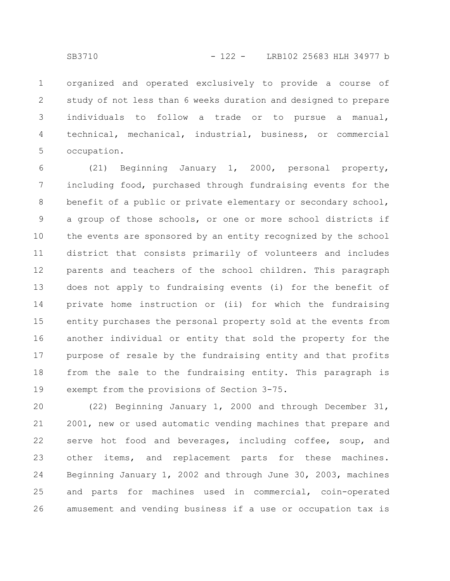organized and operated exclusively to provide a course of study of not less than 6 weeks duration and designed to prepare individuals to follow a trade or to pursue a manual, technical, mechanical, industrial, business, or commercial occupation. 1 2 3 4 5

(21) Beginning January 1, 2000, personal property, including food, purchased through fundraising events for the benefit of a public or private elementary or secondary school, a group of those schools, or one or more school districts if the events are sponsored by an entity recognized by the school district that consists primarily of volunteers and includes parents and teachers of the school children. This paragraph does not apply to fundraising events (i) for the benefit of private home instruction or (ii) for which the fundraising entity purchases the personal property sold at the events from another individual or entity that sold the property for the purpose of resale by the fundraising entity and that profits from the sale to the fundraising entity. This paragraph is exempt from the provisions of Section 3-75. 6 7 8 9 10 11 12 13 14 15 16 17 18 19

(22) Beginning January 1, 2000 and through December 31, 2001, new or used automatic vending machines that prepare and serve hot food and beverages, including coffee, soup, and other items, and replacement parts for these machines. Beginning January 1, 2002 and through June 30, 2003, machines and parts for machines used in commercial, coin-operated amusement and vending business if a use or occupation tax is 20 21 22 23 24 25 26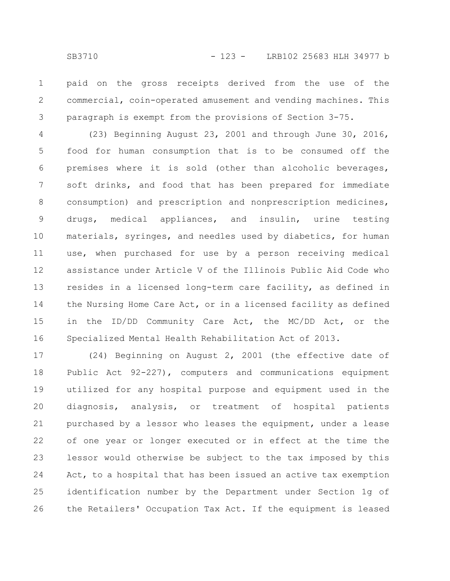paid on the gross receipts derived from the use of the commercial, coin-operated amusement and vending machines. This paragraph is exempt from the provisions of Section 3-75. 1 2 3

(23) Beginning August 23, 2001 and through June 30, 2016, food for human consumption that is to be consumed off the premises where it is sold (other than alcoholic beverages, soft drinks, and food that has been prepared for immediate consumption) and prescription and nonprescription medicines, drugs, medical appliances, and insulin, urine testing materials, syringes, and needles used by diabetics, for human use, when purchased for use by a person receiving medical assistance under Article V of the Illinois Public Aid Code who resides in a licensed long-term care facility, as defined in the Nursing Home Care Act, or in a licensed facility as defined in the ID/DD Community Care Act, the MC/DD Act, or the Specialized Mental Health Rehabilitation Act of 2013. 4 5 6 7 8 9 10 11 12 13 14 15 16

(24) Beginning on August 2, 2001 (the effective date of Public Act 92-227), computers and communications equipment utilized for any hospital purpose and equipment used in the diagnosis, analysis, or treatment of hospital patients purchased by a lessor who leases the equipment, under a lease of one year or longer executed or in effect at the time the lessor would otherwise be subject to the tax imposed by this Act, to a hospital that has been issued an active tax exemption identification number by the Department under Section 1g of the Retailers' Occupation Tax Act. If the equipment is leased 17 18 19 20 21 22 23 24 25 26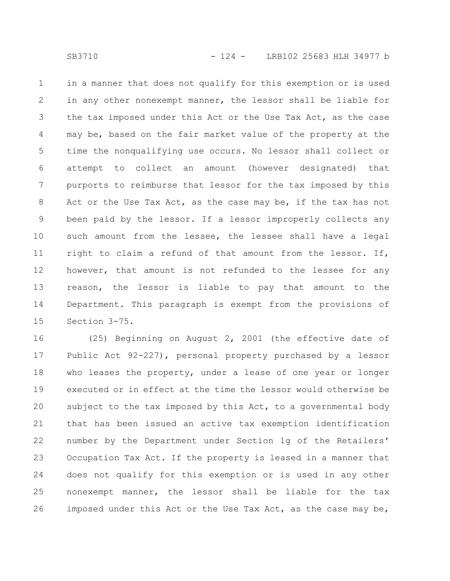in a manner that does not qualify for this exemption or is used in any other nonexempt manner, the lessor shall be liable for the tax imposed under this Act or the Use Tax Act, as the case may be, based on the fair market value of the property at the time the nonqualifying use occurs. No lessor shall collect or attempt to collect an amount (however designated) that purports to reimburse that lessor for the tax imposed by this Act or the Use Tax Act, as the case may be, if the tax has not been paid by the lessor. If a lessor improperly collects any such amount from the lessee, the lessee shall have a legal right to claim a refund of that amount from the lessor. If, however, that amount is not refunded to the lessee for any reason, the lessor is liable to pay that amount to the Department. This paragraph is exempt from the provisions of Section 3-75. 1 2 3 4 5 6 7 8 9 10 11 12 13 14 15

(25) Beginning on August 2, 2001 (the effective date of Public Act 92-227), personal property purchased by a lessor who leases the property, under a lease of one year or longer executed or in effect at the time the lessor would otherwise be subject to the tax imposed by this Act, to a governmental body that has been issued an active tax exemption identification number by the Department under Section 1g of the Retailers' Occupation Tax Act. If the property is leased in a manner that does not qualify for this exemption or is used in any other nonexempt manner, the lessor shall be liable for the tax imposed under this Act or the Use Tax Act, as the case may be, 16 17 18 19 20 21 22 23 24 25 26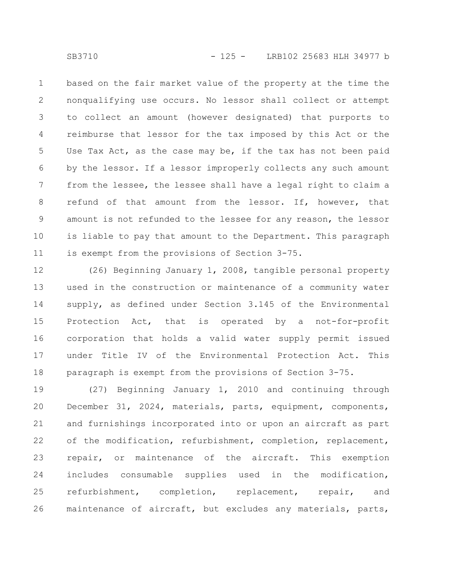based on the fair market value of the property at the time the nonqualifying use occurs. No lessor shall collect or attempt to collect an amount (however designated) that purports to reimburse that lessor for the tax imposed by this Act or the Use Tax Act, as the case may be, if the tax has not been paid by the lessor. If a lessor improperly collects any such amount from the lessee, the lessee shall have a legal right to claim a refund of that amount from the lessor. If, however, that amount is not refunded to the lessee for any reason, the lessor is liable to pay that amount to the Department. This paragraph is exempt from the provisions of Section 3-75. 1 2 3 4 5 6 7 8 9 10 11

(26) Beginning January 1, 2008, tangible personal property used in the construction or maintenance of a community water supply, as defined under Section 3.145 of the Environmental Protection Act, that is operated by a not-for-profit corporation that holds a valid water supply permit issued under Title IV of the Environmental Protection Act. This paragraph is exempt from the provisions of Section 3-75. 12 13 14 15 16 17 18

(27) Beginning January 1, 2010 and continuing through December 31, 2024, materials, parts, equipment, components, and furnishings incorporated into or upon an aircraft as part of the modification, refurbishment, completion, replacement, repair, or maintenance of the aircraft. This exemption includes consumable supplies used in the modification, refurbishment, completion, replacement, repair, and maintenance of aircraft, but excludes any materials, parts, 19 20 21 22 23 24 25 26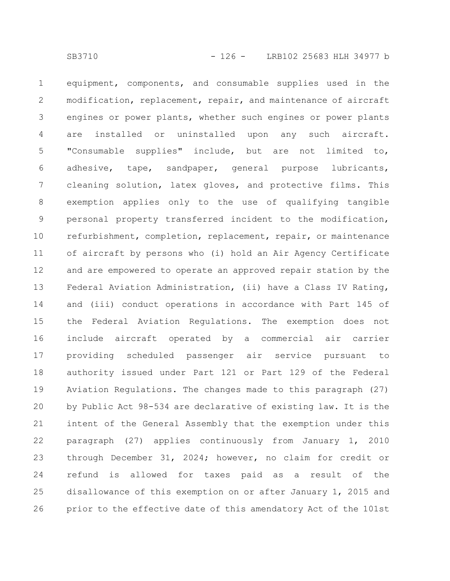equipment, components, and consumable supplies used in the modification, replacement, repair, and maintenance of aircraft engines or power plants, whether such engines or power plants are installed or uninstalled upon any such aircraft. "Consumable supplies" include, but are not limited to, adhesive, tape, sandpaper, general purpose lubricants, cleaning solution, latex gloves, and protective films. This exemption applies only to the use of qualifying tangible personal property transferred incident to the modification, refurbishment, completion, replacement, repair, or maintenance of aircraft by persons who (i) hold an Air Agency Certificate and are empowered to operate an approved repair station by the Federal Aviation Administration, (ii) have a Class IV Rating, and (iii) conduct operations in accordance with Part 145 of the Federal Aviation Regulations. The exemption does not include aircraft operated by a commercial air carrier providing scheduled passenger air service pursuant to authority issued under Part 121 or Part 129 of the Federal Aviation Regulations. The changes made to this paragraph (27) by Public Act 98-534 are declarative of existing law. It is the intent of the General Assembly that the exemption under this paragraph (27) applies continuously from January 1, 2010 through December 31, 2024; however, no claim for credit or refund is allowed for taxes paid as a result of the disallowance of this exemption on or after January 1, 2015 and prior to the effective date of this amendatory Act of the 101st 1 2 3 4 5 6 7 8 9 10 11 12 13 14 15 16 17 18 19 20 21 22 23 24 25 26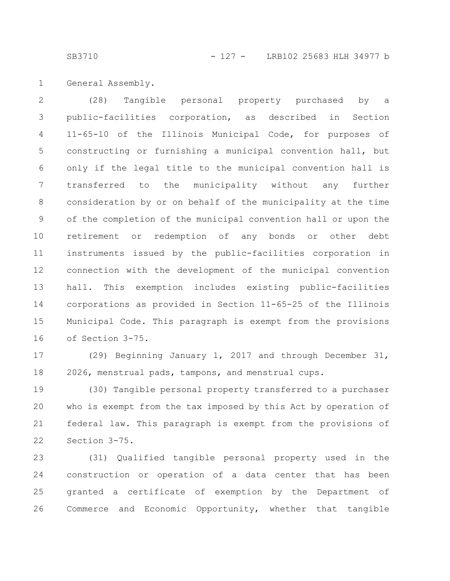SB3710 - 127 - LRB102 25683 HLH 34977 b

General Assembly. 1

(28) Tangible personal property purchased by a public-facilities corporation, as described in Section 11-65-10 of the Illinois Municipal Code, for purposes of constructing or furnishing a municipal convention hall, but only if the legal title to the municipal convention hall is transferred to the municipality without any further consideration by or on behalf of the municipality at the time of the completion of the municipal convention hall or upon the retirement or redemption of any bonds or other debt instruments issued by the public-facilities corporation in connection with the development of the municipal convention hall. This exemption includes existing public-facilities corporations as provided in Section 11-65-25 of the Illinois Municipal Code. This paragraph is exempt from the provisions of Section 3-75. 2 3 4 5 6 7 8 9 10 11 12 13 14 15 16

(29) Beginning January 1, 2017 and through December 31, 2026, menstrual pads, tampons, and menstrual cups. 17 18

(30) Tangible personal property transferred to a purchaser who is exempt from the tax imposed by this Act by operation of federal law. This paragraph is exempt from the provisions of Section 3-75. 19 20 21 22

(31) Qualified tangible personal property used in the construction or operation of a data center that has been granted a certificate of exemption by the Department of Commerce and Economic Opportunity, whether that tangible 23 24 25 26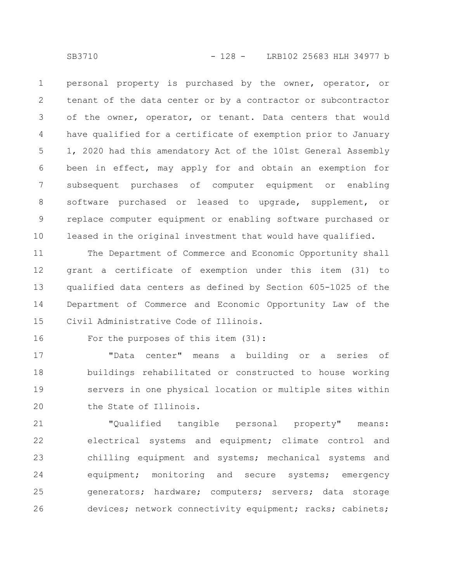personal property is purchased by the owner, operator, or tenant of the data center or by a contractor or subcontractor of the owner, operator, or tenant. Data centers that would have qualified for a certificate of exemption prior to January 1, 2020 had this amendatory Act of the 101st General Assembly been in effect, may apply for and obtain an exemption for subsequent purchases of computer equipment or enabling software purchased or leased to upgrade, supplement, or replace computer equipment or enabling software purchased or leased in the original investment that would have qualified. 1 2 3 4 5 6 7 8 9 10

The Department of Commerce and Economic Opportunity shall grant a certificate of exemption under this item (31) to qualified data centers as defined by Section 605-1025 of the Department of Commerce and Economic Opportunity Law of the Civil Administrative Code of Illinois. 11 12 13 14 15

For the purposes of this item (31):

"Data center" means a building or a series of buildings rehabilitated or constructed to house working servers in one physical location or multiple sites within the State of Illinois. 17 18 19 20

"Qualified tangible personal property" means: electrical systems and equipment; climate control and chilling equipment and systems; mechanical systems and equipment; monitoring and secure systems; emergency generators; hardware; computers; servers; data storage devices; network connectivity equipment; racks; cabinets; 21 22 23 24 25 26

16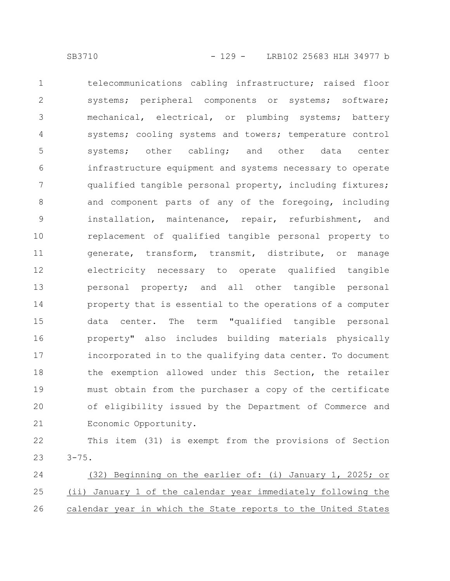telecommunications cabling infrastructure; raised floor systems; peripheral components or systems; software; mechanical, electrical, or plumbing systems; battery systems; cooling systems and towers; temperature control systems; other cabling; and other data center infrastructure equipment and systems necessary to operate qualified tangible personal property, including fixtures; and component parts of any of the foregoing, including installation, maintenance, repair, refurbishment, and replacement of qualified tangible personal property to generate, transform, transmit, distribute, or manage electricity necessary to operate qualified tangible personal property; and all other tangible personal property that is essential to the operations of a computer data center. The term "qualified tangible personal property" also includes building materials physically incorporated in to the qualifying data center. To document the exemption allowed under this Section, the retailer must obtain from the purchaser a copy of the certificate of eligibility issued by the Department of Commerce and Economic Opportunity. 1 2 3 4 5 6 7 8 9 10 11 12 13 14 15 16 17 18 19 20 21

This item (31) is exempt from the provisions of Section  $3 - 75$ . 22 23

(32) Beginning on the earlier of: (i) January 1, 2025; or (ii) January 1 of the calendar year immediately following the calendar year in which the State reports to the United States 24 25 26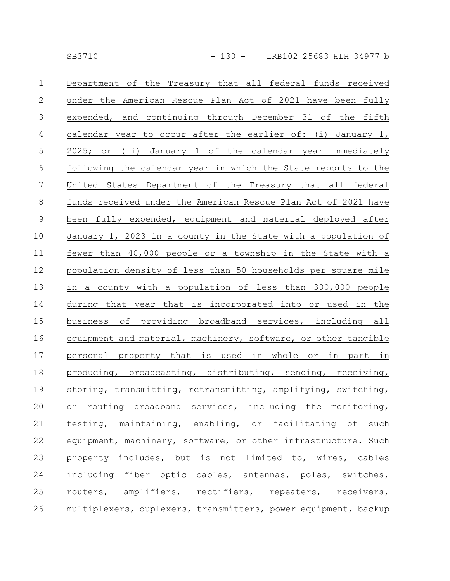| $\mathbf{1}$     | Department of the Treasury that all federal funds received     |
|------------------|----------------------------------------------------------------|
| $\mathbf{2}$     | under the American Rescue Plan Act of 2021 have been fully     |
| $\mathfrak{Z}$   | expended, and continuing through December 31 of the fifth      |
| $\overline{4}$   | calendar year to occur after the earlier of: (i) January 1,    |
| $\mathsf S$      | 2025; or (ii) January 1 of the calendar year immediately       |
| $\sqrt{6}$       | following the calendar year in which the State reports to the  |
| $\boldsymbol{7}$ | United States Department of the Treasury that all federal      |
| $8\,$            | funds received under the American Rescue Plan Act of 2021 have |
| $\mathsf 9$      | been fully expended, equipment and material deployed after     |
| 10               | January 1, 2023 in a county in the State with a population of  |
| 11               | fewer than 40,000 people or a township in the State with a     |
| 12               | population density of less than 50 households per square mile  |
| 13               | in a county with a population of less than 300,000 people      |
| 14               | during that year that is incorporated into or used in the      |
| 15               | business of providing broadband services, including all        |
| 16               | equipment and material, machinery, software, or other tangible |
| 17               | personal property that is used in whole or in part in          |
| 18               | producing, broadcasting, distributing, sending, receiving,     |
| 19               | storing, transmitting, retransmitting, amplifying, switching,  |
| 20               | or routing broadband services, including the monitoring,       |
| 21               | testing, maintaining, enabling, or facilitating of such        |
| 22               | equipment, machinery, software, or other infrastructure. Such  |
| 23               | property includes, but is not limited to, wires, cables        |
| 24               | including fiber optic cables, antennas, poles, switches,       |
| 25               | routers, amplifiers, rectifiers, repeaters, receivers,         |
| 26               | multiplexers, duplexers, transmitters, power equipment, backup |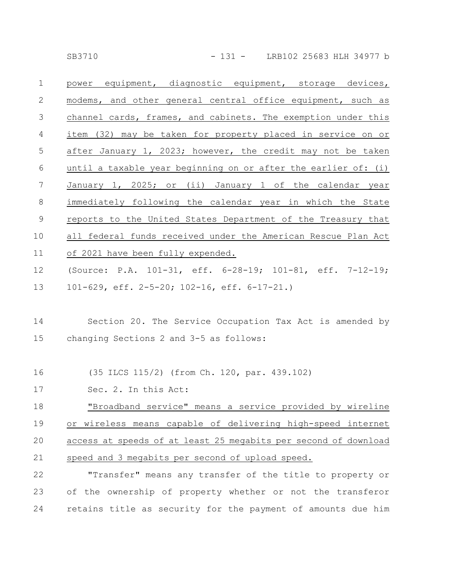| $\mathbf 1$ | power equipment, diagnostic equipment, storage devices,          |
|-------------|------------------------------------------------------------------|
| 2           | modems, and other general central office equipment, such as      |
| 3           | channel cards, frames, and cabinets. The exemption under this    |
| 4           | item (32) may be taken for property placed in service on or      |
| 5           | after January 1, 2023; however, the credit may not be taken      |
| 6           | until a taxable year beginning on or after the earlier of: $(i)$ |
| 7           | January 1, 2025; or (ii) January 1 of the calendar year          |
| $8\,$       | immediately following the calendar year in which the State       |
| 9           | reports to the United States Department of the Treasury that     |
| 10          |                                                                  |
|             | all federal funds received under the American Rescue Plan Act    |
| 11          | of 2021 have been fully expended.                                |
| 12          | (Source: P.A. 101-31, eff. 6-28-19; 101-81, eff. 7-12-19;        |

101-629, eff. 2-5-20; 102-16, eff. 6-17-21.) 13

## Section 20. The Service Occupation Tax Act is amended by changing Sections 2 and 3-5 as follows: 14 15

- (35 ILCS 115/2) (from Ch. 120, par. 439.102) 16
- Sec. 2. In this Act: 17

"Broadband service" means a service provided by wireline or wireless means capable of delivering high-speed internet access at speeds of at least 25 megabits per second of download speed and 3 megabits per second of upload speed. 18 19 20 21

"Transfer" means any transfer of the title to property or of the ownership of property whether or not the transferor retains title as security for the payment of amounts due him 22 23 24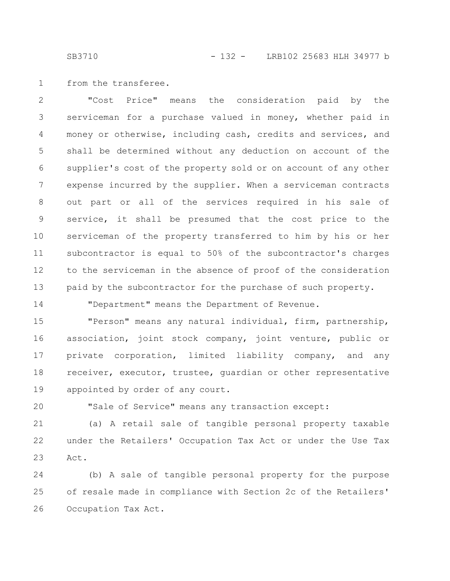SB3710 - 132 - LRB102 25683 HLH 34977 b

from the transferee. 1

"Cost Price" means the consideration paid by the serviceman for a purchase valued in money, whether paid in money or otherwise, including cash, credits and services, and shall be determined without any deduction on account of the supplier's cost of the property sold or on account of any other expense incurred by the supplier. When a serviceman contracts out part or all of the services required in his sale of service, it shall be presumed that the cost price to the serviceman of the property transferred to him by his or her subcontractor is equal to 50% of the subcontractor's charges to the serviceman in the absence of proof of the consideration paid by the subcontractor for the purchase of such property. 2 3 4 5 6 7 8 9 10 11 12 13

14

"Department" means the Department of Revenue.

"Person" means any natural individual, firm, partnership, association, joint stock company, joint venture, public or private corporation, limited liability company, and any receiver, executor, trustee, guardian or other representative appointed by order of any court. 15 16 17 18 19

20

"Sale of Service" means any transaction except:

(a) A retail sale of tangible personal property taxable under the Retailers' Occupation Tax Act or under the Use Tax Act. 21 22 23

(b) A sale of tangible personal property for the purpose of resale made in compliance with Section 2c of the Retailers' Occupation Tax Act. 24 25 26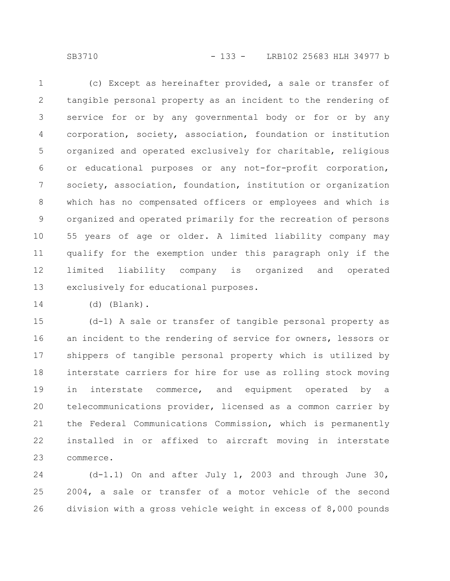SB3710 - 133 - LRB102 25683 HLH 34977 b

(c) Except as hereinafter provided, a sale or transfer of tangible personal property as an incident to the rendering of service for or by any governmental body or for or by any corporation, society, association, foundation or institution organized and operated exclusively for charitable, religious or educational purposes or any not-for-profit corporation, society, association, foundation, institution or organization which has no compensated officers or employees and which is organized and operated primarily for the recreation of persons 55 years of age or older. A limited liability company may qualify for the exemption under this paragraph only if the limited liability company is organized and operated exclusively for educational purposes. 1 2 3 4 5 6 7 8 9 10 11 12 13

14

(d) (Blank).

(d-1) A sale or transfer of tangible personal property as an incident to the rendering of service for owners, lessors or shippers of tangible personal property which is utilized by interstate carriers for hire for use as rolling stock moving in interstate commerce, and equipment operated by a telecommunications provider, licensed as a common carrier by the Federal Communications Commission, which is permanently installed in or affixed to aircraft moving in interstate commerce. 15 16 17 18 19 20 21 22 23

(d-1.1) On and after July 1, 2003 and through June 30, 2004, a sale or transfer of a motor vehicle of the second division with a gross vehicle weight in excess of 8,000 pounds 24 25 26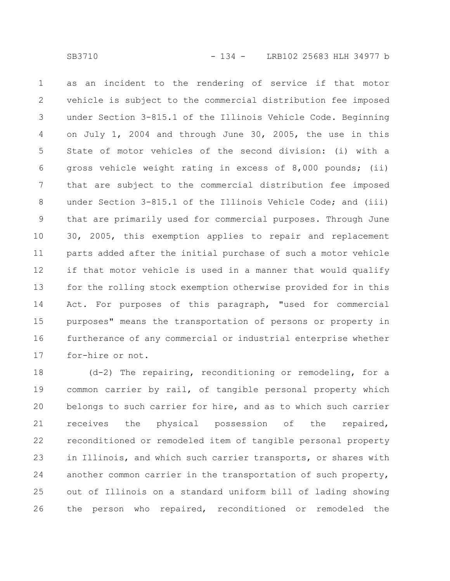as an incident to the rendering of service if that motor vehicle is subject to the commercial distribution fee imposed under Section 3-815.1 of the Illinois Vehicle Code. Beginning on July 1, 2004 and through June 30, 2005, the use in this State of motor vehicles of the second division: (i) with a gross vehicle weight rating in excess of 8,000 pounds; (ii) that are subject to the commercial distribution fee imposed under Section 3-815.1 of the Illinois Vehicle Code; and (iii) that are primarily used for commercial purposes. Through June 30, 2005, this exemption applies to repair and replacement parts added after the initial purchase of such a motor vehicle if that motor vehicle is used in a manner that would qualify for the rolling stock exemption otherwise provided for in this Act. For purposes of this paragraph, "used for commercial purposes" means the transportation of persons or property in furtherance of any commercial or industrial enterprise whether for-hire or not. 1 2 3 4 5 6 7 8 9 10 11 12 13 14 15 16 17

(d-2) The repairing, reconditioning or remodeling, for a common carrier by rail, of tangible personal property which belongs to such carrier for hire, and as to which such carrier receives the physical possession of the repaired, reconditioned or remodeled item of tangible personal property in Illinois, and which such carrier transports, or shares with another common carrier in the transportation of such property, out of Illinois on a standard uniform bill of lading showing the person who repaired, reconditioned or remodeled the 18 19 20 21 22 23 24 25 26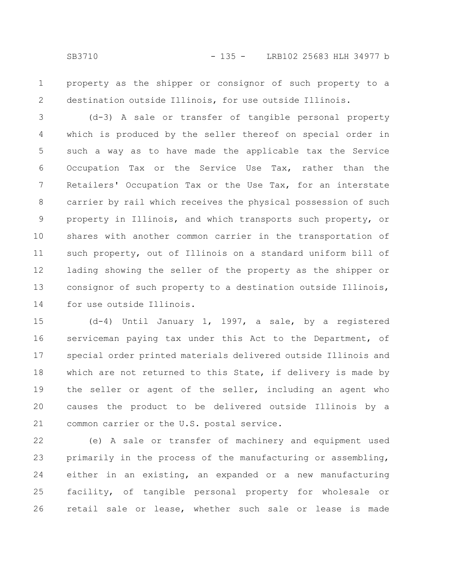1 2

property as the shipper or consignor of such property to a destination outside Illinois, for use outside Illinois.

(d-3) A sale or transfer of tangible personal property which is produced by the seller thereof on special order in such a way as to have made the applicable tax the Service Occupation Tax or the Service Use Tax, rather than the Retailers' Occupation Tax or the Use Tax, for an interstate carrier by rail which receives the physical possession of such property in Illinois, and which transports such property, or shares with another common carrier in the transportation of such property, out of Illinois on a standard uniform bill of lading showing the seller of the property as the shipper or consignor of such property to a destination outside Illinois, for use outside Illinois. 3 4 5 6 7 8 9 10 11 12 13 14

(d-4) Until January 1, 1997, a sale, by a registered serviceman paying tax under this Act to the Department, of special order printed materials delivered outside Illinois and which are not returned to this State, if delivery is made by the seller or agent of the seller, including an agent who causes the product to be delivered outside Illinois by a common carrier or the U.S. postal service. 15 16 17 18 19 20 21

(e) A sale or transfer of machinery and equipment used primarily in the process of the manufacturing or assembling, either in an existing, an expanded or a new manufacturing facility, of tangible personal property for wholesale or retail sale or lease, whether such sale or lease is made 22 23 24 25 26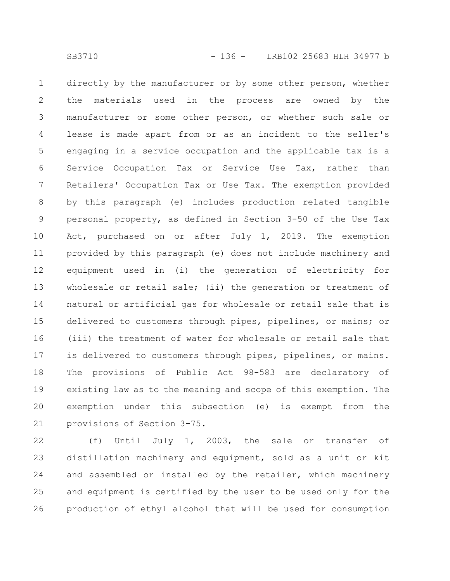directly by the manufacturer or by some other person, whether the materials used in the process are owned by the manufacturer or some other person, or whether such sale or lease is made apart from or as an incident to the seller's engaging in a service occupation and the applicable tax is a Service Occupation Tax or Service Use Tax, rather than Retailers' Occupation Tax or Use Tax. The exemption provided by this paragraph (e) includes production related tangible personal property, as defined in Section 3-50 of the Use Tax Act, purchased on or after July 1, 2019. The exemption provided by this paragraph (e) does not include machinery and equipment used in (i) the generation of electricity for wholesale or retail sale; (ii) the generation or treatment of natural or artificial gas for wholesale or retail sale that is delivered to customers through pipes, pipelines, or mains; or (iii) the treatment of water for wholesale or retail sale that is delivered to customers through pipes, pipelines, or mains. The provisions of Public Act 98-583 are declaratory of existing law as to the meaning and scope of this exemption. The exemption under this subsection (e) is exempt from the provisions of Section 3-75. 1 2 3 4 5 6 7 8 9 10 11 12 13 14 15 16 17 18 19 20 21

(f) Until July 1, 2003, the sale or transfer of distillation machinery and equipment, sold as a unit or kit and assembled or installed by the retailer, which machinery and equipment is certified by the user to be used only for the production of ethyl alcohol that will be used for consumption 22 23 24 25 26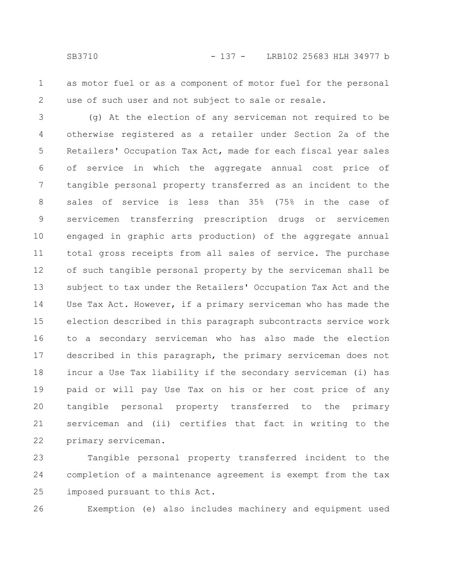as motor fuel or as a component of motor fuel for the personal use of such user and not subject to sale or resale. 1 2

(g) At the election of any serviceman not required to be otherwise registered as a retailer under Section 2a of the Retailers' Occupation Tax Act, made for each fiscal year sales of service in which the aggregate annual cost price of tangible personal property transferred as an incident to the sales of service is less than 35% (75% in the case of servicemen transferring prescription drugs or servicemen engaged in graphic arts production) of the aggregate annual total gross receipts from all sales of service. The purchase of such tangible personal property by the serviceman shall be subject to tax under the Retailers' Occupation Tax Act and the Use Tax Act. However, if a primary serviceman who has made the election described in this paragraph subcontracts service work to a secondary serviceman who has also made the election described in this paragraph, the primary serviceman does not incur a Use Tax liability if the secondary serviceman (i) has paid or will pay Use Tax on his or her cost price of any tangible personal property transferred to the primary serviceman and (ii) certifies that fact in writing to the primary serviceman. 3 4 5 6 7 8 9 10 11 12 13 14 15 16 17 18 19 20 21 22

Tangible personal property transferred incident to the completion of a maintenance agreement is exempt from the tax imposed pursuant to this Act. 23 24 25

26

Exemption (e) also includes machinery and equipment used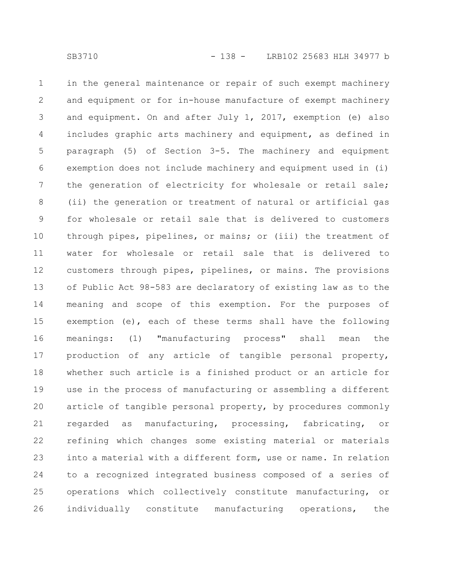in the general maintenance or repair of such exempt machinery and equipment or for in-house manufacture of exempt machinery and equipment. On and after July 1, 2017, exemption (e) also includes graphic arts machinery and equipment, as defined in paragraph (5) of Section 3-5. The machinery and equipment exemption does not include machinery and equipment used in (i) the generation of electricity for wholesale or retail sale; (ii) the generation or treatment of natural or artificial gas for wholesale or retail sale that is delivered to customers through pipes, pipelines, or mains; or (iii) the treatment of water for wholesale or retail sale that is delivered to customers through pipes, pipelines, or mains. The provisions of Public Act 98-583 are declaratory of existing law as to the meaning and scope of this exemption. For the purposes of exemption (e), each of these terms shall have the following meanings: (1) "manufacturing process" shall mean the production of any article of tangible personal property, whether such article is a finished product or an article for use in the process of manufacturing or assembling a different article of tangible personal property, by procedures commonly regarded as manufacturing, processing, fabricating, or refining which changes some existing material or materials into a material with a different form, use or name. In relation to a recognized integrated business composed of a series of operations which collectively constitute manufacturing, or individually constitute manufacturing operations, the 1 2 3 4 5 6 7 8 9 10 11 12 13 14 15 16 17 18 19 20 21 22 23 24 25 26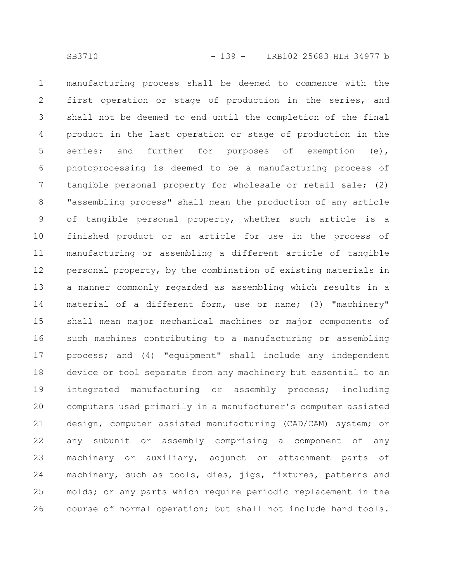manufacturing process shall be deemed to commence with the first operation or stage of production in the series, and shall not be deemed to end until the completion of the final product in the last operation or stage of production in the series; and further for purposes of exemption (e), photoprocessing is deemed to be a manufacturing process of tangible personal property for wholesale or retail sale; (2) "assembling process" shall mean the production of any article of tangible personal property, whether such article is a finished product or an article for use in the process of manufacturing or assembling a different article of tangible personal property, by the combination of existing materials in a manner commonly regarded as assembling which results in a material of a different form, use or name; (3) "machinery" shall mean major mechanical machines or major components of such machines contributing to a manufacturing or assembling process; and (4) "equipment" shall include any independent device or tool separate from any machinery but essential to an integrated manufacturing or assembly process; including computers used primarily in a manufacturer's computer assisted design, computer assisted manufacturing (CAD/CAM) system; or any subunit or assembly comprising a component of any machinery or auxiliary, adjunct or attachment parts of machinery, such as tools, dies, jigs, fixtures, patterns and molds; or any parts which require periodic replacement in the course of normal operation; but shall not include hand tools. 1 2 3 4 5 6 7 8 9 10 11 12 13 14 15 16 17 18 19 20 21 22 23 24 25 26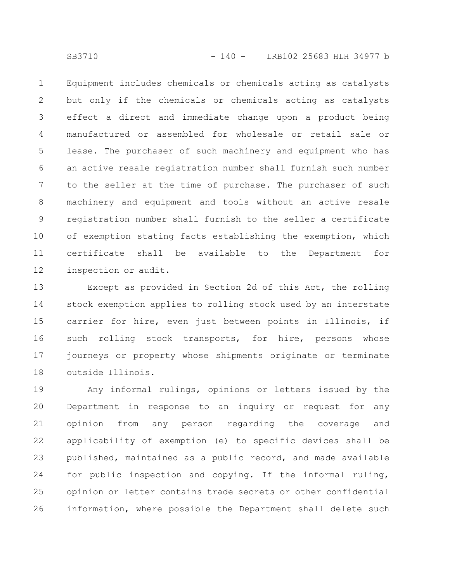SB3710 - 140 - LRB102 25683 HLH 34977 b

Equipment includes chemicals or chemicals acting as catalysts but only if the chemicals or chemicals acting as catalysts effect a direct and immediate change upon a product being manufactured or assembled for wholesale or retail sale or lease. The purchaser of such machinery and equipment who has an active resale registration number shall furnish such number to the seller at the time of purchase. The purchaser of such machinery and equipment and tools without an active resale registration number shall furnish to the seller a certificate of exemption stating facts establishing the exemption, which certificate shall be available to the Department for inspection or audit. 1 2 3 4 5 6 7 8 9 10 11 12

Except as provided in Section 2d of this Act, the rolling stock exemption applies to rolling stock used by an interstate carrier for hire, even just between points in Illinois, if such rolling stock transports, for hire, persons whose journeys or property whose shipments originate or terminate outside Illinois. 13 14 15 16 17 18

Any informal rulings, opinions or letters issued by the Department in response to an inquiry or request for any opinion from any person regarding the coverage and applicability of exemption (e) to specific devices shall be published, maintained as a public record, and made available for public inspection and copying. If the informal ruling, opinion or letter contains trade secrets or other confidential information, where possible the Department shall delete such 19 20 21 22 23 24 25 26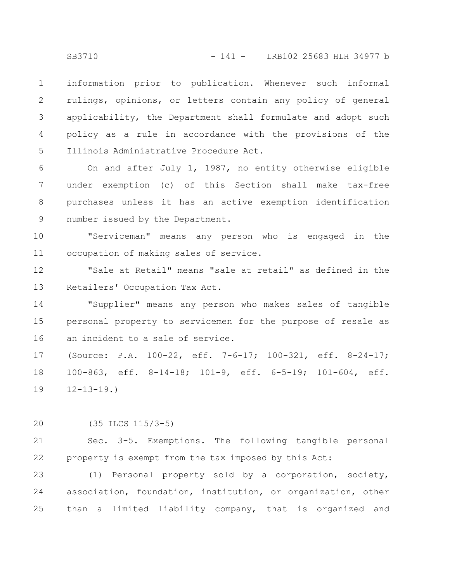information prior to publication. Whenever such informal rulings, opinions, or letters contain any policy of general applicability, the Department shall formulate and adopt such policy as a rule in accordance with the provisions of the Illinois Administrative Procedure Act. 1 2 3 4 5

On and after July 1, 1987, no entity otherwise eligible under exemption (c) of this Section shall make tax-free purchases unless it has an active exemption identification number issued by the Department. 6 7 8 9

"Serviceman" means any person who is engaged in the occupation of making sales of service. 10 11

"Sale at Retail" means "sale at retail" as defined in the Retailers' Occupation Tax Act. 12 13

"Supplier" means any person who makes sales of tangible personal property to servicemen for the purpose of resale as an incident to a sale of service. 14 15 16

(Source: P.A. 100-22, eff. 7-6-17; 100-321, eff. 8-24-17; 100-863, eff. 8-14-18; 101-9, eff. 6-5-19; 101-604, eff.  $12 - 13 - 19.$ 17 18 19

(35 ILCS 115/3-5) 20

Sec. 3-5. Exemptions. The following tangible personal property is exempt from the tax imposed by this Act: 21 22

(1) Personal property sold by a corporation, society, association, foundation, institution, or organization, other than a limited liability company, that is organized and 23 24 25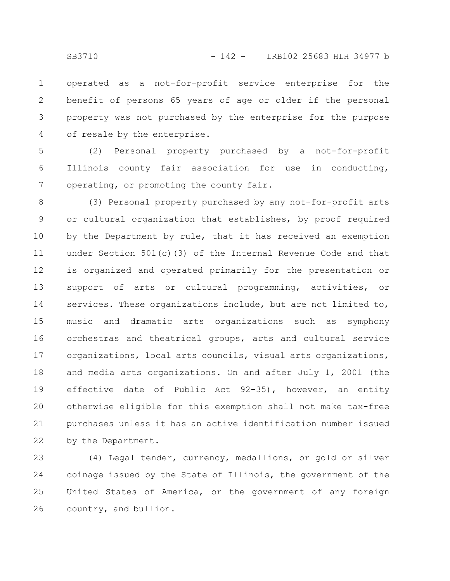operated as a not-for-profit service enterprise for the benefit of persons 65 years of age or older if the personal property was not purchased by the enterprise for the purpose of resale by the enterprise. 1 2 3 4

(2) Personal property purchased by a not-for-profit Illinois county fair association for use in conducting, operating, or promoting the county fair. 5 6 7

(3) Personal property purchased by any not-for-profit arts or cultural organization that establishes, by proof required by the Department by rule, that it has received an exemption under Section 501(c)(3) of the Internal Revenue Code and that is organized and operated primarily for the presentation or support of arts or cultural programming, activities, or services. These organizations include, but are not limited to, music and dramatic arts organizations such as symphony orchestras and theatrical groups, arts and cultural service organizations, local arts councils, visual arts organizations, and media arts organizations. On and after July 1, 2001 (the effective date of Public Act 92-35), however, an entity otherwise eligible for this exemption shall not make tax-free purchases unless it has an active identification number issued by the Department. 8 9 10 11 12 13 14 15 16 17 18 19 20 21 22

(4) Legal tender, currency, medallions, or gold or silver coinage issued by the State of Illinois, the government of the United States of America, or the government of any foreign country, and bullion. 23 24 25 26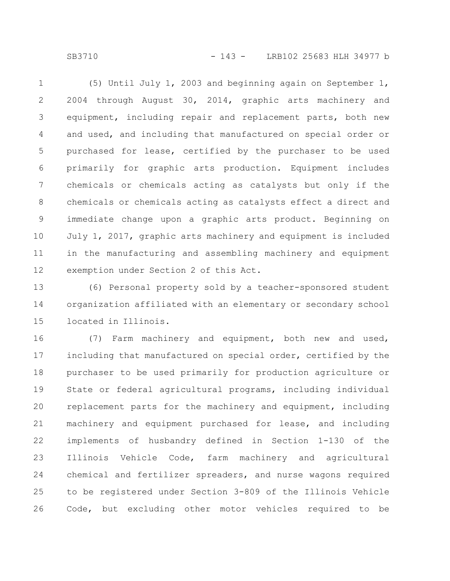SB3710 - 143 - LRB102 25683 HLH 34977 b

(5) Until July 1, 2003 and beginning again on September 1, 2004 through August 30, 2014, graphic arts machinery and equipment, including repair and replacement parts, both new and used, and including that manufactured on special order or purchased for lease, certified by the purchaser to be used primarily for graphic arts production. Equipment includes chemicals or chemicals acting as catalysts but only if the chemicals or chemicals acting as catalysts effect a direct and immediate change upon a graphic arts product. Beginning on July 1, 2017, graphic arts machinery and equipment is included in the manufacturing and assembling machinery and equipment exemption under Section 2 of this Act. 1 2 3 4 5 6 7 8 9 10 11 12

(6) Personal property sold by a teacher-sponsored student organization affiliated with an elementary or secondary school located in Illinois. 13 14 15

(7) Farm machinery and equipment, both new and used, including that manufactured on special order, certified by the purchaser to be used primarily for production agriculture or State or federal agricultural programs, including individual replacement parts for the machinery and equipment, including machinery and equipment purchased for lease, and including implements of husbandry defined in Section 1-130 of the Illinois Vehicle Code, farm machinery and agricultural chemical and fertilizer spreaders, and nurse wagons required to be registered under Section 3-809 of the Illinois Vehicle Code, but excluding other motor vehicles required to be 16 17 18 19 20 21 22 23 24 25 26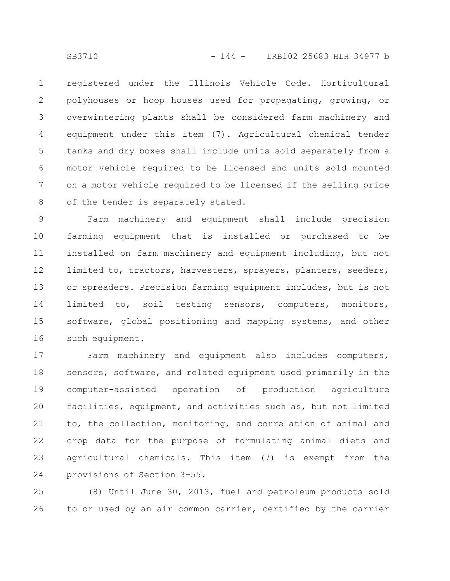registered under the Illinois Vehicle Code. Horticultural polyhouses or hoop houses used for propagating, growing, or overwintering plants shall be considered farm machinery and equipment under this item (7). Agricultural chemical tender tanks and dry boxes shall include units sold separately from a motor vehicle required to be licensed and units sold mounted on a motor vehicle required to be licensed if the selling price of the tender is separately stated. 1 2 3 4 5 6 7 8

Farm machinery and equipment shall include precision farming equipment that is installed or purchased to be installed on farm machinery and equipment including, but not limited to, tractors, harvesters, sprayers, planters, seeders, or spreaders. Precision farming equipment includes, but is not limited to, soil testing sensors, computers, monitors, software, global positioning and mapping systems, and other such equipment. 9 10 11 12 13 14 15 16

Farm machinery and equipment also includes computers, sensors, software, and related equipment used primarily in the computer-assisted operation of production agriculture facilities, equipment, and activities such as, but not limited to, the collection, monitoring, and correlation of animal and crop data for the purpose of formulating animal diets and agricultural chemicals. This item (7) is exempt from the provisions of Section 3-55. 17 18 19 20 21 22 23 24

(8) Until June 30, 2013, fuel and petroleum products sold to or used by an air common carrier, certified by the carrier 25 26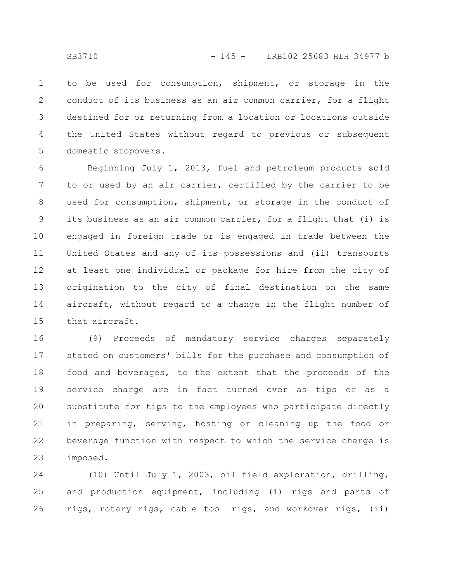to be used for consumption, shipment, or storage in the conduct of its business as an air common carrier, for a flight destined for or returning from a location or locations outside the United States without regard to previous or subsequent domestic stopovers. 1 2 3 4 5

Beginning July 1, 2013, fuel and petroleum products sold to or used by an air carrier, certified by the carrier to be used for consumption, shipment, or storage in the conduct of its business as an air common carrier, for a flight that (i) is engaged in foreign trade or is engaged in trade between the United States and any of its possessions and (ii) transports at least one individual or package for hire from the city of origination to the city of final destination on the same aircraft, without regard to a change in the flight number of that aircraft. 6 7 8 9 10 11 12 13 14 15

(9) Proceeds of mandatory service charges separately stated on customers' bills for the purchase and consumption of food and beverages, to the extent that the proceeds of the service charge are in fact turned over as tips or as a substitute for tips to the employees who participate directly in preparing, serving, hosting or cleaning up the food or beverage function with respect to which the service charge is imposed. 16 17 18 19 20 21 22 23

(10) Until July 1, 2003, oil field exploration, drilling, and production equipment, including (i) rigs and parts of rigs, rotary rigs, cable tool rigs, and workover rigs, (ii) 24 25 26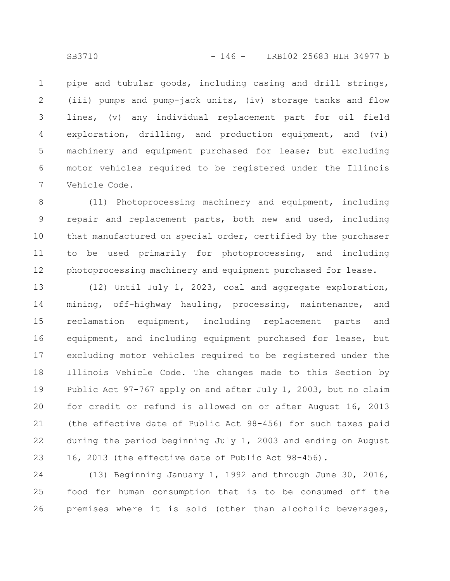pipe and tubular goods, including casing and drill strings, (iii) pumps and pump-jack units, (iv) storage tanks and flow lines, (v) any individual replacement part for oil field exploration, drilling, and production equipment, and (vi) machinery and equipment purchased for lease; but excluding motor vehicles required to be registered under the Illinois Vehicle Code. 1 2 3 4 5 6 7

(11) Photoprocessing machinery and equipment, including repair and replacement parts, both new and used, including that manufactured on special order, certified by the purchaser to be used primarily for photoprocessing, and including photoprocessing machinery and equipment purchased for lease. 8 9 10 11 12

(12) Until July 1, 2023, coal and aggregate exploration, mining, off-highway hauling, processing, maintenance, and reclamation equipment, including replacement parts and equipment, and including equipment purchased for lease, but excluding motor vehicles required to be registered under the Illinois Vehicle Code. The changes made to this Section by Public Act 97-767 apply on and after July 1, 2003, but no claim for credit or refund is allowed on or after August 16, 2013 (the effective date of Public Act 98-456) for such taxes paid during the period beginning July 1, 2003 and ending on August 16, 2013 (the effective date of Public Act 98-456). 13 14 15 16 17 18 19 20 21 22 23

(13) Beginning January 1, 1992 and through June 30, 2016, food for human consumption that is to be consumed off the premises where it is sold (other than alcoholic beverages, 24 25 26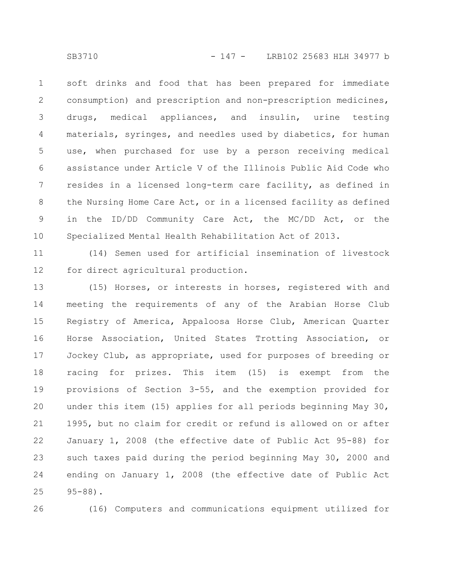soft drinks and food that has been prepared for immediate consumption) and prescription and non-prescription medicines, drugs, medical appliances, and insulin, urine testing materials, syringes, and needles used by diabetics, for human use, when purchased for use by a person receiving medical assistance under Article V of the Illinois Public Aid Code who resides in a licensed long-term care facility, as defined in the Nursing Home Care Act, or in a licensed facility as defined in the ID/DD Community Care Act, the MC/DD Act, or the Specialized Mental Health Rehabilitation Act of 2013. 1 2 3 4 5 6 7 8 9 10

(14) Semen used for artificial insemination of livestock for direct agricultural production. 11 12

(15) Horses, or interests in horses, registered with and meeting the requirements of any of the Arabian Horse Club Registry of America, Appaloosa Horse Club, American Quarter Horse Association, United States Trotting Association, or Jockey Club, as appropriate, used for purposes of breeding or racing for prizes. This item (15) is exempt from the provisions of Section 3-55, and the exemption provided for under this item (15) applies for all periods beginning May 30, 1995, but no claim for credit or refund is allowed on or after January 1, 2008 (the effective date of Public Act 95-88) for such taxes paid during the period beginning May 30, 2000 and ending on January 1, 2008 (the effective date of Public Act 95-88). 13 14 15 16 17 18 19 20 21 22 23 24 25

26

(16) Computers and communications equipment utilized for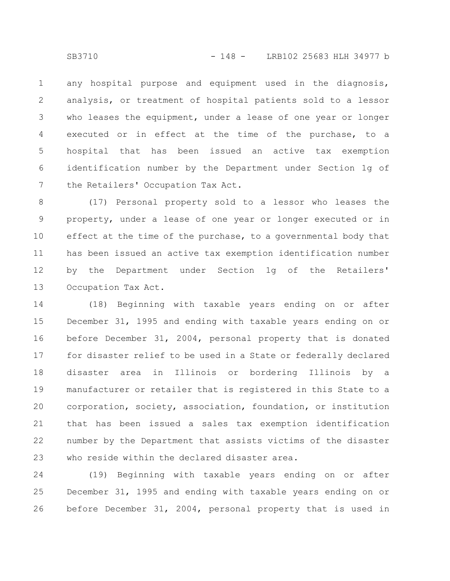any hospital purpose and equipment used in the diagnosis, analysis, or treatment of hospital patients sold to a lessor who leases the equipment, under a lease of one year or longer executed or in effect at the time of the purchase, to a hospital that has been issued an active tax exemption identification number by the Department under Section 1g of the Retailers' Occupation Tax Act. 1 2 3 4 5 6 7

(17) Personal property sold to a lessor who leases the property, under a lease of one year or longer executed or in effect at the time of the purchase, to a governmental body that has been issued an active tax exemption identification number by the Department under Section 1g of the Retailers' Occupation Tax Act. 8 9 10 11 12 13

(18) Beginning with taxable years ending on or after December 31, 1995 and ending with taxable years ending on or before December 31, 2004, personal property that is donated for disaster relief to be used in a State or federally declared disaster area in Illinois or bordering Illinois by a manufacturer or retailer that is registered in this State to a corporation, society, association, foundation, or institution that has been issued a sales tax exemption identification number by the Department that assists victims of the disaster who reside within the declared disaster area. 14 15 16 17 18 19 20 21 22 23

(19) Beginning with taxable years ending on or after December 31, 1995 and ending with taxable years ending on or before December 31, 2004, personal property that is used in 24 25 26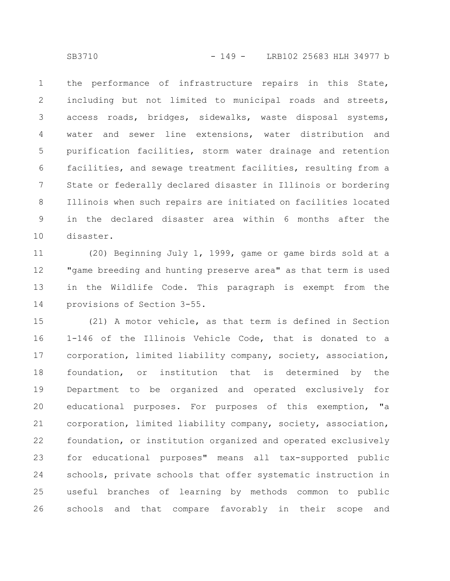the performance of infrastructure repairs in this State, including but not limited to municipal roads and streets, access roads, bridges, sidewalks, waste disposal systems, water and sewer line extensions, water distribution and purification facilities, storm water drainage and retention facilities, and sewage treatment facilities, resulting from a State or federally declared disaster in Illinois or bordering Illinois when such repairs are initiated on facilities located in the declared disaster area within 6 months after the disaster. 1 2 3 4 5 6 7 8 9 10

(20) Beginning July 1, 1999, game or game birds sold at a "game breeding and hunting preserve area" as that term is used in the Wildlife Code. This paragraph is exempt from the provisions of Section 3-55. 11 12 13 14

(21) A motor vehicle, as that term is defined in Section 1-146 of the Illinois Vehicle Code, that is donated to a corporation, limited liability company, society, association, foundation, or institution that is determined by the Department to be organized and operated exclusively for educational purposes. For purposes of this exemption, "a corporation, limited liability company, society, association, foundation, or institution organized and operated exclusively for educational purposes" means all tax-supported public schools, private schools that offer systematic instruction in useful branches of learning by methods common to public schools and that compare favorably in their scope and 15 16 17 18 19 20 21 22 23 24 25 26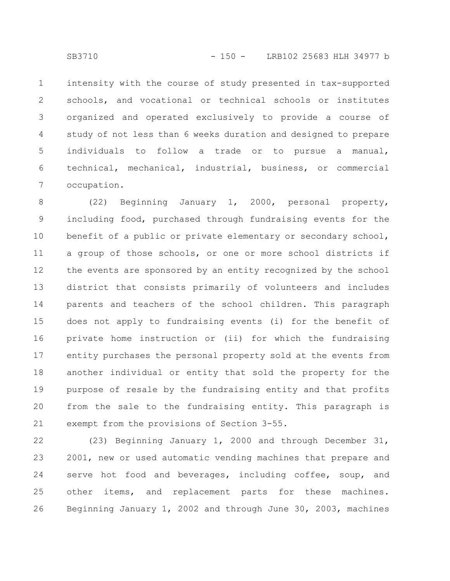intensity with the course of study presented in tax-supported schools, and vocational or technical schools or institutes organized and operated exclusively to provide a course of study of not less than 6 weeks duration and designed to prepare individuals to follow a trade or to pursue a manual, technical, mechanical, industrial, business, or commercial occupation. 1 2 3 4 5 6 7

(22) Beginning January 1, 2000, personal property, including food, purchased through fundraising events for the benefit of a public or private elementary or secondary school, a group of those schools, or one or more school districts if the events are sponsored by an entity recognized by the school district that consists primarily of volunteers and includes parents and teachers of the school children. This paragraph does not apply to fundraising events (i) for the benefit of private home instruction or (ii) for which the fundraising entity purchases the personal property sold at the events from another individual or entity that sold the property for the purpose of resale by the fundraising entity and that profits from the sale to the fundraising entity. This paragraph is exempt from the provisions of Section 3-55. 8 9 10 11 12 13 14 15 16 17 18 19 20 21

(23) Beginning January 1, 2000 and through December 31, 2001, new or used automatic vending machines that prepare and serve hot food and beverages, including coffee, soup, and other items, and replacement parts for these machines. Beginning January 1, 2002 and through June 30, 2003, machines 22 23 24 25 26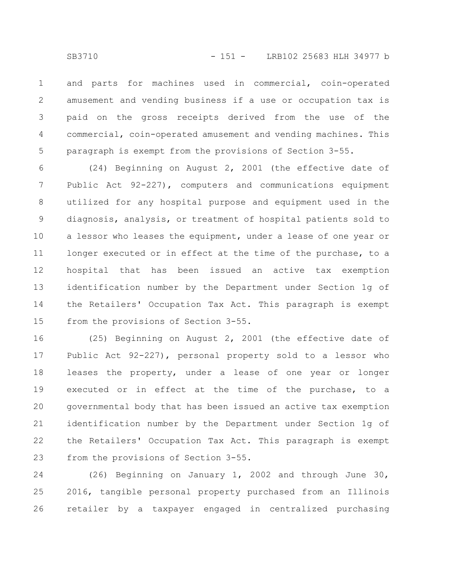and parts for machines used in commercial, coin-operated amusement and vending business if a use or occupation tax is paid on the gross receipts derived from the use of the commercial, coin-operated amusement and vending machines. This paragraph is exempt from the provisions of Section 3-55. 1 2 3 4 5

(24) Beginning on August 2, 2001 (the effective date of Public Act 92-227), computers and communications equipment utilized for any hospital purpose and equipment used in the diagnosis, analysis, or treatment of hospital patients sold to a lessor who leases the equipment, under a lease of one year or longer executed or in effect at the time of the purchase, to a hospital that has been issued an active tax exemption identification number by the Department under Section 1g of the Retailers' Occupation Tax Act. This paragraph is exempt from the provisions of Section 3-55. 6 7 8 9 10 11 12 13 14 15

(25) Beginning on August 2, 2001 (the effective date of Public Act 92-227), personal property sold to a lessor who leases the property, under a lease of one year or longer executed or in effect at the time of the purchase, to a governmental body that has been issued an active tax exemption identification number by the Department under Section 1g of the Retailers' Occupation Tax Act. This paragraph is exempt from the provisions of Section 3-55. 16 17 18 19 20 21 22 23

(26) Beginning on January 1, 2002 and through June 30, 2016, tangible personal property purchased from an Illinois retailer by a taxpayer engaged in centralized purchasing 24 25 26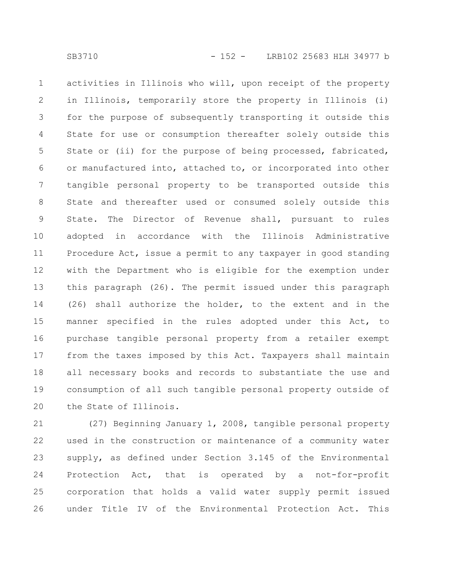activities in Illinois who will, upon receipt of the property in Illinois, temporarily store the property in Illinois (i) for the purpose of subsequently transporting it outside this State for use or consumption thereafter solely outside this State or (ii) for the purpose of being processed, fabricated, or manufactured into, attached to, or incorporated into other tangible personal property to be transported outside this State and thereafter used or consumed solely outside this State. The Director of Revenue shall, pursuant to rules adopted in accordance with the Illinois Administrative Procedure Act, issue a permit to any taxpayer in good standing with the Department who is eligible for the exemption under this paragraph (26). The permit issued under this paragraph (26) shall authorize the holder, to the extent and in the manner specified in the rules adopted under this Act, to purchase tangible personal property from a retailer exempt from the taxes imposed by this Act. Taxpayers shall maintain all necessary books and records to substantiate the use and consumption of all such tangible personal property outside of the State of Illinois. 1 2 3 4 5 6 7 8 9 10 11 12 13 14 15 16 17 18 19 20

(27) Beginning January 1, 2008, tangible personal property used in the construction or maintenance of a community water supply, as defined under Section 3.145 of the Environmental Protection Act, that is operated by a not-for-profit corporation that holds a valid water supply permit issued under Title IV of the Environmental Protection Act. This 21 22 23 24 25 26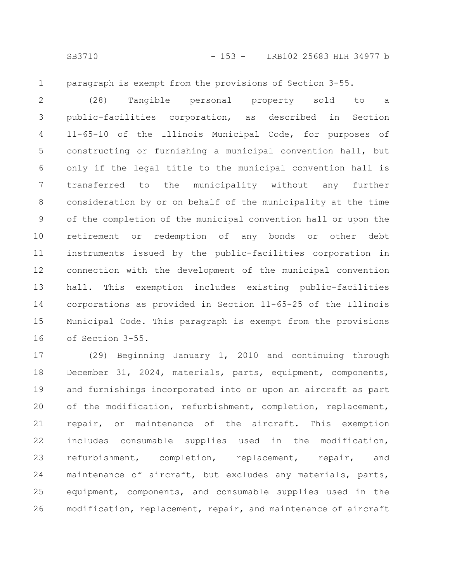1

paragraph is exempt from the provisions of Section 3-55.

(28) Tangible personal property sold to a public-facilities corporation, as described in Section 11-65-10 of the Illinois Municipal Code, for purposes of constructing or furnishing a municipal convention hall, but only if the legal title to the municipal convention hall is transferred to the municipality without any further consideration by or on behalf of the municipality at the time of the completion of the municipal convention hall or upon the retirement or redemption of any bonds or other debt instruments issued by the public-facilities corporation in connection with the development of the municipal convention hall. This exemption includes existing public-facilities corporations as provided in Section 11-65-25 of the Illinois Municipal Code. This paragraph is exempt from the provisions of Section 3-55. 2 3 4 5 6 7 8 9 10 11 12 13 14 15 16

(29) Beginning January 1, 2010 and continuing through December 31, 2024, materials, parts, equipment, components, and furnishings incorporated into or upon an aircraft as part of the modification, refurbishment, completion, replacement, repair, or maintenance of the aircraft. This exemption includes consumable supplies used in the modification, refurbishment, completion, replacement, repair, and maintenance of aircraft, but excludes any materials, parts, equipment, components, and consumable supplies used in the modification, replacement, repair, and maintenance of aircraft 17 18 19 20 21 22 23 24 25 26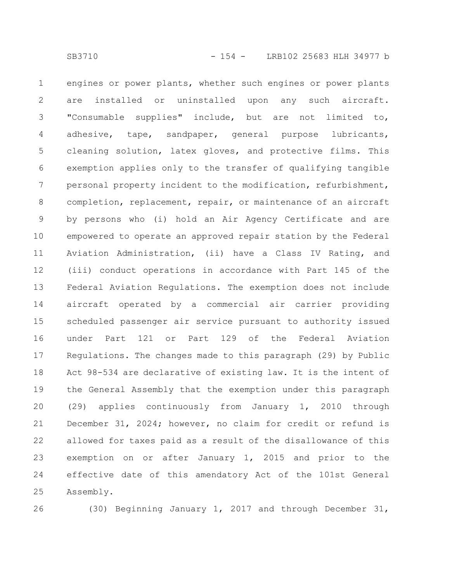engines or power plants, whether such engines or power plants are installed or uninstalled upon any such aircraft. "Consumable supplies" include, but are not limited to, adhesive, tape, sandpaper, general purpose lubricants, cleaning solution, latex gloves, and protective films. This exemption applies only to the transfer of qualifying tangible personal property incident to the modification, refurbishment, completion, replacement, repair, or maintenance of an aircraft by persons who (i) hold an Air Agency Certificate and are empowered to operate an approved repair station by the Federal Aviation Administration, (ii) have a Class IV Rating, and (iii) conduct operations in accordance with Part 145 of the Federal Aviation Regulations. The exemption does not include aircraft operated by a commercial air carrier providing scheduled passenger air service pursuant to authority issued under Part 121 or Part 129 of the Federal Aviation Regulations. The changes made to this paragraph (29) by Public Act 98-534 are declarative of existing law. It is the intent of the General Assembly that the exemption under this paragraph (29) applies continuously from January 1, 2010 through December 31, 2024; however, no claim for credit or refund is allowed for taxes paid as a result of the disallowance of this exemption on or after January 1, 2015 and prior to the effective date of this amendatory Act of the 101st General Assembly. 1 2 3 4 5 6 7 8 9 10 11 12 13 14 15 16 17 18 19 20 21 22 23 24 25

26

(30) Beginning January 1, 2017 and through December 31,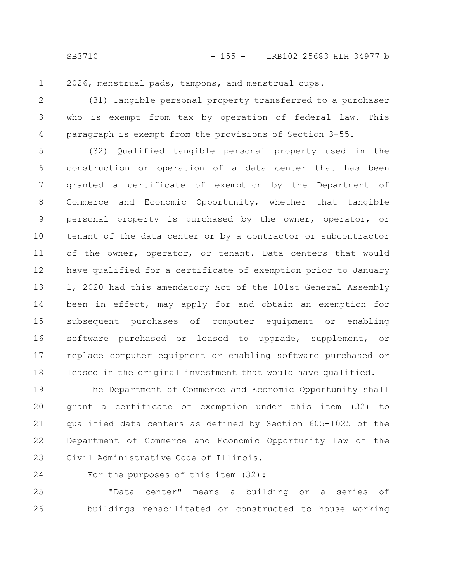2026, menstrual pads, tampons, and menstrual cups. 1

(31) Tangible personal property transferred to a purchaser who is exempt from tax by operation of federal law. This paragraph is exempt from the provisions of Section 3-55. 2 3 4

(32) Qualified tangible personal property used in the construction or operation of a data center that has been granted a certificate of exemption by the Department of Commerce and Economic Opportunity, whether that tangible personal property is purchased by the owner, operator, or tenant of the data center or by a contractor or subcontractor of the owner, operator, or tenant. Data centers that would have qualified for a certificate of exemption prior to January 1, 2020 had this amendatory Act of the 101st General Assembly been in effect, may apply for and obtain an exemption for subsequent purchases of computer equipment or enabling software purchased or leased to upgrade, supplement, or replace computer equipment or enabling software purchased or leased in the original investment that would have qualified. 5 6 7 8 9 10 11 12 13 14 15 16 17 18

The Department of Commerce and Economic Opportunity shall grant a certificate of exemption under this item (32) to qualified data centers as defined by Section 605-1025 of the Department of Commerce and Economic Opportunity Law of the Civil Administrative Code of Illinois. 19 20 21 22 23

For the purposes of this item (32): 24

"Data center" means a building or a series of buildings rehabilitated or constructed to house working 25 26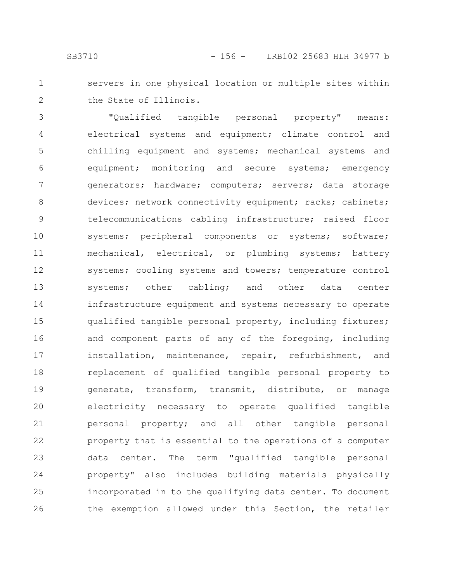servers in one physical location or multiple sites within the State of Illinois. 1 2

"Qualified tangible personal property" means: electrical systems and equipment; climate control and chilling equipment and systems; mechanical systems and equipment; monitoring and secure systems; emergency generators; hardware; computers; servers; data storage devices; network connectivity equipment; racks; cabinets; telecommunications cabling infrastructure; raised floor systems; peripheral components or systems; software; mechanical, electrical, or plumbing systems; battery systems; cooling systems and towers; temperature control systems; other cabling; and other data center infrastructure equipment and systems necessary to operate qualified tangible personal property, including fixtures; and component parts of any of the foregoing, including installation, maintenance, repair, refurbishment, and replacement of qualified tangible personal property to generate, transform, transmit, distribute, or manage electricity necessary to operate qualified tangible personal property; and all other tangible personal property that is essential to the operations of a computer data center. The term "qualified tangible personal property" also includes building materials physically incorporated in to the qualifying data center. To document the exemption allowed under this Section, the retailer 3 4 5 6 7 8 9 10 11 12 13 14 15 16 17 18 19 20 21 22 23 24 25 26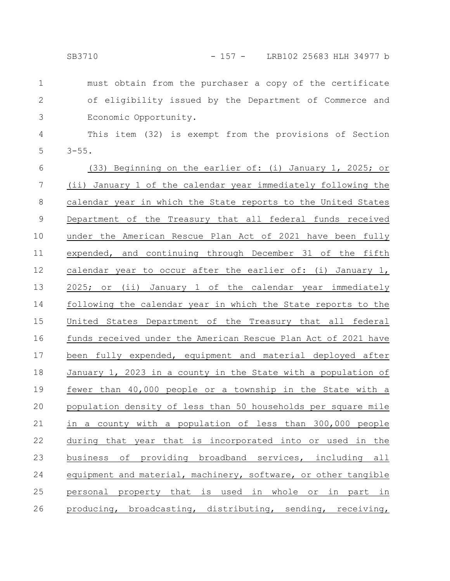must obtain from the purchaser a copy of the certificate of eligibility issued by the Department of Commerce and Economic Opportunity. 1 2 3

This item (32) is exempt from the provisions of Section  $3 - 55.$ 4 5

(33) Beginning on the earlier of: (i) January 1, 2025; or (ii) January 1 of the calendar year immediately following the calendar year in which the State reports to the United States Department of the Treasury that all federal funds received under the American Rescue Plan Act of 2021 have been fully expended, and continuing through December 31 of the fifth calendar year to occur after the earlier of: (i) January 1, 2025; or (ii) January 1 of the calendar year immediately following the calendar year in which the State reports to the United States Department of the Treasury that all federal funds received under the American Rescue Plan Act of 2021 have been fully expended, equipment and material deployed after January 1, 2023 in a county in the State with a population of fewer than 40,000 people or a township in the State with a population density of less than 50 households per square mile in a county with a population of less than 300,000 people during that year that is incorporated into or used in the business of providing broadband services, including all equipment and material, machinery, software, or other tangible personal property that is used in whole or in part in producing, broadcasting, distributing, sending, receiving, 6 7 8 9 10 11 12 13 14 15 16 17 18 19 20 21 22 23 24 25 26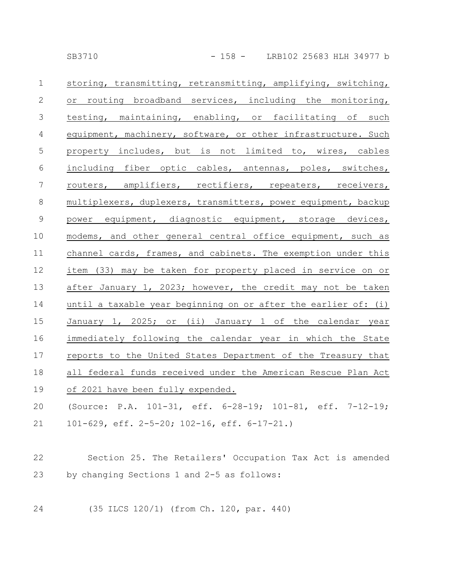| $\mathbf 1$      | storing, transmitting, retransmitting, amplifying, switching,  |
|------------------|----------------------------------------------------------------|
| $\mathbf{2}$     | or routing broadband services, including the monitoring,       |
| $\mathfrak{Z}$   | testing, maintaining, enabling, or facilitating of such        |
| $\overline{4}$   | equipment, machinery, software, or other infrastructure. Such  |
| $\mathsf S$      | property includes, but is not limited to, wires, cables        |
| 6                | including fiber optic cables, antennas, poles, switches,       |
| $\boldsymbol{7}$ | routers, amplifiers, rectifiers, repeaters, receivers,         |
| $\,8\,$          | multiplexers, duplexers, transmitters, power equipment, backup |
| $\mathsf 9$      | power equipment, diagnostic equipment, storage devices,        |
| 10               | modems, and other general central office equipment, such as    |
| 11               | channel cards, frames, and cabinets. The exemption under this  |
| 12               | item (33) may be taken for property placed in service on or    |
| 13               | after January 1, 2023; however, the credit may not be taken    |
| 14               | until a taxable year beginning on or after the earlier of: (i) |
| 15               | January 1, 2025; or (ii) January 1 of the calendar year        |
| 16               | immediately following the calendar year in which the State     |
| 17               | reports to the United States Department of the Treasury that   |
| 18               | all federal funds received under the American Rescue Plan Act  |
| 19               | of 2021 have been fully expended.                              |
| 20               | (Source: P.A. 101-31, eff. 6-28-19; 101-81, eff. 7-12-19;      |
| 21               | 101-629, eff. $2-5-20$ ; 102-16, eff. 6-17-21.)                |
|                  |                                                                |
| 22               | Section 25. The Retailers' Occupation Tax Act is amended       |
| 23               | by changing Sections 1 and 2-5 as follows:                     |
|                  |                                                                |
| 24               | (35 ILCS 120/1) (from Ch. 120, par. 440)                       |
|                  |                                                                |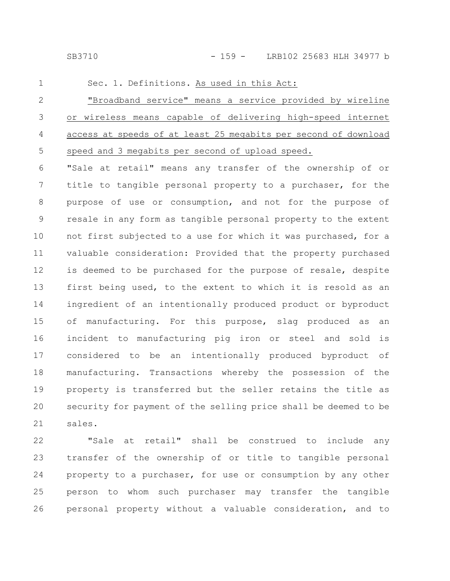SB3710 - 159 - LRB102 25683 HLH 34977 b

Sec. 1. Definitions. As used in this Act: "Broadband service" means a service provided by wireline or wireless means capable of delivering high-speed internet access at speeds of at least 25 megabits per second of download speed and 3 megabits per second of upload speed. "Sale at retail" means any transfer of the ownership of or title to tangible personal property to a purchaser, for the purpose of use or consumption, and not for the purpose of resale in any form as tangible personal property to the extent not first subjected to a use for which it was purchased, for a valuable consideration: Provided that the property purchased is deemed to be purchased for the purpose of resale, despite first being used, to the extent to which it is resold as an ingredient of an intentionally produced product or byproduct of manufacturing. For this purpose, slag produced as an incident to manufacturing pig iron or steel and sold is considered to be an intentionally produced byproduct of manufacturing. Transactions whereby the possession of the property is transferred but the seller retains the title as security for payment of the selling price shall be deemed to be sales. 1 2 3 4 5 6 7 8 9 10 11 12 13 14 15 16 17 18 19 20 21

"Sale at retail" shall be construed to include any transfer of the ownership of or title to tangible personal property to a purchaser, for use or consumption by any other person to whom such purchaser may transfer the tangible personal property without a valuable consideration, and to 22 23 24 25 26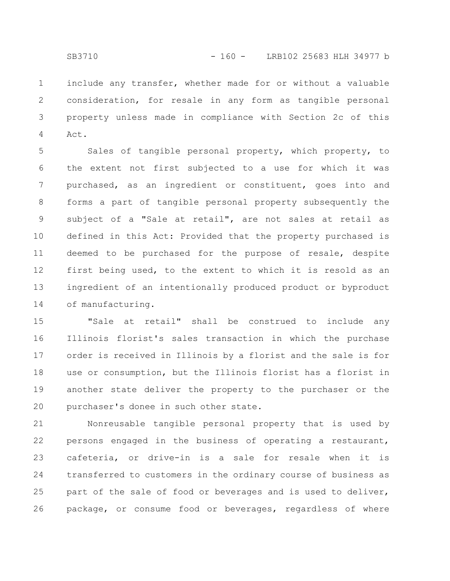include any transfer, whether made for or without a valuable consideration, for resale in any form as tangible personal property unless made in compliance with Section 2c of this Act. 1 2 3 4

Sales of tangible personal property, which property, to the extent not first subjected to a use for which it was purchased, as an ingredient or constituent, goes into and forms a part of tangible personal property subsequently the subject of a "Sale at retail", are not sales at retail as defined in this Act: Provided that the property purchased is deemed to be purchased for the purpose of resale, despite first being used, to the extent to which it is resold as an ingredient of an intentionally produced product or byproduct of manufacturing. 5 6 7 8 9 10 11 12 13 14

"Sale at retail" shall be construed to include any Illinois florist's sales transaction in which the purchase order is received in Illinois by a florist and the sale is for use or consumption, but the Illinois florist has a florist in another state deliver the property to the purchaser or the purchaser's donee in such other state. 15 16 17 18 19 20

Nonreusable tangible personal property that is used by persons engaged in the business of operating a restaurant, cafeteria, or drive-in is a sale for resale when it is transferred to customers in the ordinary course of business as part of the sale of food or beverages and is used to deliver, package, or consume food or beverages, regardless of where 21 22 23 24 25 26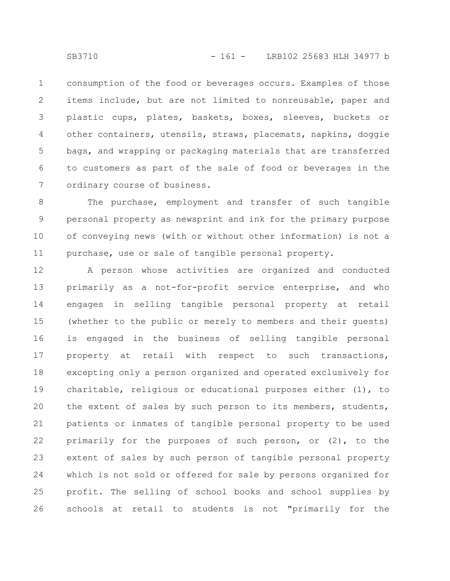consumption of the food or beverages occurs. Examples of those items include, but are not limited to nonreusable, paper and plastic cups, plates, baskets, boxes, sleeves, buckets or other containers, utensils, straws, placemats, napkins, doggie bags, and wrapping or packaging materials that are transferred to customers as part of the sale of food or beverages in the ordinary course of business. 1 2 3 4 5 6 7

The purchase, employment and transfer of such tangible personal property as newsprint and ink for the primary purpose of conveying news (with or without other information) is not a purchase, use or sale of tangible personal property. 8 9 10 11

A person whose activities are organized and conducted primarily as a not-for-profit service enterprise, and who engages in selling tangible personal property at retail (whether to the public or merely to members and their guests) is engaged in the business of selling tangible personal property at retail with respect to such transactions, excepting only a person organized and operated exclusively for charitable, religious or educational purposes either (1), to the extent of sales by such person to its members, students, patients or inmates of tangible personal property to be used primarily for the purposes of such person, or (2), to the extent of sales by such person of tangible personal property which is not sold or offered for sale by persons organized for profit. The selling of school books and school supplies by schools at retail to students is not "primarily for the 12 13 14 15 16 17 18 19 20 21 22 23 24 25 26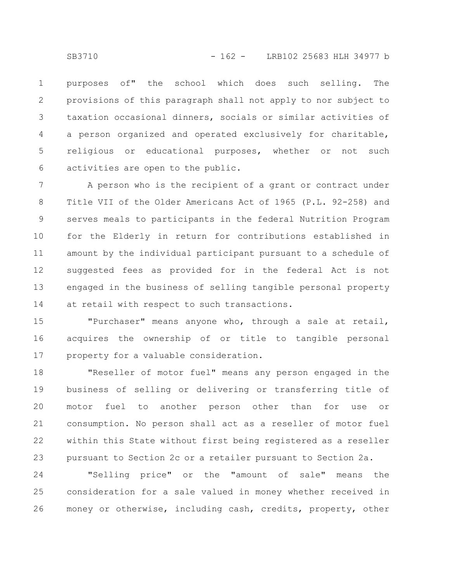purposes of" the school which does such selling. The provisions of this paragraph shall not apply to nor subject to taxation occasional dinners, socials or similar activities of a person organized and operated exclusively for charitable, religious or educational purposes, whether or not such activities are open to the public. 1 2 3 4 5 6

A person who is the recipient of a grant or contract under Title VII of the Older Americans Act of 1965 (P.L. 92-258) and serves meals to participants in the federal Nutrition Program for the Elderly in return for contributions established in amount by the individual participant pursuant to a schedule of suggested fees as provided for in the federal Act is not engaged in the business of selling tangible personal property at retail with respect to such transactions. 7 8 9 10 11 12 13 14

"Purchaser" means anyone who, through a sale at retail, acquires the ownership of or title to tangible personal property for a valuable consideration. 15 16 17

"Reseller of motor fuel" means any person engaged in the business of selling or delivering or transferring title of motor fuel to another person other than for use or consumption. No person shall act as a reseller of motor fuel within this State without first being registered as a reseller pursuant to Section 2c or a retailer pursuant to Section 2a. 18 19 20 21 22 23

"Selling price" or the "amount of sale" means the consideration for a sale valued in money whether received in money or otherwise, including cash, credits, property, other 24 25 26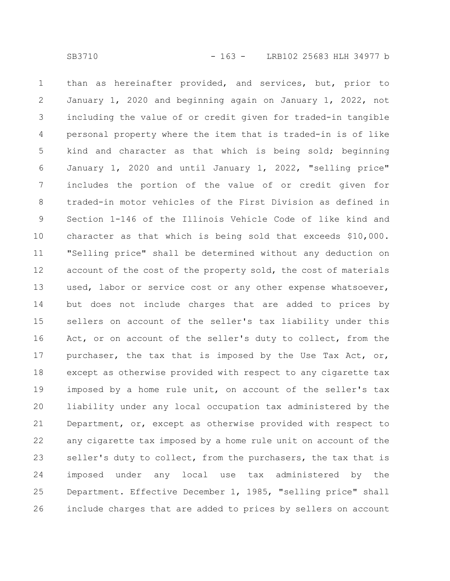than as hereinafter provided, and services, but, prior to January 1, 2020 and beginning again on January 1, 2022, not including the value of or credit given for traded-in tangible personal property where the item that is traded-in is of like kind and character as that which is being sold; beginning January 1, 2020 and until January 1, 2022, "selling price" includes the portion of the value of or credit given for traded-in motor vehicles of the First Division as defined in Section 1-146 of the Illinois Vehicle Code of like kind and character as that which is being sold that exceeds \$10,000. "Selling price" shall be determined without any deduction on account of the cost of the property sold, the cost of materials used, labor or service cost or any other expense whatsoever, but does not include charges that are added to prices by sellers on account of the seller's tax liability under this Act, or on account of the seller's duty to collect, from the purchaser, the tax that is imposed by the Use Tax Act, or, except as otherwise provided with respect to any cigarette tax imposed by a home rule unit, on account of the seller's tax liability under any local occupation tax administered by the Department, or, except as otherwise provided with respect to any cigarette tax imposed by a home rule unit on account of the seller's duty to collect, from the purchasers, the tax that is imposed under any local use tax administered by the Department. Effective December 1, 1985, "selling price" shall include charges that are added to prices by sellers on account 1 2 3 4 5 6 7 8 9 10 11 12 13 14 15 16 17 18 19 20 21 22 23 24 25 26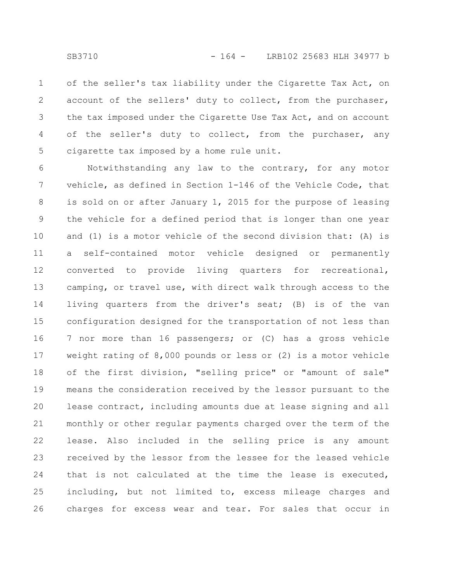of the seller's tax liability under the Cigarette Tax Act, on account of the sellers' duty to collect, from the purchaser, the tax imposed under the Cigarette Use Tax Act, and on account of the seller's duty to collect, from the purchaser, any cigarette tax imposed by a home rule unit. 1 2 3 4 5

Notwithstanding any law to the contrary, for any motor vehicle, as defined in Section 1-146 of the Vehicle Code, that is sold on or after January 1, 2015 for the purpose of leasing the vehicle for a defined period that is longer than one year and (1) is a motor vehicle of the second division that: (A) is a self-contained motor vehicle designed or permanently converted to provide living quarters for recreational, camping, or travel use, with direct walk through access to the living quarters from the driver's seat; (B) is of the van configuration designed for the transportation of not less than 7 nor more than 16 passengers; or (C) has a gross vehicle weight rating of 8,000 pounds or less or (2) is a motor vehicle of the first division, "selling price" or "amount of sale" means the consideration received by the lessor pursuant to the lease contract, including amounts due at lease signing and all monthly or other regular payments charged over the term of the lease. Also included in the selling price is any amount received by the lessor from the lessee for the leased vehicle that is not calculated at the time the lease is executed, including, but not limited to, excess mileage charges and charges for excess wear and tear. For sales that occur in 6 7 8 9 10 11 12 13 14 15 16 17 18 19 20 21 22 23 24 25 26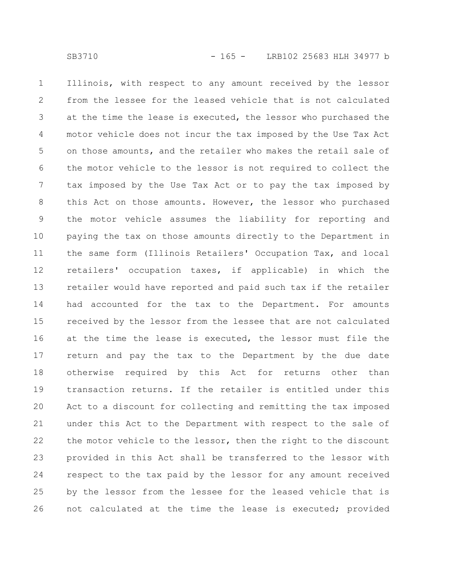Illinois, with respect to any amount received by the lessor from the lessee for the leased vehicle that is not calculated at the time the lease is executed, the lessor who purchased the motor vehicle does not incur the tax imposed by the Use Tax Act on those amounts, and the retailer who makes the retail sale of the motor vehicle to the lessor is not required to collect the tax imposed by the Use Tax Act or to pay the tax imposed by this Act on those amounts. However, the lessor who purchased the motor vehicle assumes the liability for reporting and paying the tax on those amounts directly to the Department in the same form (Illinois Retailers' Occupation Tax, and local retailers' occupation taxes, if applicable) in which the retailer would have reported and paid such tax if the retailer had accounted for the tax to the Department. For amounts received by the lessor from the lessee that are not calculated at the time the lease is executed, the lessor must file the return and pay the tax to the Department by the due date otherwise required by this Act for returns other than transaction returns. If the retailer is entitled under this Act to a discount for collecting and remitting the tax imposed under this Act to the Department with respect to the sale of the motor vehicle to the lessor, then the right to the discount provided in this Act shall be transferred to the lessor with respect to the tax paid by the lessor for any amount received by the lessor from the lessee for the leased vehicle that is not calculated at the time the lease is executed; provided 1 2 3 4 5 6 7 8 9 10 11 12 13 14 15 16 17 18 19 20 21 22 23 24 25 26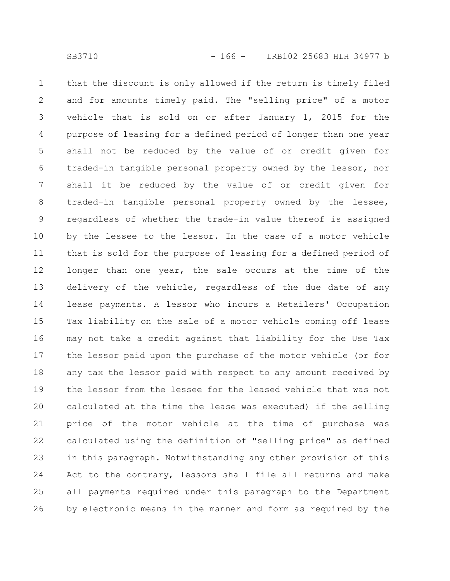that the discount is only allowed if the return is timely filed and for amounts timely paid. The "selling price" of a motor vehicle that is sold on or after January 1, 2015 for the purpose of leasing for a defined period of longer than one year shall not be reduced by the value of or credit given for traded-in tangible personal property owned by the lessor, nor shall it be reduced by the value of or credit given for traded-in tangible personal property owned by the lessee, regardless of whether the trade-in value thereof is assigned by the lessee to the lessor. In the case of a motor vehicle that is sold for the purpose of leasing for a defined period of longer than one year, the sale occurs at the time of the delivery of the vehicle, regardless of the due date of any lease payments. A lessor who incurs a Retailers' Occupation Tax liability on the sale of a motor vehicle coming off lease may not take a credit against that liability for the Use Tax the lessor paid upon the purchase of the motor vehicle (or for any tax the lessor paid with respect to any amount received by the lessor from the lessee for the leased vehicle that was not calculated at the time the lease was executed) if the selling price of the motor vehicle at the time of purchase was calculated using the definition of "selling price" as defined in this paragraph. Notwithstanding any other provision of this Act to the contrary, lessors shall file all returns and make all payments required under this paragraph to the Department by electronic means in the manner and form as required by the 1 2 3 4 5 6 7 8 9 10 11 12 13 14 15 16 17 18 19 20 21 22 23 24 25 26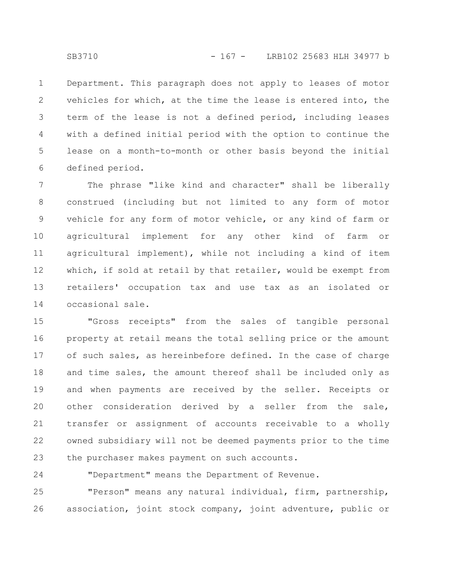Department. This paragraph does not apply to leases of motor vehicles for which, at the time the lease is entered into, the term of the lease is not a defined period, including leases with a defined initial period with the option to continue the lease on a month-to-month or other basis beyond the initial defined period. 1 2 3 4 5 6

The phrase "like kind and character" shall be liberally construed (including but not limited to any form of motor vehicle for any form of motor vehicle, or any kind of farm or agricultural implement for any other kind of farm or agricultural implement), while not including a kind of item which, if sold at retail by that retailer, would be exempt from retailers' occupation tax and use tax as an isolated or occasional sale. 7 8 9 10 11 12 13 14

"Gross receipts" from the sales of tangible personal property at retail means the total selling price or the amount of such sales, as hereinbefore defined. In the case of charge and time sales, the amount thereof shall be included only as and when payments are received by the seller. Receipts or other consideration derived by a seller from the sale, transfer or assignment of accounts receivable to a wholly owned subsidiary will not be deemed payments prior to the time the purchaser makes payment on such accounts. 15 16 17 18 19 20 21 22 23

"Department" means the Department of Revenue.

"Person" means any natural individual, firm, partnership, association, joint stock company, joint adventure, public or 25 26

24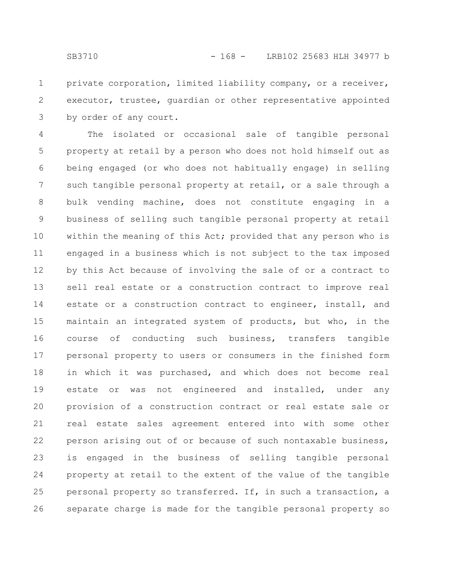private corporation, limited liability company, or a receiver, executor, trustee, guardian or other representative appointed by order of any court. 1 2 3

The isolated or occasional sale of tangible personal property at retail by a person who does not hold himself out as being engaged (or who does not habitually engage) in selling such tangible personal property at retail, or a sale through a bulk vending machine, does not constitute engaging in a business of selling such tangible personal property at retail within the meaning of this Act; provided that any person who is engaged in a business which is not subject to the tax imposed by this Act because of involving the sale of or a contract to sell real estate or a construction contract to improve real estate or a construction contract to engineer, install, and maintain an integrated system of products, but who, in the course of conducting such business, transfers tangible personal property to users or consumers in the finished form in which it was purchased, and which does not become real estate or was not engineered and installed, under any provision of a construction contract or real estate sale or real estate sales agreement entered into with some other person arising out of or because of such nontaxable business, is engaged in the business of selling tangible personal property at retail to the extent of the value of the tangible personal property so transferred. If, in such a transaction, a separate charge is made for the tangible personal property so 4 5 6 7 8 9 10 11 12 13 14 15 16 17 18 19 20 21 22 23 24 25 26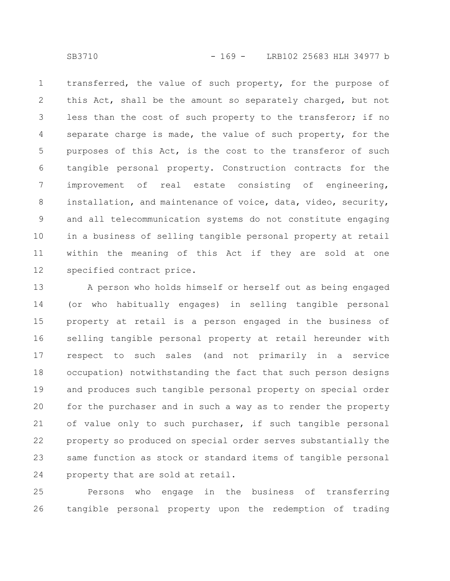transferred, the value of such property, for the purpose of this Act, shall be the amount so separately charged, but not less than the cost of such property to the transferor; if no separate charge is made, the value of such property, for the purposes of this Act, is the cost to the transferor of such tangible personal property. Construction contracts for the improvement of real estate consisting of engineering, installation, and maintenance of voice, data, video, security, and all telecommunication systems do not constitute engaging in a business of selling tangible personal property at retail within the meaning of this Act if they are sold at one specified contract price. 1 2 3 4 5 6 7 8 9 10 11 12

A person who holds himself or herself out as being engaged (or who habitually engages) in selling tangible personal property at retail is a person engaged in the business of selling tangible personal property at retail hereunder with respect to such sales (and not primarily in a service occupation) notwithstanding the fact that such person designs and produces such tangible personal property on special order for the purchaser and in such a way as to render the property of value only to such purchaser, if such tangible personal property so produced on special order serves substantially the same function as stock or standard items of tangible personal property that are sold at retail. 13 14 15 16 17 18 19 20 21 22 23 24

Persons who engage in the business of transferring tangible personal property upon the redemption of trading 25 26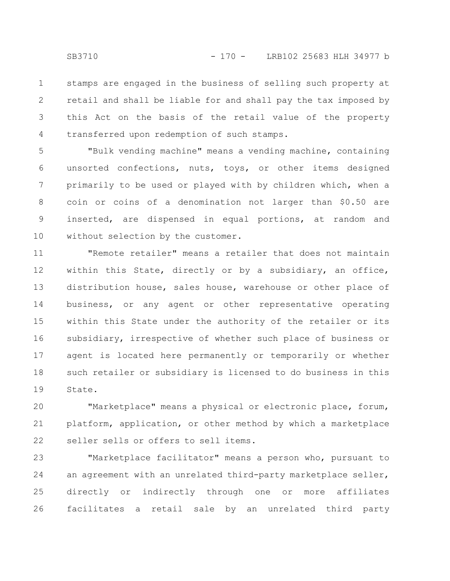stamps are engaged in the business of selling such property at retail and shall be liable for and shall pay the tax imposed by this Act on the basis of the retail value of the property transferred upon redemption of such stamps. 1 2 3 4

"Bulk vending machine" means a vending machine, containing unsorted confections, nuts, toys, or other items designed primarily to be used or played with by children which, when a coin or coins of a denomination not larger than \$0.50 are inserted, are dispensed in equal portions, at random and without selection by the customer. 5 6 7 8 9 10

"Remote retailer" means a retailer that does not maintain within this State, directly or by a subsidiary, an office, distribution house, sales house, warehouse or other place of business, or any agent or other representative operating within this State under the authority of the retailer or its subsidiary, irrespective of whether such place of business or agent is located here permanently or temporarily or whether such retailer or subsidiary is licensed to do business in this State. 11 12 13 14 15 16 17 18 19

"Marketplace" means a physical or electronic place, forum, platform, application, or other method by which a marketplace seller sells or offers to sell items. 20 21 22

"Marketplace facilitator" means a person who, pursuant to an agreement with an unrelated third-party marketplace seller, directly or indirectly through one or more affiliates facilitates a retail sale by an unrelated third party 23 24 25 26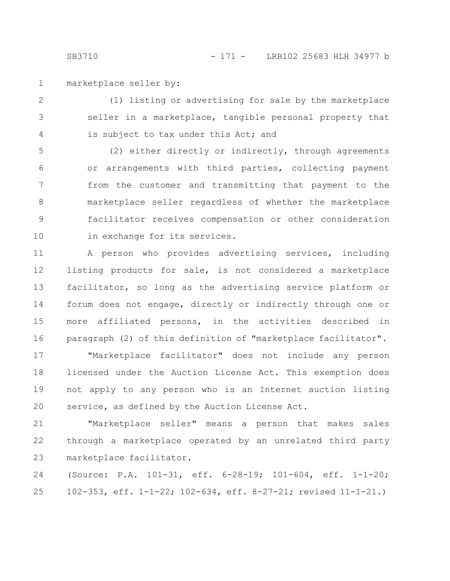marketplace seller by: 1

(1) listing or advertising for sale by the marketplace seller in a marketplace, tangible personal property that is subject to tax under this Act; and 2 3 4

(2) either directly or indirectly, through agreements or arrangements with third parties, collecting payment from the customer and transmitting that payment to the marketplace seller regardless of whether the marketplace facilitator receives compensation or other consideration in exchange for its services. 5 6 7 8 9 10

A person who provides advertising services, including listing products for sale, is not considered a marketplace facilitator, so long as the advertising service platform or forum does not engage, directly or indirectly through one or more affiliated persons, in the activities described in paragraph (2) of this definition of "marketplace facilitator". 11 12 13 14 15 16

"Marketplace facilitator" does not include any person licensed under the Auction License Act. This exemption does not apply to any person who is an Internet auction listing service, as defined by the Auction License Act. 17 18 19 20

"Marketplace seller" means a person that makes sales through a marketplace operated by an unrelated third party marketplace facilitator. 21 22 23

(Source: P.A. 101-31, eff. 6-28-19; 101-604, eff. 1-1-20; 102-353, eff. 1-1-22; 102-634, eff. 8-27-21; revised 11-1-21.) 24 25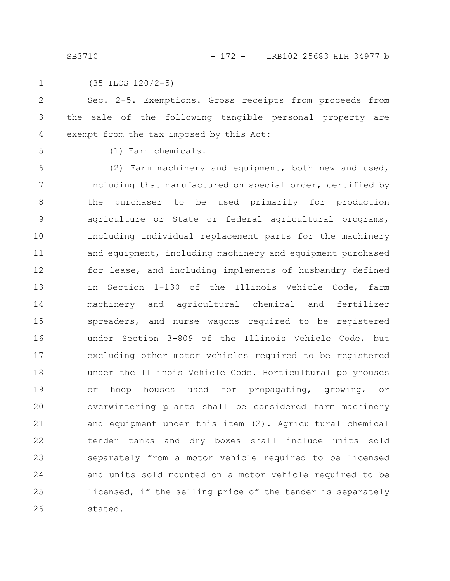SB3710 - 172 - LRB102 25683 HLH 34977 b

1

(35 ILCS 120/2-5)

Sec. 2-5. Exemptions. Gross receipts from proceeds from the sale of the following tangible personal property are exempt from the tax imposed by this Act: 2 3 4

5

(1) Farm chemicals.

(2) Farm machinery and equipment, both new and used, including that manufactured on special order, certified by the purchaser to be used primarily for production agriculture or State or federal agricultural programs, including individual replacement parts for the machinery and equipment, including machinery and equipment purchased for lease, and including implements of husbandry defined in Section 1-130 of the Illinois Vehicle Code, farm machinery and agricultural chemical and fertilizer spreaders, and nurse wagons required to be registered under Section 3-809 of the Illinois Vehicle Code, but excluding other motor vehicles required to be registered under the Illinois Vehicle Code. Horticultural polyhouses or hoop houses used for propagating, growing, or overwintering plants shall be considered farm machinery and equipment under this item (2). Agricultural chemical tender tanks and dry boxes shall include units sold separately from a motor vehicle required to be licensed and units sold mounted on a motor vehicle required to be licensed, if the selling price of the tender is separately stated. 6 7 8 9 10 11 12 13 14 15 16 17 18 19 20 21 22 23 24 25 26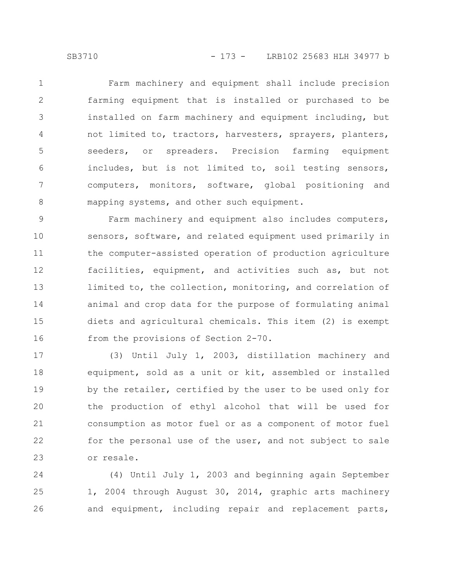Farm machinery and equipment shall include precision farming equipment that is installed or purchased to be installed on farm machinery and equipment including, but not limited to, tractors, harvesters, sprayers, planters, seeders, or spreaders. Precision farming equipment includes, but is not limited to, soil testing sensors, computers, monitors, software, global positioning and mapping systems, and other such equipment. 1 2 3 4 5 6 7 8

Farm machinery and equipment also includes computers, sensors, software, and related equipment used primarily in the computer-assisted operation of production agriculture facilities, equipment, and activities such as, but not limited to, the collection, monitoring, and correlation of animal and crop data for the purpose of formulating animal diets and agricultural chemicals. This item (2) is exempt from the provisions of Section 2-70. 9 10 11 12 13 14 15 16

(3) Until July 1, 2003, distillation machinery and equipment, sold as a unit or kit, assembled or installed by the retailer, certified by the user to be used only for the production of ethyl alcohol that will be used for consumption as motor fuel or as a component of motor fuel for the personal use of the user, and not subject to sale or resale. 17 18 19 20 21 22 23

(4) Until July 1, 2003 and beginning again September 1, 2004 through August 30, 2014, graphic arts machinery and equipment, including repair and replacement parts, 24 25 26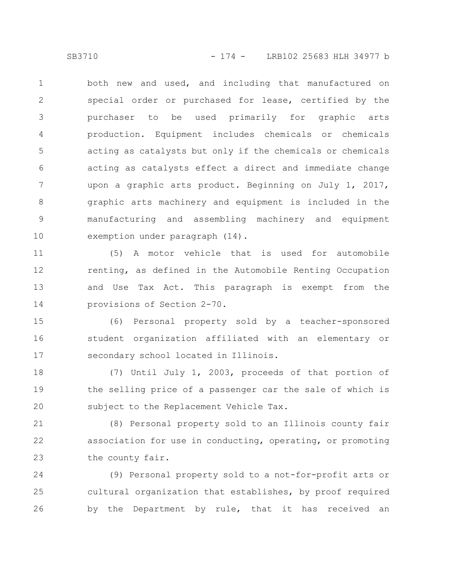both new and used, and including that manufactured on special order or purchased for lease, certified by the purchaser to be used primarily for graphic arts production. Equipment includes chemicals or chemicals acting as catalysts but only if the chemicals or chemicals acting as catalysts effect a direct and immediate change upon a graphic arts product. Beginning on July 1, 2017, graphic arts machinery and equipment is included in the manufacturing and assembling machinery and equipment exemption under paragraph (14). 1 2 3 4 5 6 7 8 9 10

(5) A motor vehicle that is used for automobile renting, as defined in the Automobile Renting Occupation and Use Tax Act. This paragraph is exempt from the provisions of Section 2-70. 11 12 13 14

(6) Personal property sold by a teacher-sponsored student organization affiliated with an elementary or secondary school located in Illinois. 15 16 17

(7) Until July 1, 2003, proceeds of that portion of the selling price of a passenger car the sale of which is subject to the Replacement Vehicle Tax. 18 19 20

(8) Personal property sold to an Illinois county fair association for use in conducting, operating, or promoting the county fair. 21 22 23

(9) Personal property sold to a not-for-profit arts or cultural organization that establishes, by proof required by the Department by rule, that it has received an 24 25 26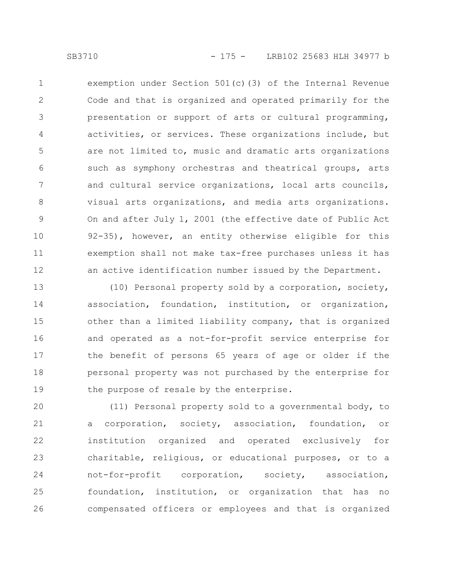exemption under Section 501(c)(3) of the Internal Revenue Code and that is organized and operated primarily for the presentation or support of arts or cultural programming, activities, or services. These organizations include, but are not limited to, music and dramatic arts organizations such as symphony orchestras and theatrical groups, arts and cultural service organizations, local arts councils, visual arts organizations, and media arts organizations. On and after July 1, 2001 (the effective date of Public Act 92-35), however, an entity otherwise eligible for this exemption shall not make tax-free purchases unless it has an active identification number issued by the Department. 1 2 3 4 5 6 7 8 9 10 11 12

(10) Personal property sold by a corporation, society, association, foundation, institution, or organization, other than a limited liability company, that is organized and operated as a not-for-profit service enterprise for the benefit of persons 65 years of age or older if the personal property was not purchased by the enterprise for the purpose of resale by the enterprise. 13 14 15 16 17 18 19

(11) Personal property sold to a governmental body, to a corporation, society, association, foundation, or institution organized and operated exclusively for charitable, religious, or educational purposes, or to a not-for-profit corporation, society, association, foundation, institution, or organization that has no compensated officers or employees and that is organized 20 21 22 23 24 25 26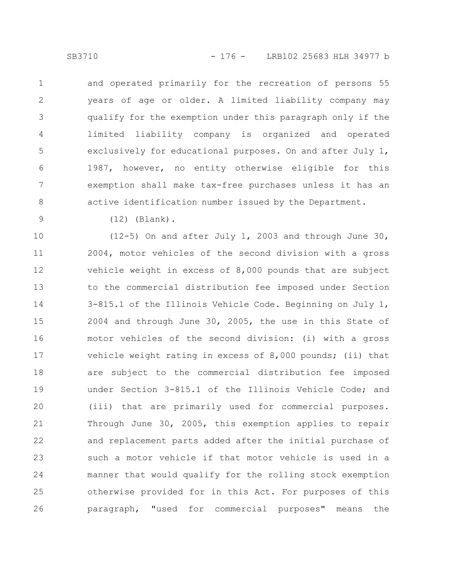and operated primarily for the recreation of persons 55 years of age or older. A limited liability company may qualify for the exemption under this paragraph only if the limited liability company is organized and operated exclusively for educational purposes. On and after July 1, 1987, however, no entity otherwise eligible for this exemption shall make tax-free purchases unless it has an active identification number issued by the Department.

9

8

1

2

3

4

5

6

7

(12) (Blank).

(12-5) On and after July 1, 2003 and through June 30, 2004, motor vehicles of the second division with a gross vehicle weight in excess of 8,000 pounds that are subject to the commercial distribution fee imposed under Section 3-815.1 of the Illinois Vehicle Code. Beginning on July 1, 2004 and through June 30, 2005, the use in this State of motor vehicles of the second division: (i) with a gross vehicle weight rating in excess of 8,000 pounds; (ii) that are subject to the commercial distribution fee imposed under Section 3-815.1 of the Illinois Vehicle Code; and (iii) that are primarily used for commercial purposes. Through June 30, 2005, this exemption applies to repair and replacement parts added after the initial purchase of such a motor vehicle if that motor vehicle is used in a manner that would qualify for the rolling stock exemption otherwise provided for in this Act. For purposes of this paragraph, "used for commercial purposes" means the 10 11 12 13 14 15 16 17 18 19 20 21 22 23 24 25 26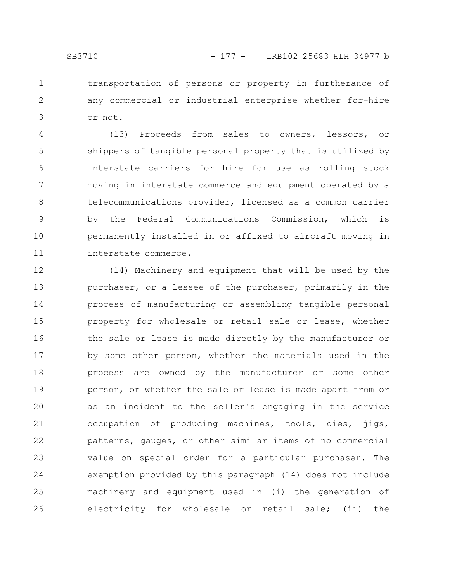transportation of persons or property in furtherance of any commercial or industrial enterprise whether for-hire or not. 1 2 3

(13) Proceeds from sales to owners, lessors, or shippers of tangible personal property that is utilized by interstate carriers for hire for use as rolling stock moving in interstate commerce and equipment operated by a telecommunications provider, licensed as a common carrier by the Federal Communications Commission, which is permanently installed in or affixed to aircraft moving in interstate commerce. 4 5 6 7 8 9 10 11

(14) Machinery and equipment that will be used by the purchaser, or a lessee of the purchaser, primarily in the process of manufacturing or assembling tangible personal property for wholesale or retail sale or lease, whether the sale or lease is made directly by the manufacturer or by some other person, whether the materials used in the process are owned by the manufacturer or some other person, or whether the sale or lease is made apart from or as an incident to the seller's engaging in the service occupation of producing machines, tools, dies, jigs, patterns, gauges, or other similar items of no commercial value on special order for a particular purchaser. The exemption provided by this paragraph (14) does not include machinery and equipment used in (i) the generation of electricity for wholesale or retail sale; (ii) the 12 13 14 15 16 17 18 19 20 21 22 23 24 25 26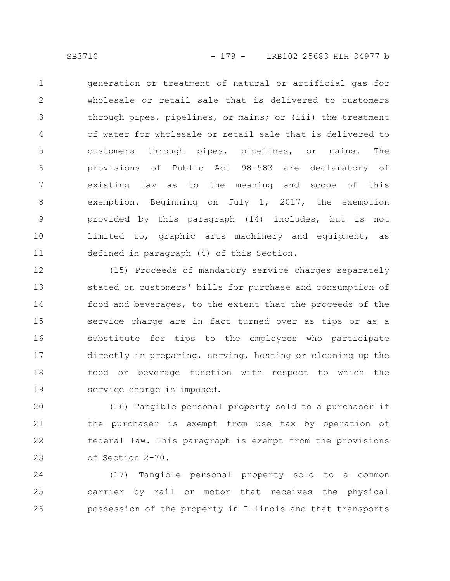generation or treatment of natural or artificial gas for wholesale or retail sale that is delivered to customers through pipes, pipelines, or mains; or (iii) the treatment of water for wholesale or retail sale that is delivered to customers through pipes, pipelines, or mains. The provisions of Public Act 98-583 are declaratory of existing law as to the meaning and scope of this exemption. Beginning on July 1, 2017, the exemption provided by this paragraph (14) includes, but is not limited to, graphic arts machinery and equipment, as defined in paragraph (4) of this Section. 1 2 3 4 5 6 7 8 9 10 11

(15) Proceeds of mandatory service charges separately stated on customers' bills for purchase and consumption of food and beverages, to the extent that the proceeds of the service charge are in fact turned over as tips or as a substitute for tips to the employees who participate directly in preparing, serving, hosting or cleaning up the food or beverage function with respect to which the service charge is imposed. 12 13 14 15 16 17 18 19

(16) Tangible personal property sold to a purchaser if the purchaser is exempt from use tax by operation of federal law. This paragraph is exempt from the provisions of Section 2-70. 20 21 22 23

(17) Tangible personal property sold to a common carrier by rail or motor that receives the physical possession of the property in Illinois and that transports 24 25 26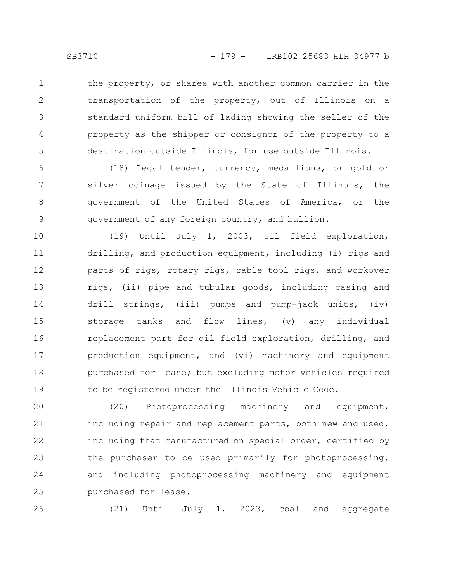the property, or shares with another common carrier in the transportation of the property, out of Illinois on a standard uniform bill of lading showing the seller of the property as the shipper or consignor of the property to a destination outside Illinois, for use outside Illinois. 1 2 3 4 5

(18) Legal tender, currency, medallions, or gold or silver coinage issued by the State of Illinois, the government of the United States of America, or the government of any foreign country, and bullion. 6 7 8 9

(19) Until July 1, 2003, oil field exploration, drilling, and production equipment, including (i) rigs and parts of rigs, rotary rigs, cable tool rigs, and workover rigs, (ii) pipe and tubular goods, including casing and drill strings, (iii) pumps and pump-jack units, (iv) storage tanks and flow lines, (v) any individual replacement part for oil field exploration, drilling, and production equipment, and (vi) machinery and equipment purchased for lease; but excluding motor vehicles required to be registered under the Illinois Vehicle Code. 10 11 12 13 14 15 16 17 18 19

(20) Photoprocessing machinery and equipment, including repair and replacement parts, both new and used, including that manufactured on special order, certified by the purchaser to be used primarily for photoprocessing, and including photoprocessing machinery and equipment purchased for lease. 20 21 22 23 24 25

(21) Until July 1, 2023, coal and aggregate

26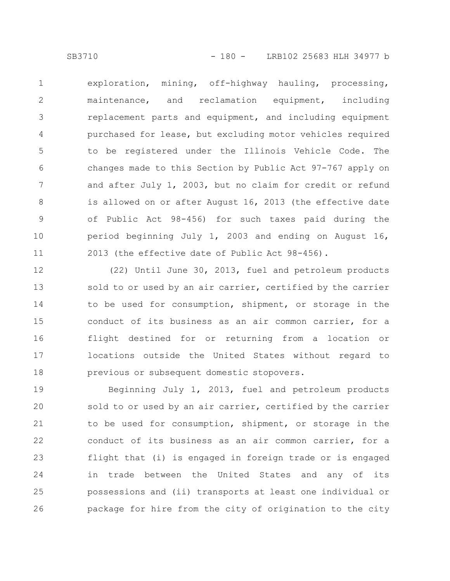exploration, mining, off-highway hauling, processing, maintenance, and reclamation equipment, including replacement parts and equipment, and including equipment purchased for lease, but excluding motor vehicles required to be registered under the Illinois Vehicle Code. The changes made to this Section by Public Act 97-767 apply on and after July 1, 2003, but no claim for credit or refund is allowed on or after August 16, 2013 (the effective date of Public Act 98-456) for such taxes paid during the period beginning July 1, 2003 and ending on August 16, 2013 (the effective date of Public Act 98-456). 1 2 3 4 5 6 7 8 9 10 11

(22) Until June 30, 2013, fuel and petroleum products sold to or used by an air carrier, certified by the carrier to be used for consumption, shipment, or storage in the conduct of its business as an air common carrier, for a flight destined for or returning from a location or locations outside the United States without regard to previous or subsequent domestic stopovers. 12 13 14 15 16 17 18

Beginning July 1, 2013, fuel and petroleum products sold to or used by an air carrier, certified by the carrier to be used for consumption, shipment, or storage in the conduct of its business as an air common carrier, for a flight that (i) is engaged in foreign trade or is engaged in trade between the United States and any of its possessions and (ii) transports at least one individual or package for hire from the city of origination to the city 19 20 21 22 23 24 25 26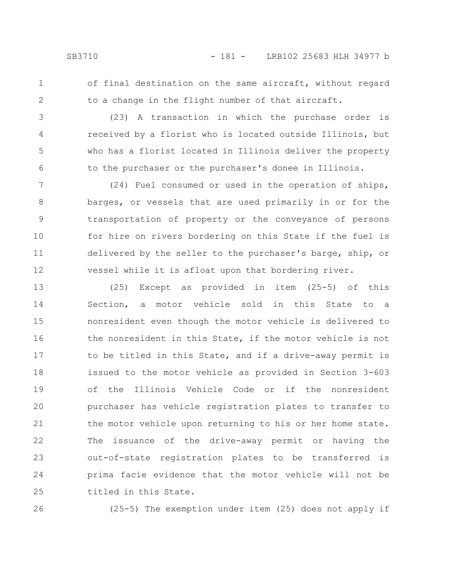2

3

4

5

6

of final destination on the same aircraft, without regard to a change in the flight number of that aircraft.

(23) A transaction in which the purchase order is received by a florist who is located outside Illinois, but who has a florist located in Illinois deliver the property to the purchaser or the purchaser's donee in Illinois.

(24) Fuel consumed or used in the operation of ships, barges, or vessels that are used primarily in or for the transportation of property or the conveyance of persons for hire on rivers bordering on this State if the fuel is delivered by the seller to the purchaser's barge, ship, or vessel while it is afloat upon that bordering river. 7 8 9 10 11 12

(25) Except as provided in item (25-5) of this Section, a motor vehicle sold in this State to a nonresident even though the motor vehicle is delivered to the nonresident in this State, if the motor vehicle is not to be titled in this State, and if a drive-away permit is issued to the motor vehicle as provided in Section 3-603 of the Illinois Vehicle Code or if the nonresident purchaser has vehicle registration plates to transfer to the motor vehicle upon returning to his or her home state. The issuance of the drive-away permit or having the out-of-state registration plates to be transferred is prima facie evidence that the motor vehicle will not be titled in this State. 13 14 15 16 17 18 19 20 21 22 23 24 25

26

(25-5) The exemption under item (25) does not apply if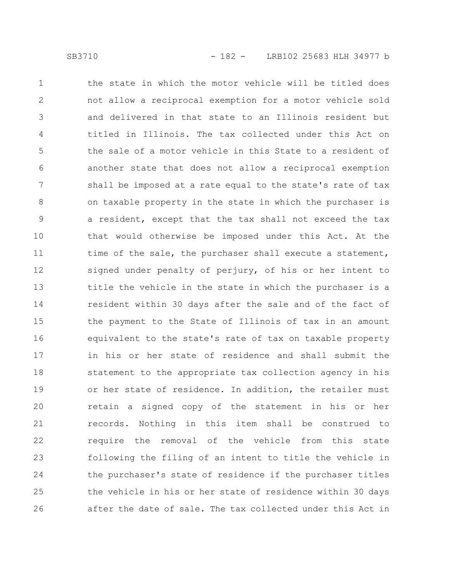the state in which the motor vehicle will be titled does not allow a reciprocal exemption for a motor vehicle sold and delivered in that state to an Illinois resident but titled in Illinois. The tax collected under this Act on the sale of a motor vehicle in this State to a resident of another state that does not allow a reciprocal exemption shall be imposed at a rate equal to the state's rate of tax on taxable property in the state in which the purchaser is a resident, except that the tax shall not exceed the tax that would otherwise be imposed under this Act. At the time of the sale, the purchaser shall execute a statement, signed under penalty of perjury, of his or her intent to title the vehicle in the state in which the purchaser is a resident within 30 days after the sale and of the fact of the payment to the State of Illinois of tax in an amount equivalent to the state's rate of tax on taxable property in his or her state of residence and shall submit the statement to the appropriate tax collection agency in his or her state of residence. In addition, the retailer must retain a signed copy of the statement in his or her records. Nothing in this item shall be construed to require the removal of the vehicle from this state following the filing of an intent to title the vehicle in the purchaser's state of residence if the purchaser titles the vehicle in his or her state of residence within 30 days after the date of sale. The tax collected under this Act in 1 2 3 4 5 6 7 8 9 10 11 12 13 14 15 16 17 18 19 20 21 22 23 24 25 26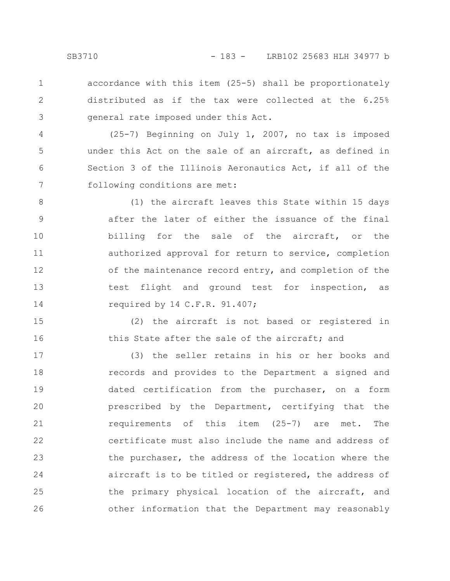accordance with this item (25-5) shall be proportionately distributed as if the tax were collected at the 6.25% general rate imposed under this Act. 1 2 3

(25-7) Beginning on July 1, 2007, no tax is imposed under this Act on the sale of an aircraft, as defined in Section 3 of the Illinois Aeronautics Act, if all of the following conditions are met: 4 5 6 7

(1) the aircraft leaves this State within 15 days after the later of either the issuance of the final billing for the sale of the aircraft, or the authorized approval for return to service, completion of the maintenance record entry, and completion of the test flight and ground test for inspection, as required by 14 C.F.R. 91.407; 8 9 10 11 12 13 14

(2) the aircraft is not based or registered in this State after the sale of the aircraft; and 15 16

(3) the seller retains in his or her books and records and provides to the Department a signed and dated certification from the purchaser, on a form prescribed by the Department, certifying that the requirements of this item (25-7) are met. The certificate must also include the name and address of the purchaser, the address of the location where the aircraft is to be titled or registered, the address of the primary physical location of the aircraft, and other information that the Department may reasonably 17 18 19 20 21 22 23 24 25 26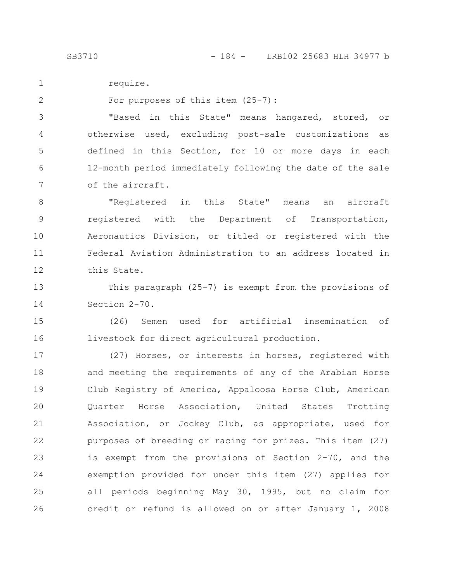require. 1

For purposes of this item (25-7):

"Based in this State" means hangared, stored, or otherwise used, excluding post-sale customizations as defined in this Section, for 10 or more days in each 12-month period immediately following the date of the sale of the aircraft. 3 4 5 6 7

"Registered in this State" means an aircraft registered with the Department of Transportation, Aeronautics Division, or titled or registered with the Federal Aviation Administration to an address located in this State. 8 9 10 11 12

This paragraph (25-7) is exempt from the provisions of Section 2-70. 13 14

(26) Semen used for artificial insemination of livestock for direct agricultural production. 15 16

(27) Horses, or interests in horses, registered with and meeting the requirements of any of the Arabian Horse Club Registry of America, Appaloosa Horse Club, American Quarter Horse Association, United States Trotting Association, or Jockey Club, as appropriate, used for purposes of breeding or racing for prizes. This item (27) is exempt from the provisions of Section 2-70, and the exemption provided for under this item (27) applies for all periods beginning May 30, 1995, but no claim for credit or refund is allowed on or after January 1, 2008 17 18 19 20 21 22 23 24 25 26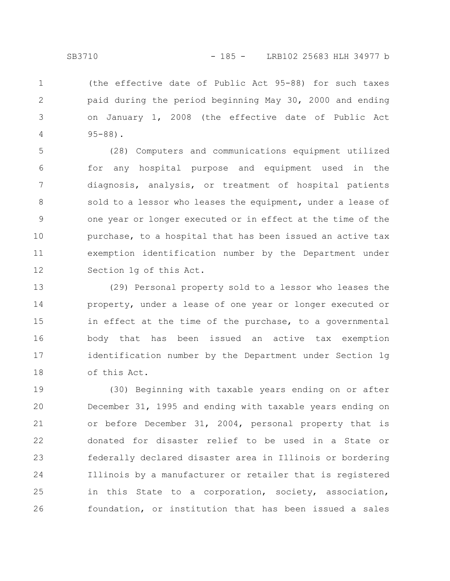(the effective date of Public Act 95-88) for such taxes paid during the period beginning May 30, 2000 and ending on January 1, 2008 (the effective date of Public Act 95-88). 1 2 3 4

(28) Computers and communications equipment utilized for any hospital purpose and equipment used in the diagnosis, analysis, or treatment of hospital patients sold to a lessor who leases the equipment, under a lease of one year or longer executed or in effect at the time of the purchase, to a hospital that has been issued an active tax exemption identification number by the Department under Section 1g of this Act. 5 6 7 8 9 10 11 12

(29) Personal property sold to a lessor who leases the property, under a lease of one year or longer executed or in effect at the time of the purchase, to a governmental body that has been issued an active tax exemption identification number by the Department under Section 1g of this Act. 13 14 15 16 17 18

(30) Beginning with taxable years ending on or after December 31, 1995 and ending with taxable years ending on or before December 31, 2004, personal property that is donated for disaster relief to be used in a State or federally declared disaster area in Illinois or bordering Illinois by a manufacturer or retailer that is registered in this State to a corporation, society, association, foundation, or institution that has been issued a sales 19 20 21 22 23 24 25 26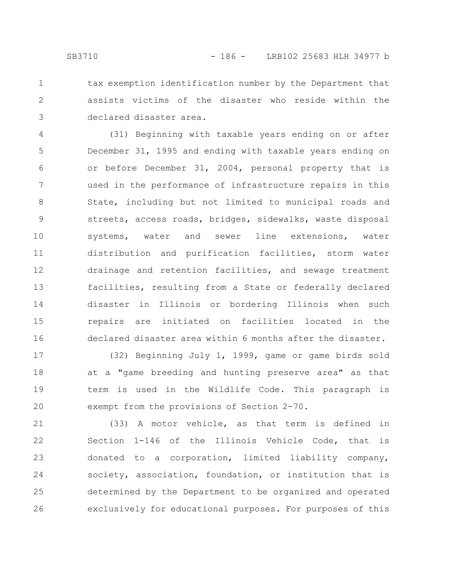3

tax exemption identification number by the Department that assists victims of the disaster who reside within the declared disaster area.

(31) Beginning with taxable years ending on or after December 31, 1995 and ending with taxable years ending on or before December 31, 2004, personal property that is used in the performance of infrastructure repairs in this State, including but not limited to municipal roads and streets, access roads, bridges, sidewalks, waste disposal systems, water and sewer line extensions, water distribution and purification facilities, storm water drainage and retention facilities, and sewage treatment facilities, resulting from a State or federally declared disaster in Illinois or bordering Illinois when such repairs are initiated on facilities located in the declared disaster area within 6 months after the disaster. 4 5 6 7 8 9 10 11 12 13 14 15 16

(32) Beginning July 1, 1999, game or game birds sold at a "game breeding and hunting preserve area" as that term is used in the Wildlife Code. This paragraph is exempt from the provisions of Section 2-70. 17 18 19 20

(33) A motor vehicle, as that term is defined in Section 1-146 of the Illinois Vehicle Code, that is donated to a corporation, limited liability company, society, association, foundation, or institution that is determined by the Department to be organized and operated exclusively for educational purposes. For purposes of this 21 22 23 24 25 26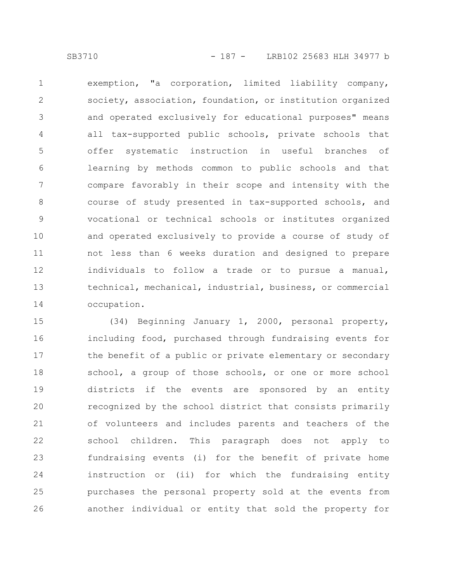exemption, "a corporation, limited liability company, society, association, foundation, or institution organized and operated exclusively for educational purposes" means all tax-supported public schools, private schools that offer systematic instruction in useful branches of learning by methods common to public schools and that compare favorably in their scope and intensity with the course of study presented in tax-supported schools, and vocational or technical schools or institutes organized and operated exclusively to provide a course of study of not less than 6 weeks duration and designed to prepare individuals to follow a trade or to pursue a manual, technical, mechanical, industrial, business, or commercial occupation. 1 2 3 4 5 6 7 8 9 10 11 12 13 14

(34) Beginning January 1, 2000, personal property, including food, purchased through fundraising events for the benefit of a public or private elementary or secondary school, a group of those schools, or one or more school districts if the events are sponsored by an entity recognized by the school district that consists primarily of volunteers and includes parents and teachers of the school children. This paragraph does not apply to fundraising events (i) for the benefit of private home instruction or (ii) for which the fundraising entity purchases the personal property sold at the events from another individual or entity that sold the property for 15 16 17 18 19 20 21 22 23 24 25 26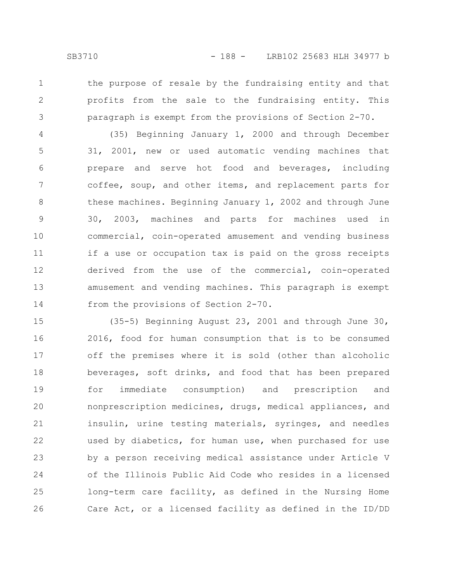- 
- 1

3

the purpose of resale by the fundraising entity and that profits from the sale to the fundraising entity. This paragraph is exempt from the provisions of Section 2-70.

(35) Beginning January 1, 2000 and through December 31, 2001, new or used automatic vending machines that prepare and serve hot food and beverages, including coffee, soup, and other items, and replacement parts for these machines. Beginning January 1, 2002 and through June 30, 2003, machines and parts for machines used in commercial, coin-operated amusement and vending business if a use or occupation tax is paid on the gross receipts derived from the use of the commercial, coin-operated amusement and vending machines. This paragraph is exempt from the provisions of Section 2-70. 4 5 6 7 8 9 10 11 12 13 14

(35-5) Beginning August 23, 2001 and through June 30, 2016, food for human consumption that is to be consumed off the premises where it is sold (other than alcoholic beverages, soft drinks, and food that has been prepared for immediate consumption) and prescription and nonprescription medicines, drugs, medical appliances, and insulin, urine testing materials, syringes, and needles used by diabetics, for human use, when purchased for use by a person receiving medical assistance under Article V of the Illinois Public Aid Code who resides in a licensed long-term care facility, as defined in the Nursing Home Care Act, or a licensed facility as defined in the ID/DD 15 16 17 18 19 20 21 22 23 24 25 26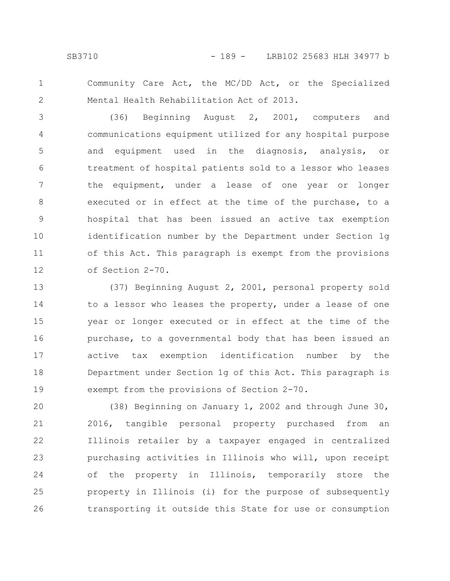2

Community Care Act, the MC/DD Act, or the Specialized Mental Health Rehabilitation Act of 2013.

(36) Beginning August 2, 2001, computers and communications equipment utilized for any hospital purpose and equipment used in the diagnosis, analysis, or treatment of hospital patients sold to a lessor who leases the equipment, under a lease of one year or longer executed or in effect at the time of the purchase, to a hospital that has been issued an active tax exemption identification number by the Department under Section 1g of this Act. This paragraph is exempt from the provisions of Section 2-70. 3 4 5 6 7 8 9 10 11 12

(37) Beginning August 2, 2001, personal property sold to a lessor who leases the property, under a lease of one year or longer executed or in effect at the time of the purchase, to a governmental body that has been issued an active tax exemption identification number by the Department under Section 1g of this Act. This paragraph is exempt from the provisions of Section 2-70. 13 14 15 16 17 18 19

(38) Beginning on January 1, 2002 and through June 30, 2016, tangible personal property purchased from an Illinois retailer by a taxpayer engaged in centralized purchasing activities in Illinois who will, upon receipt of the property in Illinois, temporarily store the property in Illinois (i) for the purpose of subsequently transporting it outside this State for use or consumption 20 21 22 23 24 25 26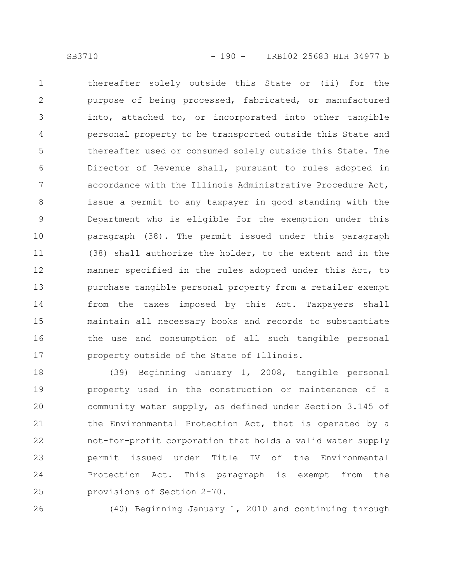thereafter solely outside this State or (ii) for the purpose of being processed, fabricated, or manufactured into, attached to, or incorporated into other tangible personal property to be transported outside this State and thereafter used or consumed solely outside this State. The Director of Revenue shall, pursuant to rules adopted in accordance with the Illinois Administrative Procedure Act, issue a permit to any taxpayer in good standing with the Department who is eligible for the exemption under this paragraph (38). The permit issued under this paragraph (38) shall authorize the holder, to the extent and in the manner specified in the rules adopted under this Act, to purchase tangible personal property from a retailer exempt from the taxes imposed by this Act. Taxpayers shall maintain all necessary books and records to substantiate the use and consumption of all such tangible personal property outside of the State of Illinois. 1 2 3 4 5 6 7 8 9 10 11 12 13 14 15 16 17

(39) Beginning January 1, 2008, tangible personal property used in the construction or maintenance of a community water supply, as defined under Section 3.145 of the Environmental Protection Act, that is operated by a not-for-profit corporation that holds a valid water supply permit issued under Title IV of the Environmental Protection Act. This paragraph is exempt from the provisions of Section 2-70. 18 19 20 21 22 23 24 25

26

(40) Beginning January 1, 2010 and continuing through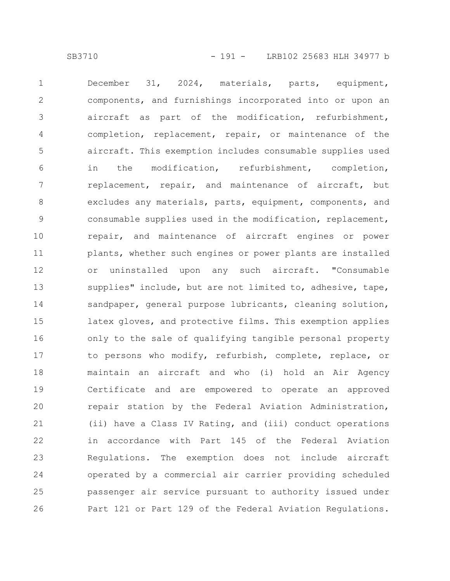December 31, 2024, materials, parts, equipment, components, and furnishings incorporated into or upon an aircraft as part of the modification, refurbishment, completion, replacement, repair, or maintenance of the aircraft. This exemption includes consumable supplies used in the modification, refurbishment, completion, replacement, repair, and maintenance of aircraft, but excludes any materials, parts, equipment, components, and consumable supplies used in the modification, replacement, repair, and maintenance of aircraft engines or power plants, whether such engines or power plants are installed or uninstalled upon any such aircraft. "Consumable supplies" include, but are not limited to, adhesive, tape, sandpaper, general purpose lubricants, cleaning solution, latex gloves, and protective films. This exemption applies only to the sale of qualifying tangible personal property to persons who modify, refurbish, complete, replace, or maintain an aircraft and who (i) hold an Air Agency Certificate and are empowered to operate an approved repair station by the Federal Aviation Administration, (ii) have a Class IV Rating, and (iii) conduct operations in accordance with Part 145 of the Federal Aviation Regulations. The exemption does not include aircraft operated by a commercial air carrier providing scheduled passenger air service pursuant to authority issued under Part 121 or Part 129 of the Federal Aviation Regulations. 1 2 3 4 5 6 7 8 9 10 11 12 13 14 15 16 17 18 19 20 21 22 23 24 25 26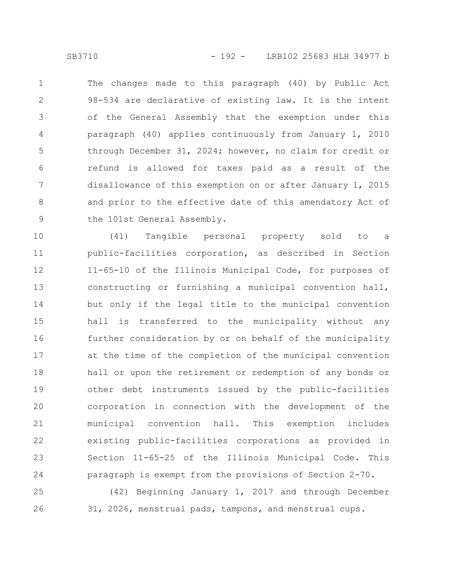The changes made to this paragraph (40) by Public Act 98-534 are declarative of existing law. It is the intent of the General Assembly that the exemption under this paragraph (40) applies continuously from January 1, 2010 through December 31, 2024; however, no claim for credit or refund is allowed for taxes paid as a result of the disallowance of this exemption on or after January 1, 2015 and prior to the effective date of this amendatory Act of the 101st General Assembly. 1 2 3 4 5 6 7 8 9

(41) Tangible personal property sold to a public-facilities corporation, as described in Section 11-65-10 of the Illinois Municipal Code, for purposes of constructing or furnishing a municipal convention hall, but only if the legal title to the municipal convention hall is transferred to the municipality without any further consideration by or on behalf of the municipality at the time of the completion of the municipal convention hall or upon the retirement or redemption of any bonds or other debt instruments issued by the public-facilities corporation in connection with the development of the municipal convention hall. This exemption includes existing public-facilities corporations as provided in Section 11-65-25 of the Illinois Municipal Code. This paragraph is exempt from the provisions of Section 2-70. 10 11 12 13 14 15 16 17 18 19 20 21 22 23 24

(42) Beginning January 1, 2017 and through December 31, 2026, menstrual pads, tampons, and menstrual cups. 25 26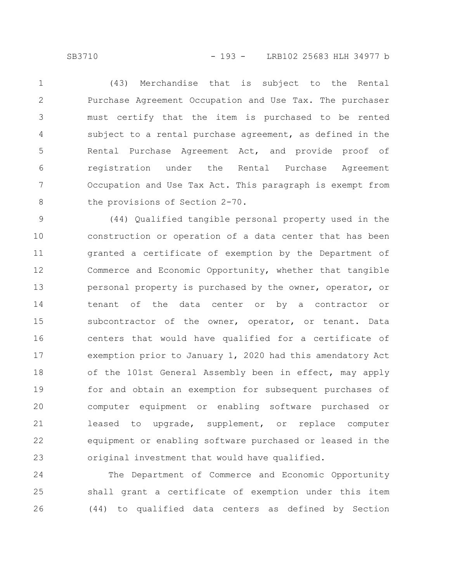SB3710 - 193 - LRB102 25683 HLH 34977 b

(43) Merchandise that is subject to the Rental Purchase Agreement Occupation and Use Tax. The purchaser must certify that the item is purchased to be rented subject to a rental purchase agreement, as defined in the Rental Purchase Agreement Act, and provide proof of registration under the Rental Purchase Agreement Occupation and Use Tax Act. This paragraph is exempt from the provisions of Section 2-70. 1 2 3 4 5 6 7 8

(44) Qualified tangible personal property used in the construction or operation of a data center that has been granted a certificate of exemption by the Department of Commerce and Economic Opportunity, whether that tangible personal property is purchased by the owner, operator, or tenant of the data center or by a contractor or subcontractor of the owner, operator, or tenant. Data centers that would have qualified for a certificate of exemption prior to January 1, 2020 had this amendatory Act of the 101st General Assembly been in effect, may apply for and obtain an exemption for subsequent purchases of computer equipment or enabling software purchased or leased to upgrade, supplement, or replace computer equipment or enabling software purchased or leased in the original investment that would have qualified. 9 10 11 12 13 14 15 16 17 18 19 20 21 22 23

The Department of Commerce and Economic Opportunity shall grant a certificate of exemption under this item (44) to qualified data centers as defined by Section 24 25 26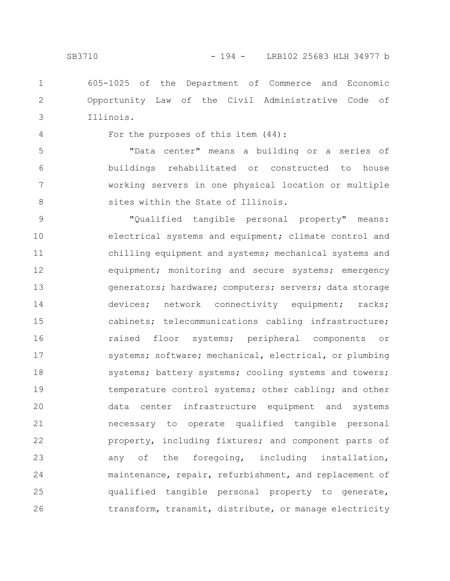605-1025 of the Department of Commerce and Economic Opportunity Law of the Civil Administrative Code of Illinois. 1 2 3

4

For the purposes of this item (44):

"Data center" means a building or a series of buildings rehabilitated or constructed to house working servers in one physical location or multiple sites within the State of Illinois. 5 6 7 8

"Qualified tangible personal property" means: electrical systems and equipment; climate control and chilling equipment and systems; mechanical systems and equipment; monitoring and secure systems; emergency generators; hardware; computers; servers; data storage devices; network connectivity equipment; racks; cabinets; telecommunications cabling infrastructure; raised floor systems; peripheral components or systems; software; mechanical, electrical, or plumbing systems; battery systems; cooling systems and towers; temperature control systems; other cabling; and other data center infrastructure equipment and systems necessary to operate qualified tangible personal property, including fixtures; and component parts of any of the foregoing, including installation, maintenance, repair, refurbishment, and replacement of qualified tangible personal property to generate, transform, transmit, distribute, or manage electricity 9 10 11 12 13 14 15 16 17 18 19 20 21 22 23 24 25 26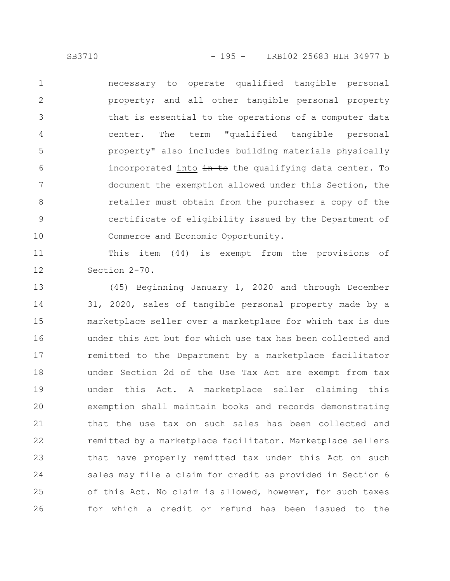necessary to operate qualified tangible personal property; and all other tangible personal property that is essential to the operations of a computer data center. The term "qualified tangible personal property" also includes building materials physically incorporated into in to the qualifying data center. To document the exemption allowed under this Section, the retailer must obtain from the purchaser a copy of the certificate of eligibility issued by the Department of Commerce and Economic Opportunity. 1 2 3 4 5 6 7 8 9 10

This item (44) is exempt from the provisions of Section 2-70. 11 12

(45) Beginning January 1, 2020 and through December 31, 2020, sales of tangible personal property made by a marketplace seller over a marketplace for which tax is due under this Act but for which use tax has been collected and remitted to the Department by a marketplace facilitator under Section 2d of the Use Tax Act are exempt from tax under this Act. A marketplace seller claiming this exemption shall maintain books and records demonstrating that the use tax on such sales has been collected and remitted by a marketplace facilitator. Marketplace sellers that have properly remitted tax under this Act on such sales may file a claim for credit as provided in Section 6 of this Act. No claim is allowed, however, for such taxes for which a credit or refund has been issued to the 13 14 15 16 17 18 19 20 21 22 23 24 25 26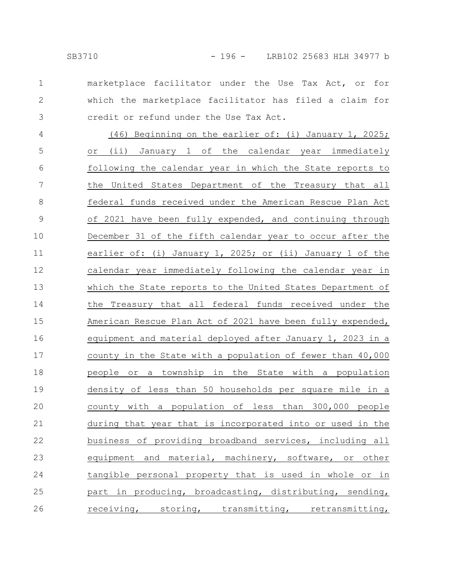2

3

marketplace facilitator under the Use Tax Act, or for which the marketplace facilitator has filed a claim for credit or refund under the Use Tax Act.

(46) Beginning on the earlier of: (i) January 1, 2025; or (ii) January 1 of the calendar year immediately following the calendar year in which the State reports to the United States Department of the Treasury that all federal funds received under the American Rescue Plan Act of 2021 have been fully expended, and continuing through December 31 of the fifth calendar year to occur after the earlier of: (i) January 1, 2025; or (ii) January 1 of the calendar year immediately following the calendar year in which the State reports to the United States Department of the Treasury that all federal funds received under the American Rescue Plan Act of 2021 have been fully expended, equipment and material deployed after January 1, 2023 in a county in the State with a population of fewer than 40,000 people or a township in the State with a population density of less than 50 households per square mile in a county with a population of less than 300,000 people during that year that is incorporated into or used in the business of providing broadband services, including all equipment and material, machinery, software, or other tangible personal property that is used in whole or in part in producing, broadcasting, distributing, sending, receiving, storing, transmitting, retransmitting, 4 5 6 7 8 9 10 11 12 13 14 15 16 17 18 19 20 21 22 23 24 25 26